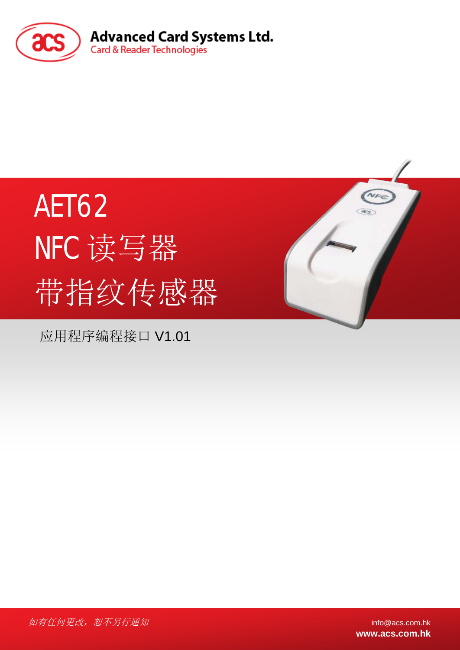

# AET62 NFC 读写器 带指纹传感器

应用程序编程接口 V1.01



如有任何更改, 恕不另行通知 info@acs.com.hk

**www.acs.com.hk**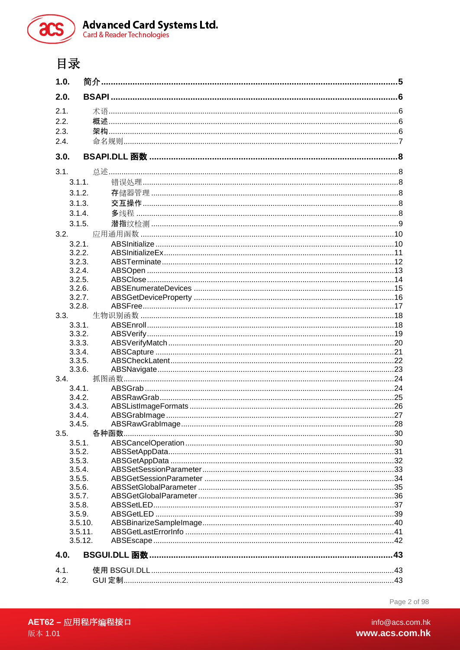



# 目录

| 1.0.               |  |
|--------------------|--|
| 2.0.               |  |
| 2.1.               |  |
| 2.2.               |  |
| 2.3.               |  |
| 2.4.               |  |
| 3.0.               |  |
| 3.1.               |  |
| 3.1.1.             |  |
| 3.1.2.             |  |
| 3.1.3.             |  |
| 3.1.4.             |  |
| 3.1.5.             |  |
|                    |  |
| 3.2.               |  |
| 3.2.1.             |  |
| 3.2.2.<br>3.2.3.   |  |
| 3.2.4.             |  |
| 3.2.5.             |  |
| 3.2.6.             |  |
| 3.2.7.             |  |
| 3.2.8.             |  |
| 3.3.               |  |
| 3.3.1.             |  |
| 3.3.2.             |  |
| 3.3.3.             |  |
| 3.3.4.             |  |
| 3.3.5.             |  |
| 3.3.6.             |  |
| 3.4.               |  |
| 3.4.1<br>3.4.2.    |  |
| 3.4.3.             |  |
| 3.4.4.             |  |
| 3.4.5.             |  |
| 3.5.               |  |
| 3.5.1.             |  |
| 3.5.2.             |  |
| 3.5.3.             |  |
| 3.5.4.             |  |
| 3.5.5.             |  |
| 3.5.6.             |  |
| 3.5.7.             |  |
| 3.5.8.             |  |
| 3.5.9.             |  |
| 3.5.10.<br>3.5.11. |  |
| 3.5.12.            |  |
| 4.0.               |  |
| 4.1.               |  |
| 4.2.               |  |
|                    |  |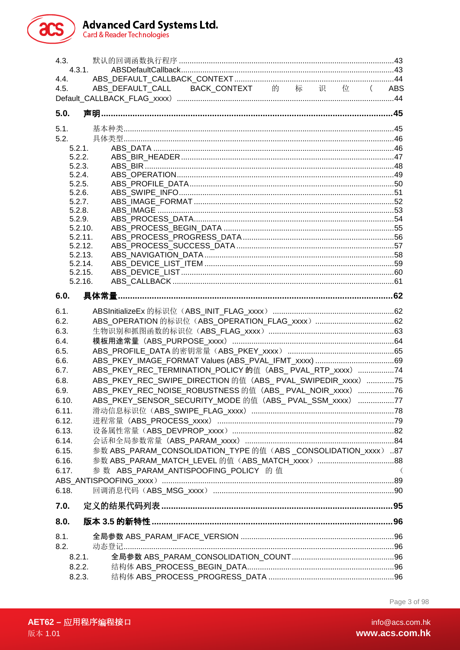# **Advanced Card Systems Ltd.**<br>Card & Reader Technologies



| 4.3.               | 默认的回调函数执行程序 ………………………………………………………………………………………43                |     |
|--------------------|----------------------------------------------------------------|-----|
| 4.3.1.             |                                                                |     |
| 4.4.<br>4.5.       | ABS_DEFAULT_CALL BACK_CONTEXT 的 标 识 位 (ABS                     |     |
|                    |                                                                |     |
| 5.0.               |                                                                |     |
|                    |                                                                |     |
| 5.1.<br>5.2.       |                                                                |     |
| 5.2.1.             |                                                                |     |
| 5.2.2.             |                                                                |     |
| 5.2.3.             |                                                                |     |
| 5.2.4.             |                                                                |     |
| 5.2.5.             |                                                                |     |
| 5.2.6.             |                                                                |     |
| 5.2.7.<br>5.2.8.   |                                                                |     |
| 5.2.9.             |                                                                |     |
| 5.2.10.            |                                                                |     |
| 5.2.11.            |                                                                |     |
| 5.2.12.            |                                                                |     |
| 5.2.13.            |                                                                |     |
| 5.2.14.            |                                                                |     |
| 5.2.15.<br>5.2.16. |                                                                |     |
|                    |                                                                |     |
| 6.0.               |                                                                |     |
| 6.1.               |                                                                |     |
| 6.2.               |                                                                |     |
| 6.3.               |                                                                |     |
| 6.4.               |                                                                |     |
| 6.5.               |                                                                |     |
| 6.6.               |                                                                |     |
| 6.7.               | ABS_PKEY_REC_TERMINATION_POLICY 的值(ABS_ PVAL_RTP_xxxx)74       |     |
| 6.8.               | ABS PKEY REC SWIPE DIRECTION 的值 (ABS PVAL SWIPEDIR xxxx) 75    |     |
| 6.9.               | ABS_PKEY_REC_NOISE_ROBUSTNESS 的值(ABS_ PVAL_NOIR_xxxx)76        |     |
| 6.10               | ABS_PKEY_SENSOR_SECURITY_MODE 的值(ABS_ PVAL_SSM_xxxx) 77        |     |
| 6.11.              |                                                                |     |
| 6.12.              |                                                                |     |
| 6.13.              |                                                                |     |
| 6.14.              | 参数 ABS PARAM CONSOLIDATION TYPE 的值 (ABS CONSOLIDATION xxxx) 87 |     |
| 6.15.              |                                                                |     |
| 6.16.<br>6.17.     | 参数 ABS_PARAM_ANTISPOOFING_POLICY 的值                            | - ( |
|                    |                                                                |     |
| 6.18.              |                                                                |     |
|                    |                                                                |     |
| 7.0.               |                                                                |     |
| 8.0.               |                                                                |     |
| 8.1.               |                                                                |     |
| 8.2.               | 动态登记                                                           |     |
| 8.2.1.             |                                                                |     |
| 8.2.2.             |                                                                |     |
| 8.2.3.             |                                                                |     |

Page 3 of 98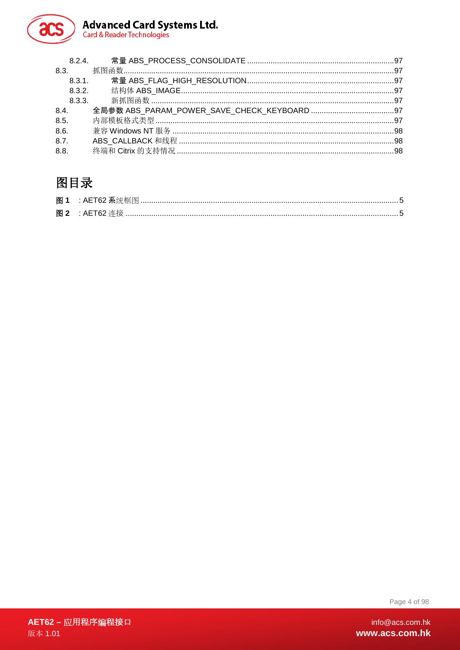

# Advanced Card Systems Ltd.<br>Card & Reader Technologies

|      | 8.2.4.    常量 ABS PROCESS CONSOLIDATE …………………………………………………………………97 |  |
|------|------------------------------------------------------------------|--|
|      |                                                                  |  |
|      |                                                                  |  |
|      |                                                                  |  |
|      |                                                                  |  |
| 8.4. |                                                                  |  |
| 8.5. |                                                                  |  |
| 8.6. |                                                                  |  |
| 8.7. |                                                                  |  |
| 8.8. |                                                                  |  |
|      |                                                                  |  |

# 图目录

| 图 1 |  |
|-----|--|
|     |  |

Page 4 of 98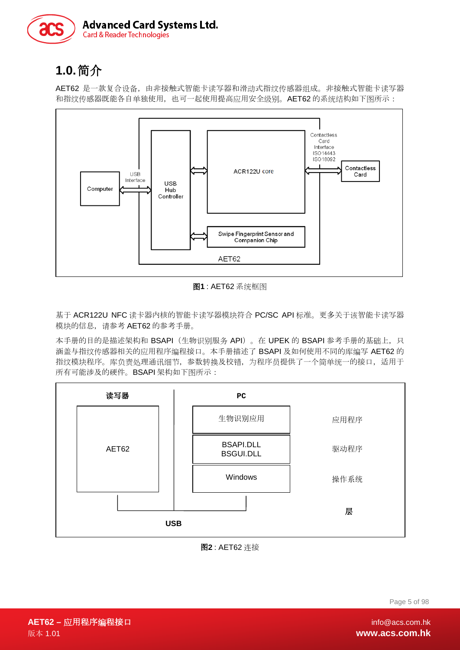

# <span id="page-4-0"></span>**1.0.**简介

AET62 是一款复合设备, 由非接触式智能卡读写器和滑动式指纹传感器组成。非接触式智能卡读写器 和指纹传感器既能各自单独使用,也可一起使用提高应用安全级别。AET62 的系统结构如下图所示:



图**1** : AET62 系统框图

<span id="page-4-1"></span>基于 ACR122U NFC 读卡器内核的智能卡读写器模块符合 PC/SC API 标准。更多关于该智能卡读写器 模块的信息,请参考 AET62 的参考手册。

本手册的目的是描述架构和 BSAPI (生物识别服务 API)。在 UPEK 的 BSAPI 参考手册的基础上, 只 涵盖与指纹传感器相关的应用程序编程接口。本手册描述了 BSAPI 及如何使用不同的库编写 AET62 的 指纹模块程序。库负责处理通讯细节,参数转换及校错,为程序员提供了一个简单统一的接口,适用于 所有可能涉及的硬件。BSAPI 架构如下图所示:



#### <span id="page-4-2"></span>图**2** : AET62 连接

Page 5 of 98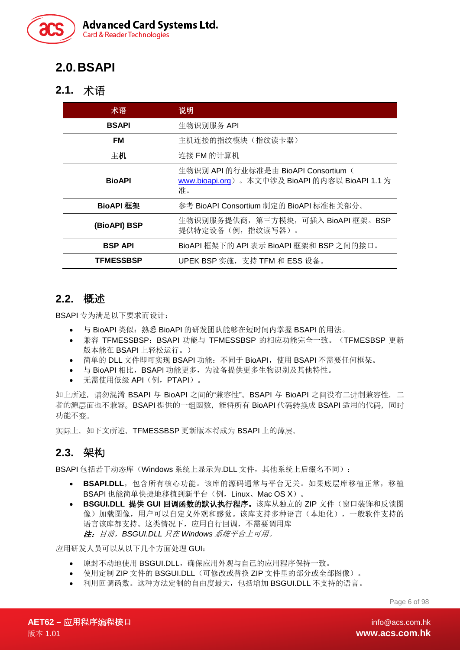

# <span id="page-5-0"></span>**2.0.BSAPI**

#### <span id="page-5-1"></span>**2.1.** 术语

| 术语               | 说明                                                                                           |  |  |
|------------------|----------------------------------------------------------------------------------------------|--|--|
| <b>BSAPI</b>     | 生物识别服务 API                                                                                   |  |  |
| <b>FM</b>        | 主机连接的指纹模块(指纹读卡器)                                                                             |  |  |
| 主机               | 连接 FM 的计算机                                                                                   |  |  |
| <b>BioAPI</b>    | 生物识别 API 的行业标准是由 BioAPI Consortium (<br>www.bioapi.org)。本文中涉及 BioAPI 的内容以 BioAPI 1.1 为<br>准。 |  |  |
| <b>BioAPI 框架</b> | 参考 BioAPI Consortium 制定的 BioAPI 标准相关部分。                                                      |  |  |
| (BioAPI) BSP     | 生物识别服务提供商, 第三方模块, 可插入 BioAPI 框架。BSP<br>提供特定设备(例, 指纹读写器)。                                     |  |  |
| <b>BSP API</b>   | BioAPI 框架下的 API 表示 BioAPI 框架和 BSP 之间的接口。                                                     |  |  |
| <b>TFMESSBSP</b> | UPEK BSP 实施, 支持 TFM 和 ESS 设备。                                                                |  |  |

#### <span id="page-5-2"></span>**2.2.** 概述

BSAPI 专为满足以下要求而设计:

- 与 BioAPI 类似: 熟悉 BioAPI 的研发团队能够在短时间内掌握 BSAPI 的用法。
- 兼容 TFMESSBSP:BSAPI 功能与 TFMESSBSP 的相应功能完全一致。(TFMESBSP 更新 版本能在 BSAPI 上轻松运行。)
- 简单的 DLL 文件即可实现 BSAPI 功能: 不同于 BioAPI, 使用 BSAPI 不需要任何框架。
- 与 BioAPI 相比, BSAPI 功能更多, 为设备提供更多生物识别及其他特性。
- 无需使用低级 API(例,PTAPI)。

如上所述, 请勿混淆 BSAPI 与 BioAPI 之间的"兼容性"。BSAPI 与 BioAPI 之间没有二进制兼容性, 二 者的源层面也不兼容。BSAPI 提供的一组函数, 能将所有 BioAPI 代码转换成 BSAPI 适用的代码, 同时 功能不变。

实际上,如下文所述, TFMESSBSP 更新版本将成为 BSAPI 上的薄层。

#### <span id="page-5-3"></span>**2.3.** 架构

BSAPI 包括若干动态库(Windows 系统上显示为.DLL 文件, 其他系统上后缀名不同):

- **BSAPI.DLL**,包含所有核心功能。该库的源码通常与平台无关。如果底层库移植正常,移植 BSAPI 也能简单快捷地移植到新平台(例, Linux、Mac OS X)。
- **BSGUI.DLL** 提供 **GUI** 回调函数的默认执行程序。该库从独立的 ZIP 文件(窗口装饰和反馈图 像)加载图像,用户可以自定义外观和感觉。该库支持多种语言(本地化),一般软件支持的 语言该库都支持。这类情况下,应用自行回调,不需要调用库 注:目前,*BSGUI.DLL* 只在 *Windows* 系统平台上可用。

应用研发人员可以从以下几个方面处理 GUI:

- 原封不动地使用 BSGUI.DLL,确保应用外观与自己的应用程序保持一致。
- 使用定制 ZIP 文件的 BSGUI.DLL(可修改或替换 ZIP 文件里的部分或全部图像)。
- 利用回调函数。这种方法定制的自由度最大,包括增加 BSGUI.DLL 不支持的语言。

Page 6 of 98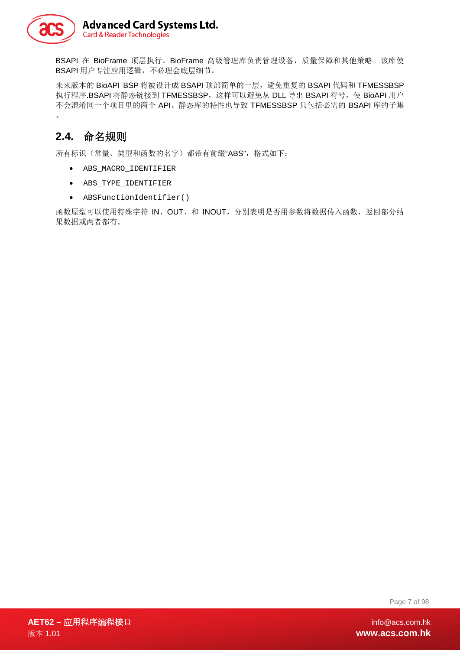

BSAPI 在 BioFrame 顶层执行。BioFrame 高级管理库负责管理设备, 质量保障和其他策略。该库使 BSAPI 用户专注应用逻辑,不必理会底层细节。

未来版本的 BioAPI BSP 将被设计成 BSAPI 顶部简单的一层,避免重复的 BSAPI 代码和 TFMESSBSP 执行程序.BSAPI 将静态链接到 TFMESSBSP, 这样可以避免从 DLL 导出 BSAPI 符号, 使 BioAPI 用户 不会混淆同一个项目里的两个 API。静态库的特性也导致 TFMESSBSP 只包括必需的 BSAPI 库的子集 。

#### <span id="page-6-0"></span>**2.4.** 命名规则

所有标识(常量、类型和函数的名字)都带有前缀"ABS",格式如下:

- ABS\_MACRO\_IDENTIFIER
- ABS\_TYPE\_IDENTIFIER
- ABSFunctionIdentifier()

函数原型可以使用特殊字符 IN、OUT、和 INOUT, 分别表明是否用参数将数据传入函数, 返回部分结 果数据或两者都有。

Page 7 of 98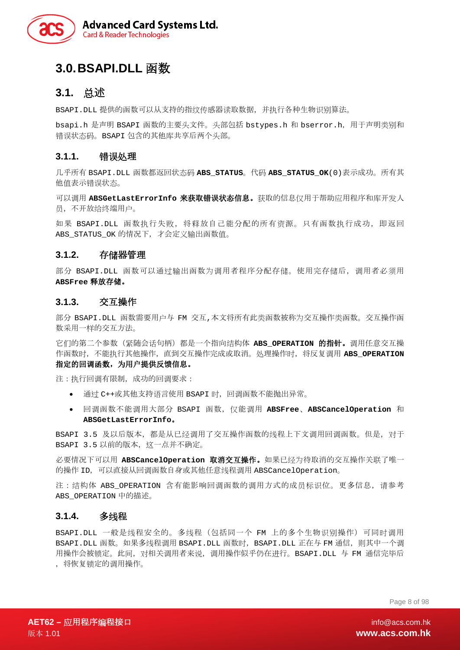

### <span id="page-7-0"></span>**3.0.BSAPI.DLL** 函数

#### <span id="page-7-1"></span>**3.1.** 总述

BSAPI.DLL 提供的函数可以从支持的指纹传感器读取数据,并执行各种生物识别算法。

bsapi.h 是声明 BSAPI 函数的主要头文件。头部包括 bstypes.h 和 bserror.h,用于声明类别和 错误状态码。BSAPI 包含的其他库共享后两个头部。

#### <span id="page-7-2"></span>**3.1.1.** 错误处理

几乎所有 BSAPI.DLL 函数都返回状态码 **ABS\_STATUS**。代码 **ABS\_STATUS\_OK**(0)表示成功。所有其 他值表示错误状态。

可以调用 **ABSGetLastErrorInfo** 来获取错误状态信息。获取的信息仅用于帮助应用程序和库开发人 员,不开放给终端用户。

如果 BSAPI.DLL 函数执行失败,将释放自己能分配的所有资源。只有函数执行成功,即返回 ABS STATUS OK 的情况下,才会定义输出函数值。

#### <span id="page-7-3"></span>**3.1.2.** 存储器管理

部分 BSAPI.DLL 函数可以通过输出函数为调用者程序分配存储。使用完存储后,调用者必须用 **ABSFree** 释放存储。

#### <span id="page-7-4"></span>**3.1.3.** 交互操作

部分 BSAPI.DLL 函数需要用户与 FM 交互,本文将所有此类函数被称为交互操作类函数。交互操作函 数采用一样的交互方法。

它们的第二个参数(紧随会话句柄)都是一个指向结构体 ABS OPERATION 的指针。调用任意交互操 作函数时,不能执行其他操作,直到交互操作完成或取消。处理操作时,将反复调用 **ABS\_OPERATION** 指定的回调函数,为用户提供反馈信息。

注: 执行回调有限制, 成功的回调要求:

- 通过 C++或其他支持语言使用 BSAPI 时,回调函数不能抛出异常。
- 回调函数不能调用大部分 BSAPI 函数,仅能调用 **ABSFree**、**ABSCancelOperation** 和 **ABSGetLastErrorInfo**。

BSAPI 3.5 及以后版本,都是从已经调用了交互操作函数的线程上下文调用回调函数。但是, 对于 BSAPI 3.5 以前的版本, 这一点并不确定。

必要情况下可以用 **ABSCancelOperation** 取消交互操作。如果已经为待取消的交互操作关联了唯一 的操作 ID,可以直接从回调函数自身或其他任意线程调用 ABSCancelOperation。

注:结构体 ABS OPERATION 含有能影响回调函数的调用方式的成员标识位。更多信息,请参考 ABS\_OPERATION 中的描述。

#### <span id="page-7-5"></span>**3.1.4.** 多线程

BSAPI.DLL 一般是线程安全的。多线程(包括同一个 FM 上的多个生物识别操作)可同时调用 BSAPI.DLL 函数。如果多线程调用 BSAPI.DLL 函数时,BSAPI.DLL 正在与 FM 通信,则其中一个调 用操作会被锁定。此间,对相关调用者来说,调用操作似乎仍在进行。BSAPI.DLL 与 FM 通信完毕后 ,将恢复锁定的调用操作。

Page 8 of 98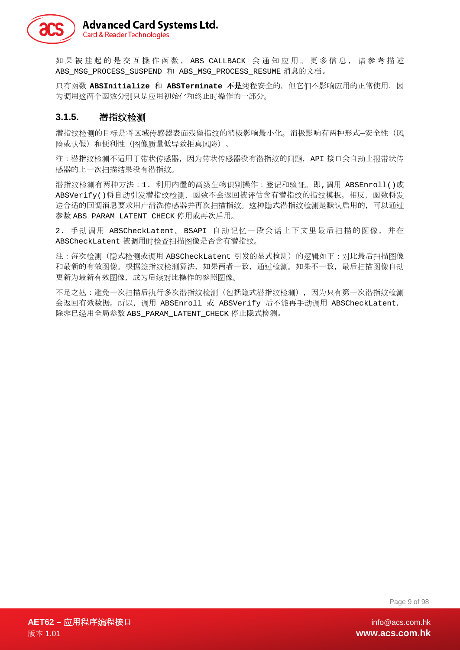

如果被挂起的是交互操作函数, ABS\_CALLBACK 会通知 应 用。更多信息, 请 参考描述 ABS MSG PROCESS SUSPEND 和 ABS MSG PROCESS RESUME 消息的文档。

只有函数 ABSInitialize 和 ABSTerminate 不是线程安全的, 但它们不影响应用的正常使用, 因 为调用这两个函数分别只是应用初始化和终止时操作的一部分。

#### <span id="page-8-0"></span>**3.1.5.** 潜指纹检测

潜指纹检测的目标是将区域传感器表面残留指纹的消极影响最小化。消极影响有两种形式-安全性(风 险或认假)和便利性(图像质量低导致拒真风险)。

注:潜指纹检测不适用于带状传感器,因为带状传感器没有潜指纹的问题,API 接口会自动上报带状传 感器的上一次扫描结果没有潜指纹。

潜指纹检测有两种方法:1. 利用内置的高级生物识别操作:登记和验证。即,调用 ABSEnroll()或 ABSVerify()将自动引发潜指纹检测,函数不会返回被评估含有潜指纹的指纹模板。相反,函数将发 送合适的回调消息要求用户清洗传感器并再次扫描指纹。这种隐式潜指纹检测是默认启用的,可以通过 参数 ABS\_PARAM\_LATENT\_CHECK 停用或再次启用。

2. 手动调用 ABSCheckLatent。BSAPI 自动记忆一段会话上下文里最后扫描的图像,并在 ABSCheckLatent 被调用时检查扫描图像是否含有潜指纹。

注:每次检测(隐式检测或调用 ABSCheckLatent 引发的显式检测)的逻辑如下:对比最后扫描图像 和最新的有效图像。根据签指纹检测算法,如果两者一致,通过检测。如果不一致,最后扫描图像自动 更新为最新有效图像,成为后续对比操作的参照图像。

不足之处:避免一次扫描后执行多次潜指纹检测(包括隐式潜指纹检测),因为只有第一次潜指纹检测 会返回有效数据。所以,调用 ABSEnroll 或 ABSVerify 后不能再手动调用 ABSCheckLatent, 除非已经用全局参数 ABS\_PARAM\_LATENT\_CHECK 停止隐式检测。

Page 9 of 98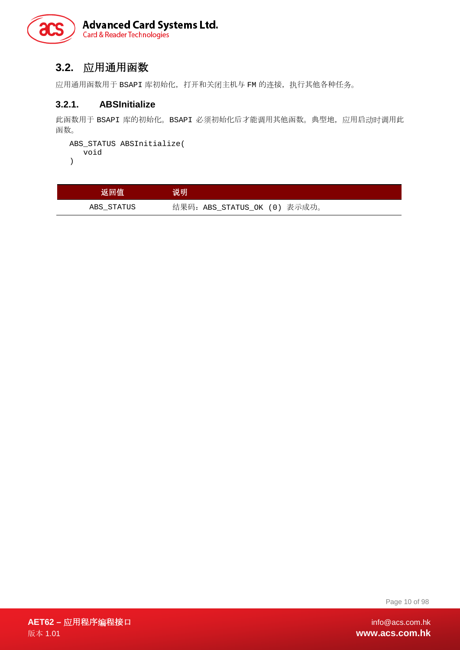

#### <span id="page-9-0"></span>**3.2.** 应用通用函数

应用通用函数用于 BSAPI 库初始化, 打开和关闭主机与 FM 的连接, 执行其他各种任务。

#### <span id="page-9-1"></span>**3.2.1. ABSInitialize**

此函数用于 BSAPI 库的初始化。BSAPI 必须初始化后才能调用其他函数。典型地,应用启动时调用此 函数。

```
ABS_STATUS ABSInitialize( 
   void
```
)

| 返回值        | 说明                           |
|------------|------------------------------|
| ABS STATUS | 结果码: ABS STATUS OK (0) 表示成功。 |

Page 10 of 98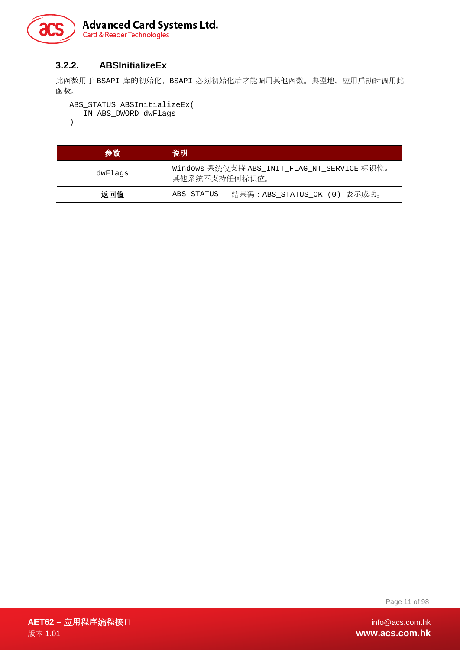

#### <span id="page-10-0"></span>**3.2.2. ABSInitializeEx**

此函数用于 BSAPI 库的初始化。BSAPI 必须初始化后才能调用其他函数。典型地,应用启动时调用此 函数。

```
ABS_STATUS ABSInitializeEx( 
  IN ABS_DWORD dwFlags 
)
```

| 参数      | 说明                                                           |                             |
|---------|--------------------------------------------------------------|-----------------------------|
| dwFlaqs | Windows 系统仅支持 ABS_INIT_FLAG_NT_SERVICE 标识位。<br>其他系统不支持任何标识位。 |                             |
| 返回值     | ABS_STATUS                                                   | 结果码:ABS STATUS OK (0) 表示成功。 |

Page 11 of 98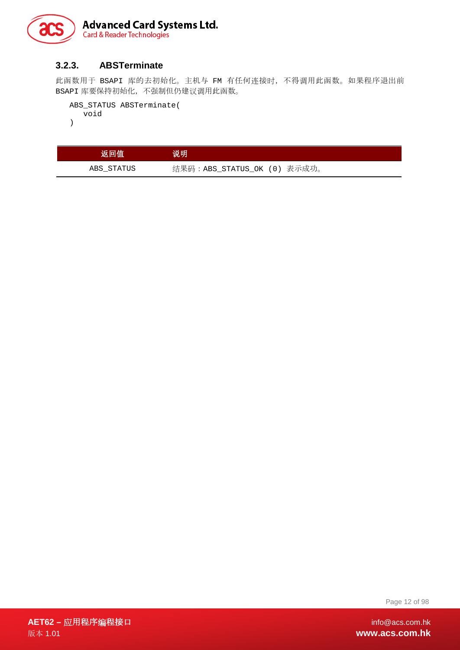

#### <span id="page-11-0"></span>**3.2.3. ABSTerminate**

此函数用于 BSAPI 库的去初始化。主机与 FM 有任何连接时,不得调用此函数。如果程序退出前 BSAPI 库要保持初始化,不强制但仍建议调用此函数。

```
ABS_STATUS ABSTerminate( 
  void 
)
```

| 返回值        | 说明                          |
|------------|-----------------------------|
| ABS STATUS | 结果码:ABS STATUS OK (0) 表示成功。 |

Page 12 of 98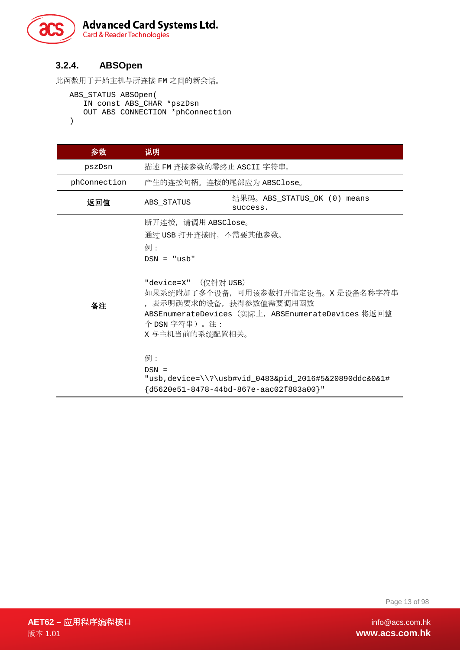

#### <span id="page-12-0"></span>**3.2.4. ABSOpen**

```
此函数用于开始主机与所连接 FM 之间的新会话。
```

```
ABS_STATUS ABSOpen( 
   IN const ABS_CHAR *pszDsn 
   OUT ABS_CONNECTION *phConnection 
)
```
参数 说明 pszDsn 描述 FM 连接参数的零终止 ASCII 字符串。 phConnection 产生的连接句柄。连接的尾部应为 ABSClose。 返回值 ABS\_STATUS <sup>结</sup>果码。ABS\_STATUS\_OK (0) means success. 备注 断开连接,请调用 ABSClose。 通过 USB 打开连接时,不需要其他参数。 例: DSN = "usb" "device=X" (仅针对 USB) 如果系统附加了多个设备,可用该参数打开指定设备。X 是设备名称字符串 ,表示明确要求的设备,获得参数值需要调用函数 ABSEnumerateDevices (实际上, ABSEnumerateDevices 将返回整 个 DSN 字符串)。注: X 与主机当前的系统配置相关。 例:  $DSN =$ "usb,device=\\?\usb#vid\_0483&pid\_2016#5&20890ddc&0&1# {d5620e51-8478-44bd-867e-aac02f883a00}"

Page 13 of 98

**AET62 –** 应用程序编程接口 info@acs.com.hk 版本 1.01 **www.acs.com.hk**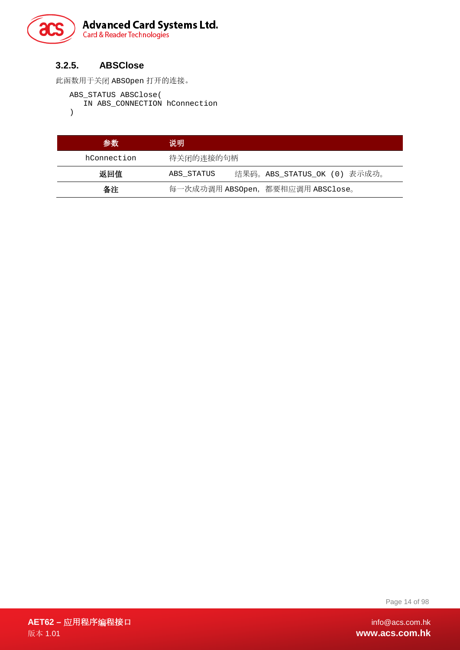

#### <span id="page-13-0"></span>**3.2.5. ABSClose**

此函数用于关闭 ABSOpen 打开的连接。

```
ABS_STATUS ABSClose(
```
IN ABS\_CONNECTION hConnection

)

| 参数          | 说明                                |                             |
|-------------|-----------------------------------|-----------------------------|
| hConnection | 待关闭的连接的句柄                         |                             |
| 返回值         | ABS STATUS                        | 结果码。ABS_STATUS_OK (0) 表示成功。 |
| 备注          | 每一次成功调用 ABSOpen, 都要相应调用 ABSClose。 |                             |

Page 14 of 98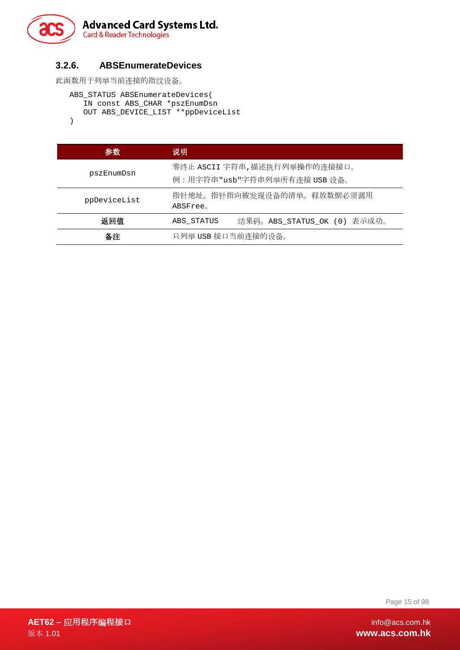

#### <span id="page-14-0"></span>**3.2.6. ABSEnumerateDevices**

```
此函数用于列举当前连接的指纹设备。
```

```
ABS_STATUS ABSEnumerateDevices( 
   IN const ABS_CHAR *pszEnumDsn 
   OUT ABS_DEVICE_LIST **ppDeviceList 
)
```

```
参数 说明
pszEnumDsn
            零终止 ASCII 字符串,描述执行列举操作的连接接口。
            例:用字符串"usb"字符串列举所有连接 USB 设备。
ppDeviceList 指针地址。指针指向被发现设备的清单。释放数据必须调用
            ABSFree。
  返回值 ABS_STATUS 结果码。ABS_STATUS_OK (0) 表示成功。
   备注 只列举 USB 接口当前连接的设备。
```
Page 15 of 98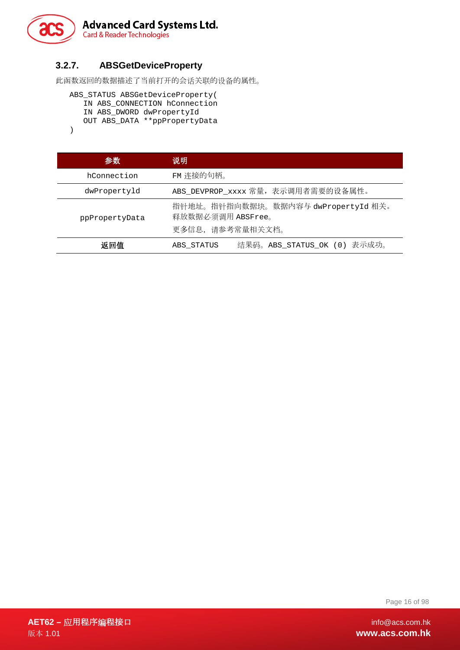

#### <span id="page-15-0"></span>**3.2.7. ABSGetDeviceProperty**

此函数返回的数据描述了当前打开的会话关联的设备的属性。

```
ABS_STATUS ABSGetDeviceProperty( 
   IN ABS_CONNECTION hConnection 
   IN ABS_DWORD dwPropertyId 
   OUT ABS_DATA **ppPropertyData 
)
```

| 参数             | 说明                                                                           |  |
|----------------|------------------------------------------------------------------------------|--|
| hConnection    | FM 连接的句柄。                                                                    |  |
| dwPropertyld   | ABS_DEVPROP_xxxx 常量, 表示调用者需要的设备属性。                                           |  |
| ppPropertyData | 指针地址。指针指向数据块。数据内容与 dwPropertyId 相关。<br>释放数据必须调用 ABSFree。<br>更多信息, 请参考常量相关文档。 |  |
| 返回值            | 表示成功。<br>结果码。ABS STATUS OK (0)<br>ABS STATUS                                 |  |

Page 16 of 98

**AET62 –** 应用程序编程接口 info@acs.com.hk 版本 1.01 **www.acs.com.hk**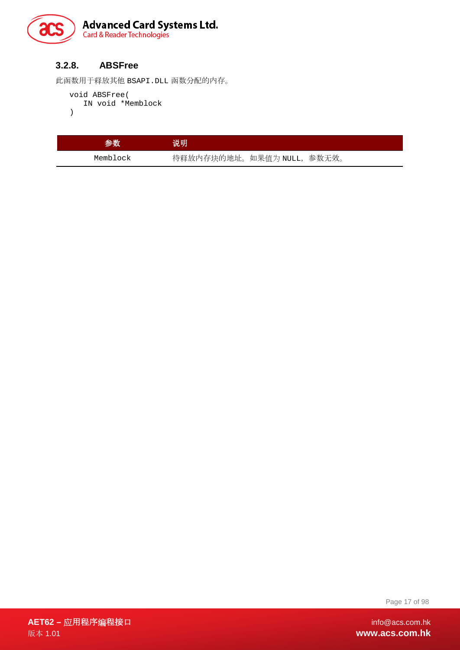

#### <span id="page-16-0"></span>**3.2.8. ABSFree**

此函数用于释放其他 BSAPI.DLL 函数分配的内存。

```
void ABSFree(
```

```
IN void *Memblock
```
)

| 参数       | 说明                        |  |
|----------|---------------------------|--|
| Memblock | 待释放内存块的地址。如果值为 NULL,参数无效。 |  |

Page 17 of 98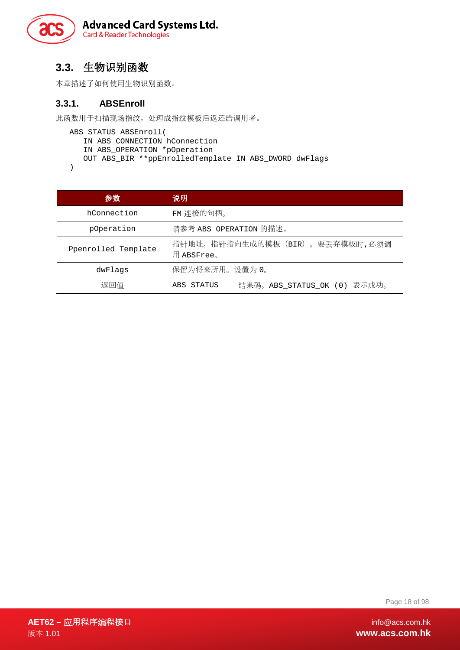

#### <span id="page-17-0"></span>**3.3.** 生物识别函数

本章描述了如何使用生物识别函数。

#### <span id="page-17-1"></span>**3.3.1. ABSEnroll**

此函数用于扫描现场指纹,处理成指纹模板后返还给调用者。

```
ABS_STATUS ABSEnroll( 
   IN ABS_CONNECTION hConnection 
   IN ABS_OPERATION *pOperation 
   OUT ABS_BIR **ppEnrolledTemplate IN ABS_DWORD dwFlags 
)
```

```
参数 说明
  hConnection FM 连接的句柄。
   pOperation 请参考 ABS_OPERATION 的描述。
Ppenrolled Template 指针地址。指针指向生成的模板(BIR)。要丢弃模板时,必须调
               用 ABSFree。
    dwFlags 保留为将来所用。设置为 0。
    返回值 ABS_STATUS 结果码。ABS_STATUS_OK (0) 表示成功。
```
Page 18 of 98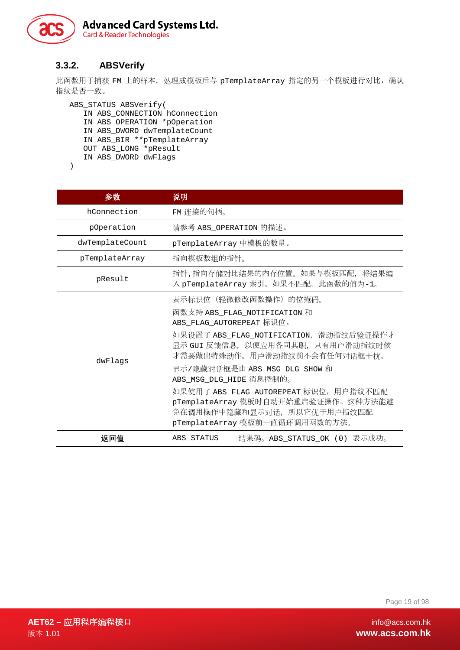

#### <span id="page-18-0"></span>**3.3.2. ABSVerify**

此函数用于捕获 FM 上的样本, 处理成模板后与 pTemplateArray 指定的另一个模板进行对比, 确认 指纹是否一致。

ABS\_STATUS ABSVerify( IN ABS\_CONNECTION hConnection IN ABS\_OPERATION \*pOperation IN ABS\_DWORD dwTemplateCount IN ABS\_BIR \*\*pTemplateArray OUT ABS\_LONG \*pResult IN ABS\_DWORD dwFlags

| I |  |
|---|--|
|   |  |

| 参数              | 说明                                                                                                                                                                                                                                                                                                                                                                                                           |
|-----------------|--------------------------------------------------------------------------------------------------------------------------------------------------------------------------------------------------------------------------------------------------------------------------------------------------------------------------------------------------------------------------------------------------------------|
| hConnection     | FM 连接的句柄。                                                                                                                                                                                                                                                                                                                                                                                                    |
| pOperation      | 请参考 ABS_OPERATION 的描述。                                                                                                                                                                                                                                                                                                                                                                                       |
| dwTemplateCount | pTemplateArray 中模板的数量。                                                                                                                                                                                                                                                                                                                                                                                       |
| pTemplateArray  | 指向模板数组的指针。                                                                                                                                                                                                                                                                                                                                                                                                   |
| pResult         | 指针,指向存储对比结果的内存位置。如果与模板匹配, 将结果编<br>入 pTemplateArray 索引。如果不匹配,此函数的值为-1。                                                                                                                                                                                                                                                                                                                                        |
| dwFlags         | 表示标识位(轻微修改函数操作)的位掩码。<br>函数支持 ABS_FLAG_NOTIFICATION 和<br>ABS_FLAG_AUTOREPEAT 标识位。<br>如果设置了 ABS_FLAG_NOTIFICATION, 滑动指纹后验证操作才<br>显示 GUI 反馈信息,以便应用各司其职,只有用户滑动指纹时候<br>才需要做出特殊动作。用户滑动指纹前不会有任何对话框干扰。<br>显示/隐藏对话框是由 ABS_MSG_DLG_SHOW 和<br>ABS_MSG_DLG_HIDE 消息控制的。<br>如果使用了 ABS_FLAG_AUTOREPEAT 标识位, 用户指纹不匹配<br>pTemplateArray 模板时自动开始重启验证操作。这种方法能避<br>免在调用操作中隐藏和显示对话, 所以它优于用户指纹匹配<br>pTemplateArray 模板前一直循环调用函数的方法。 |
| 返回值             | 结果码。ABS_STATUS_OK (0) 表示成功。<br>ABS STATUS                                                                                                                                                                                                                                                                                                                                                                    |

Page 19 of 98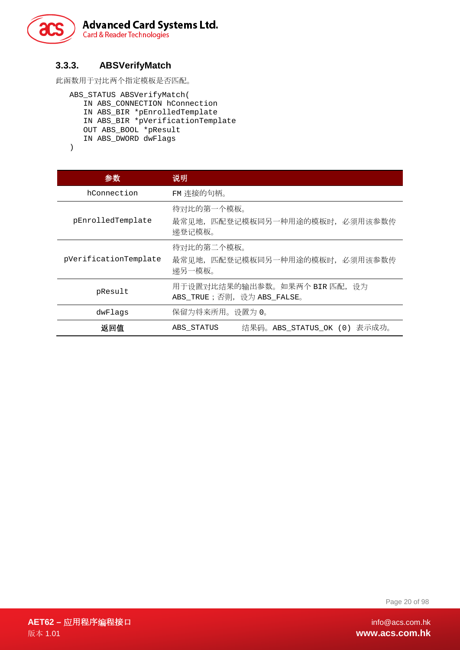

#### <span id="page-19-0"></span>**3.3.3. ABSVerifyMatch**

此函数用于对比两个指定模板是否匹配。

ABS\_STATUS ABSVerifyMatch( IN ABS\_CONNECTION hConnection IN ABS\_BIR \*pEnrolledTemplate IN ABS\_BIR \*pVerificationTemplate OUT ABS\_BOOL \*pResult IN ABS\_DWORD dwFlags

```
)
```

| 参数                    | 说明                                                           |  |
|-----------------------|--------------------------------------------------------------|--|
| hConnection           | FM 连接的句柄。                                                    |  |
| pEnrolledTemplate     | 待对比的第一个模板。<br>最常见地,匹配登记模板同另一种用途的模板时,必须用该参数传<br>涕登记模板。        |  |
| pVerificationTemplate | 待对比的第二个模板。<br>最常见地, 匹配登记模板同另一种用途的模板时, 必须用该参数传<br>涕另一模板。      |  |
| pResult               | 用于设置对比结果的输出参数。如果两个 BIR 匹配, 设为<br>ABS_TRUE; 否则, 设为 ABS_FALSE。 |  |
| dwFlags               | 保留为将来所用。设置为 0。                                               |  |
| 返回值                   | 结果码。ABS_STATUS_OK (0) 表示成功。<br>ABS STATUS                    |  |

Page 20 of 98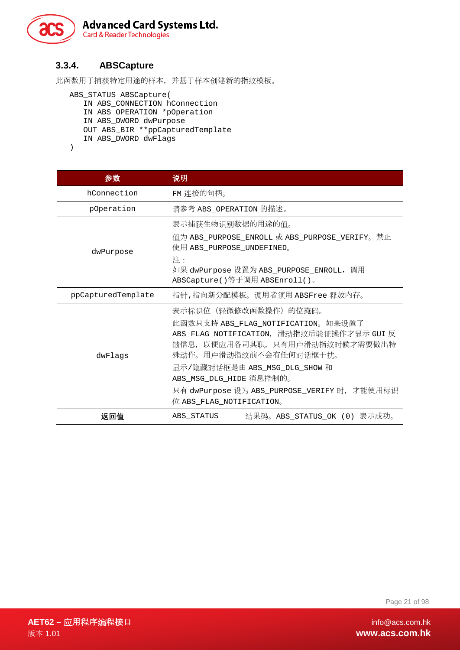

#### <span id="page-20-0"></span>**3.3.4. ABSCapture**

此函数用于捕获特定用途的样本,并基于样本创建新的指纹模板。

```
ABS_STATUS ABSCapture(
   IN ABS_CONNECTION hConnection
   IN ABS_OPERATION *pOperation
   IN ABS_DWORD dwPurpose
   OUT ABS_BIR **ppCapturedTemplate
   IN ABS_DWORD dwFlags
)
```

```
参数 说明
  hConnection FM 连接的句柄。
   pOperation 请参考 ABS_OPERATION 的描述。
   dwPurpose
                 表示捕获生物识别数据的用途的值。
                 值为 ABS_PURPOSE_ENROLL 或 ABS_PURPOSE_VERIFY。禁止
                 使用 ABS_PURPOSE_UNDEFINED。
                 注:
                 如果 dwPurpose 设置为 ABS_PURPOSE_ENROLL,调用
                 ABSCapture()等于调用 ABSEnroll()。
ppCapturedTemplate 指针,指向新分配模板。调用者须用 ABSFree 释放内存。
    dwFlags
                 表示标识位(轻微修改函数操作)的位掩码。
                 此函数只支持 ABS_FLAG_NOTIFICATION。如果设置了
                 ABS_FLAG_NOTIFICATION,滑动指纹后验证操作才显示 GUI 反
                 馈信息,以便应用各司其职,只有用户滑动指纹时候才需要做出特
                 殊动作。用户滑动指纹前不会有任何对话框干扰。
                 显示/隐藏对话框是由 ABS_MSG_DLG_SHOW 和
                 ABS_MSG_DLG_HIDE 消息控制的。
                 只有 dwPurpose 设为 ABS_PURPOSE_VERIFY 时,才能使用标识
                 位 ABS_FLAG_NOTIFICATION。
     返回值 ABS_STATUS 结果码。ABS_STATUS_OK (0) 表示成功。
```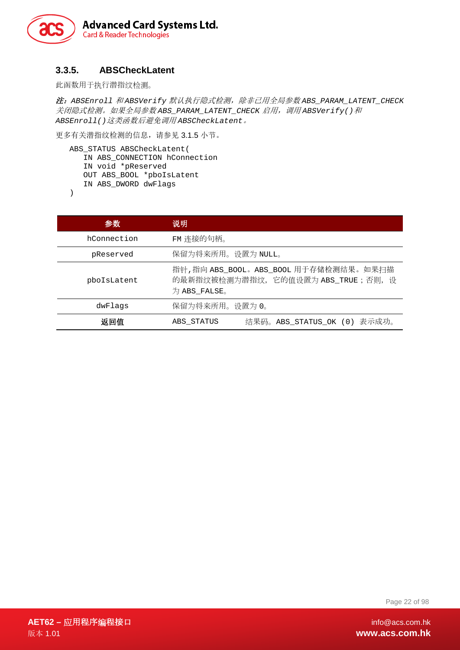

#### <span id="page-21-0"></span>**3.3.5. ABSCheckLatent**

此函数用于执行潜指纹检测。

注:*ABSEnroll* 和 *ABSVerify* 默认执行隐式检测,除非已用全局参数 *ABS\_PARAM\_LATENT\_CHECK* 关闭隐式检测。如果全局参数 *ABS\_PARAM\_LATENT\_CHECK* 启用,调用 *ABSVerify()*和 *ABSEnroll()*这类函数后避免调用 *ABSCheckLatent*。

更多有关潜指纹检测的信息,请参见 [3.1.5](#page-8-0) 小节。

```
ABS_STATUS ABSCheckLatent(
  IN ABS_CONNECTION hConnection
  IN void *pReserved
  OUT ABS_BOOL *pboIsLatent
  IN ABS_DWORD dwFlags
```
)

| 参数          | 说明                                                                                            |
|-------------|-----------------------------------------------------------------------------------------------|
| hConnection | FM 连接的句柄。                                                                                     |
| pReserved   | 保留为将来所用。设置为 NULL。                                                                             |
| pbolsLatent | 指针,指向 ABS_BOOL。ABS_BOOL 用于存储检测结果。如果扫描<br>的最新指纹被检测为潜指纹, 它的值设置为 ABS_TRUE; 否则, 设<br>为 ABS FALSE。 |
| dwFlags     | 保留为将来所用。设置为 0。                                                                                |
| 返回值         | 结果码。ABS_STATUS_OK (0) 表示成功。<br>ABS STATUS                                                     |

Page 22 of 98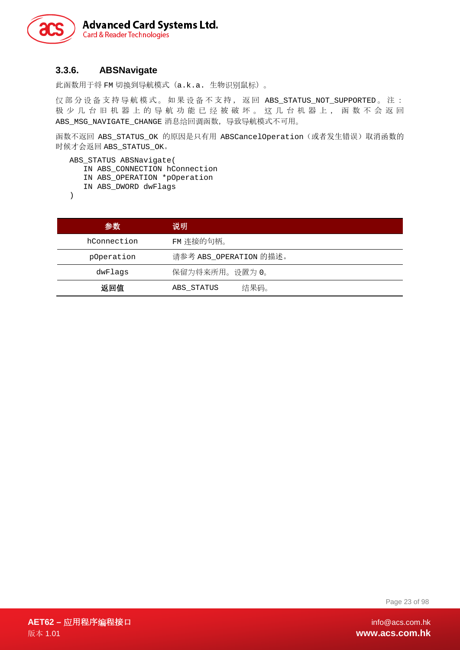

#### <span id="page-22-0"></span>**3.3.6. ABSNavigate**

此函数用于将 FM 切换到导航模式(a.k.a. 生物识别鼠标)。

仅 部 分 设 备 支 持 导 航模式。如果 设 备 不支持,返回 ABS\_STATUS\_NOT\_SUPPORTED 。注: 极少几台旧机器上的导航功能已经被破坏。这几台机器上,函数不会返回 ABS\_MSG\_NAVIGATE\_CHANGE 消息给回调函数,导致导航模式不可用。

函数不返回 ABS STATUS OK 的原因是只有用 ABSCancelOperation(或者发生错误)取消函数的 时候才会返回 ABS\_STATUS\_OK。

ABS\_STATUS ABSNavigate(

- IN ABS\_CONNECTION hConnection
- IN ABS\_OPERATION \*pOperation

IN ABS\_DWORD dwFlags

)

| 参数          | 说明                     |
|-------------|------------------------|
| hConnection | FM 连接的句柄。              |
| pOperation  | 请参考 ABS_OPERATION 的描述。 |
| dwFlags     | 保留为将来所用。设置为 0。         |
| 返回值         | 结果码。<br>ABS STATUS     |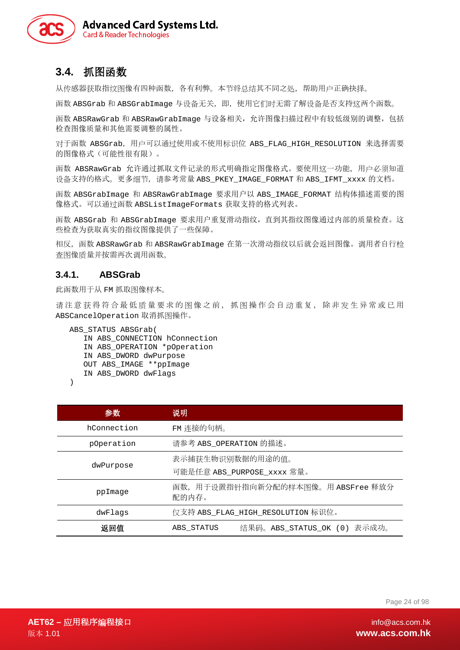

#### <span id="page-23-0"></span>**3.4.** 抓图函数

从传感器获取指纹图像有四种函数,各有利弊。本节将总结其不同之处,帮助用户正确抉择。

函数 ABSGrab 和 ABSGrabImage 与设备无关,即,使用它们时无需了解设备是否支持这两个函数。

函数 ABSRawGrab 和 ABSRawGrabImage 与设备相关, 允许图像扫描过程中有较低级别的调整, 包括 检查图像质量和其他需要调整的属性。

对于函数 ABSGrab,用户可以通过使用或不使用标识位 ABS\_FLAG\_HIGH\_RESOLUTION 来选择需要 的图像格式(可能性很有限)。

函数 ABSRawGrab 允许通过抓取文件记录的形式明确指定图像格式。要使用这一功能,用户必须知道 设备支持的格式。更多细节, 请参考常量 ABS\_PKEY\_IMAGE\_FORMAT 和 ABS\_IFMT\_xxxx 的文档。

函数 ABSGrabImage 和 ABSRawGrabImage 要求用户以 ABS\_IMAGE\_FORMAT 结构体描述需要的图 像格式。可以通过函数 ABSListImageFormats 获取支持的格式列表。

函数 ABSGrab 和 ABSGrabImage 要求用户重复滑动指纹,直到其指纹图像通过内部的质量检查。这 些检查为获取真实的指纹图像提供了一些保障。

相反,函数 ABSRawGrab 和 ABSRawGrabImage 在第一次滑动指纹以后就会返回图像。调用者自行检 查图像质量并按需再次调用函数。

#### <span id="page-23-1"></span>**3.4.1. ABSGrab**

此函数用于从 FM 抓取图像样本。

请注意获得符合最低质量要求的图像之前,抓图操作会自动重复,除非发生异常或已用 ABSCancelOperation 取消抓图操作。

ABS\_STATUS ABSGrab(

```
IN ABS_CONNECTION hConnection 
IN ABS_OPERATION *pOperation 
IN ABS_DWORD dwPurpose 
OUT ABS_IMAGE **ppImage 
IN ABS_DWORD dwFlags
```

```
)
```

| 参数          | 说明                                             |  |
|-------------|------------------------------------------------|--|
| hConnection | FM 连接的句柄。                                      |  |
| pOperation  | 请参考 ABS OPERATION 的描述。                         |  |
| dwPurpose   | 表示捕获生物识别数据的用途的值。<br>可能是任意 ABS_PURPOSE_xxxx 常量。 |  |
| ppImage     | 函数, 用于设置指针指向新分配的样本图像。用 ABSFree 释放分<br>配的内存。    |  |
| dwFlags     | 仅支持 ABS_FLAG_HIGH_RESOLUTION 标识位。              |  |
| 返回值         | 结果码。ABS_STATUS_OK (0) 表示成功。<br>ABS STATUS      |  |

Page 24 of 98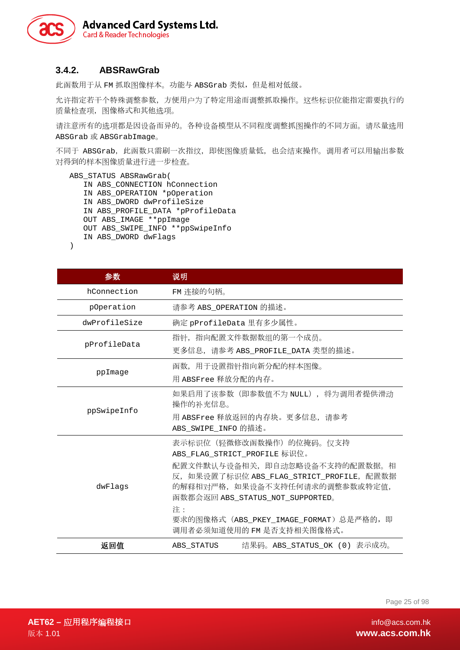

#### <span id="page-24-0"></span>**3.4.2. ABSRawGrab**

此函数用于从 FM 抓取图像样本。功能与 ABSGrab 类似,但是相对低级。

允许指定若干个特殊调整参数,方便用户为了特定用途而调整抓取操作。这些标识位能指定需要执行的 质量检查项,图像格式和其他选项。

请注意所有的选项都是因设备而异的。各种设备模型从不同程度调整抓图操作的不同方面。请尽量选用 ABSGrab 或 ABSGrabImage。

不同于 ABSGrab, 此函数只需刷一次指纹, 即使图像质量低, 也会结束操作。调用者可以用输出参数 对得到的样本图像质量进行进一步检查。

```
ABS_STATUS ABSRawGrab( 
   IN ABS_CONNECTION hConnection 
   IN ABS_OPERATION *pOperation 
   IN ABS_DWORD dwProfileSize 
   IN ABS_PROFILE_DATA *pProfileData 
   OUT ABS_IMAGE **ppImage 
   OUT ABS_SWIPE_INFO **ppSwipeInfo 
   IN ABS_DWORD dwFlags 
)
```
参数 说明 hConnection FM 连接的句柄。 pOperation 请参考 ABS\_OPERATION 的描述。 dwProfileSize 确定 pProfileData 里有多少属性。 pProfileData 指针,指向配置文件数据数组的第一个成员。 更多信息,请参考 ABS\_PROFILE\_DATA 类型的描述。 ppImage 函数,用于设置指针指向新分配的样本图像。 用 ABSFree 释放分配的内存。 ppSwipeInfo 如果启用了该参数(即参数值不为 NULL),将为调用者提供滑动 操作的补充信息。 用 ABSFree 释放返回的内存块。更多信息,请参考 ABS SWIPE INFO 的描述。 dwFlags 表示标识位(轻微修改函数操作)的位掩码。仅支持 ABS\_FLAG\_STRICT\_PROFILE 标识位。 配置文件默认与设备相关,即自动忽略设备不支持的配置数据。相 反,如果设置了标识位 ABS\_FLAG\_STRICT\_PROFILE,配置数据 的解释相对严格,如果设备不支持任何请求的调整参数或特定值, 函数都会返回 ABS\_STATUS\_NOT\_SUPPORTED。 注: 要求的图像格式 (ABS PKEY IMAGE FORMAT)总是严格的, 即 调用者必须知道使用的 FM 是否支持相关图像格式。 返回值 ABS\_STATUS 结果码。ABS\_STATUS\_OK (0) 表示成功。

Page 25 of 98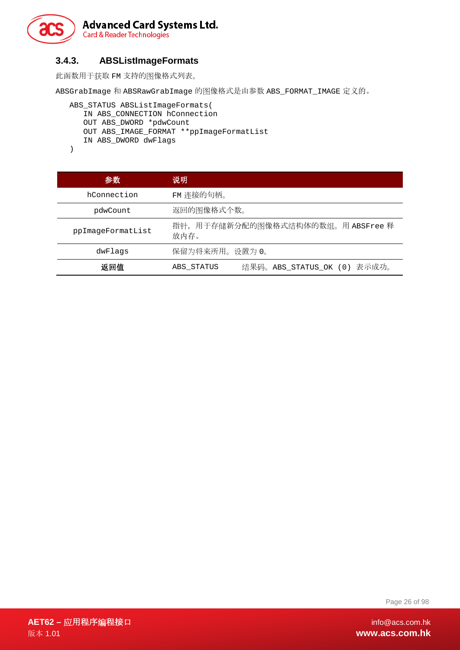

#### **3.4.3. ABSListImageFormats**

<span id="page-25-0"></span>此函数用于获取 FM 支持的图像格式列表。

ABSGrabImage 和 ABSRawGrabImage 的图像格式是由参数 ABS\_FORMAT\_IMAGE 定义的。

```
ABS_STATUS ABSListImageFormats( 
   IN ABS_CONNECTION hConnection 
   OUT ABS_DWORD *pdwCount 
  OUT ABS_IMAGE_FORMAT **ppImageFormatList 
   IN ABS_DWORD dwFlags
```

```
)
```

| 参数                | 说明                                           |  |
|-------------------|----------------------------------------------|--|
| hConnection       | FM 连接的句柄。                                    |  |
| pdwCount          | 返回的图像格式个数。                                   |  |
| ppImageFormatList | 指针, 用于存储新分配的图像格式结构体的数组。用 ABSFree 释<br>放内存。   |  |
| dwFlaqs           | 保留为将来所用。设置为 0。                               |  |
| 返回值               | 表示成功。<br>结果码。ABS_STATUS_OK (0)<br>ABS STATUS |  |

Page 26 of 98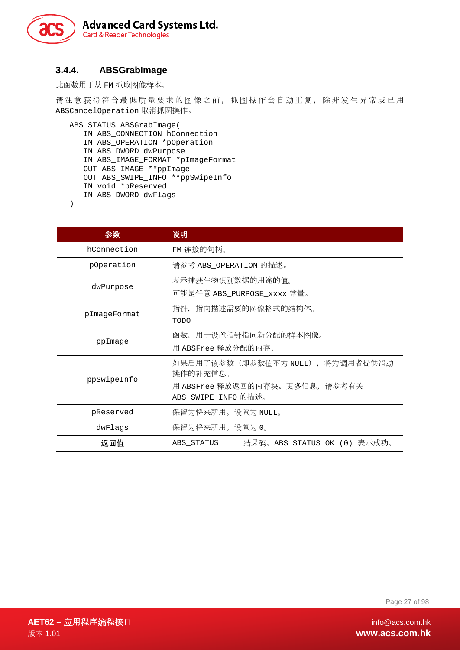

#### <span id="page-26-0"></span>**3.4.4. ABSGrabImage**

此函数用于从 FM 抓取图像样本。

请注意获得符合最低质量要求的图像之前,抓图操作会自动重复,除非发生异常或已用 ABSCancelOperation 取消抓图操作。

```
ABS_STATUS ABSGrabImage( 
   IN ABS_CONNECTION hConnection 
   IN ABS_OPERATION *pOperation 
   IN ABS_DWORD dwPurpose 
   IN ABS_IMAGE_FORMAT *pImageFormat 
   OUT ABS_IMAGE **ppImage 
   OUT ABS_SWIPE_INFO **ppSwipeInfo 
   IN void *pReserved 
   IN ABS_DWORD dwFlags
```
)

| 参数           | 说明                                                   |  |
|--------------|------------------------------------------------------|--|
| hConnection  | FM 连接的句柄。                                            |  |
| pOperation   | 请参考 ABS OPERATION 的描述。                               |  |
| dwPurpose    | 表示捕获生物识别数据的用途的值。<br>可能是任意 ABS_PURPOSE_xxxx 常量。       |  |
| pImageFormat | 指针,指向描述需要的图像格式的结构体。<br><b>TODO</b>                   |  |
| ppImage      | 函数,用于设置指针指向新分配的样本图像。<br>用 ABSFree 释放分配的内存。           |  |
| ppSwipeInfo  | 如果启用了该参数(即参数值不为 NULL), 将为调用者提供滑动<br>操作的补充信息。         |  |
|              | 用 ABSFree 释放返回的内存块。更多信息,请参考有关<br>ABS_SWIPE_INFO 的描述。 |  |
| pReserved    | 保留为将来所用。设置为 NULL。                                    |  |
| dwFlags      | 保留为将来所用。设置为 0。                                       |  |
| 返回值          | 结果码。ABS_STATUS_OK (0) 表示成功。<br>ABS STATUS            |  |

Page 27 of 98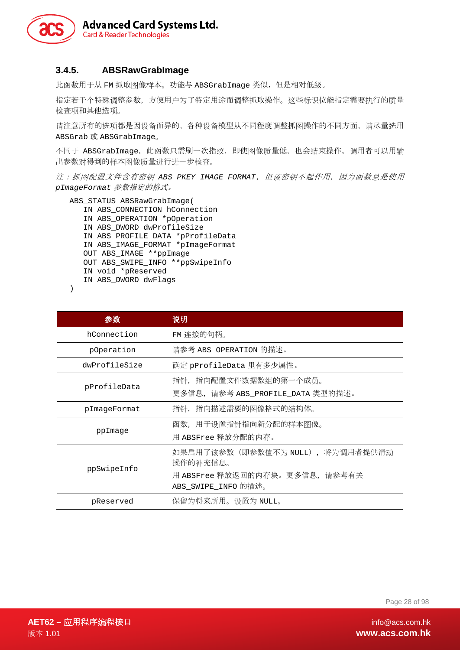

#### <span id="page-27-0"></span>**3.4.5. ABSRawGrabImage**

此函数用于从 FM 抓取图像样本。功能与 ABSGrabImage 类似, 但是相对低级。

指定若干个特殊调整参数,方便用户为了特定用途而调整抓取操作。这些标识位能指定需要执行的质量 检查项和其他选项。

请注意所有的选项都是因设备而异的。各种设备模型从不同程度调整抓图操作的不同方面。请尽量选用 ABSGrab 或 ABSGrabImage。

不同于 ABSGrabImage, 此函数只需刷一次指纹, 即使图像质量低, 也会结束操作。调用者可以用输 出参数对得到的样本图像质量进行进一步检查。

注:抓图配置文件含有密钥 *ABS\_PKEY\_IMAGE\_FORMAT*,但该密钥不起作用,因为函数总是使用 *pImageFormat* 参数指定的格式。

ABS\_STATUS ABSRawGrabImage( IN ABS\_CONNECTION hConnection IN ABS\_OPERATION \*pOperation IN ABS\_DWORD dwProfileSize IN ABS\_PROFILE\_DATA \*pProfileData IN ABS\_IMAGE\_FORMAT \*pImageFormat OUT ABS\_IMAGE \*\*ppImage OUT ABS SWIPE INFO \*\*ppSwipeInfo IN void \*pReserved IN ABS\_DWORD dwFlags

)

| 参数            | 说明                                                                                                   |  |  |
|---------------|------------------------------------------------------------------------------------------------------|--|--|
| hConnection   | FM 连接的句柄。                                                                                            |  |  |
| pOperation    | 请参考 ABS OPERATION 的描述。                                                                               |  |  |
| dwProfileSize | 确定 pProfileData 里有多少属性。                                                                              |  |  |
| pProfileData  | 指针, 指向配置文件数据数组的第一个成员。<br>更多信息, 请参考 ABS_PROFILE_DATA 类型的描述。                                           |  |  |
| pImageFormat  | 指针,指向描述需要的图像格式的结构体。                                                                                  |  |  |
| ppImage       | 函数,用于设置指针指向新分配的样本图像。<br>用 ABSFree 释放分配的内存。                                                           |  |  |
| ppSwipeInfo   | 如果启用了该参数(即参数值不为 NULL), 将为调用者提供滑动<br>操作的补充信息。<br>用 ABSFree 释放返回的内存块。更多信息,请参考有关<br>ABS_SWIPE_INFO 的描述。 |  |  |
| pReserved     | 保留为将来所用。设置为 NULL。                                                                                    |  |  |

Page 28 of 98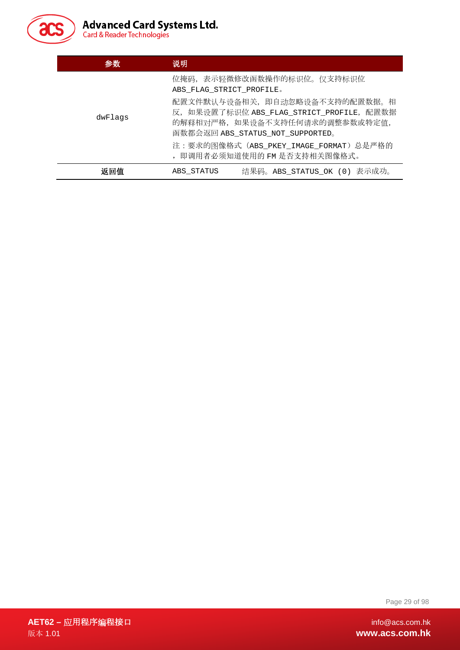

| 参数      | 说明                                                                                                                                                |  |
|---------|---------------------------------------------------------------------------------------------------------------------------------------------------|--|
|         | 位掩码, 表示轻微修改函数操作的标识位。仅支持标识位<br>ABS FLAG STRICT PROFILE.                                                                                            |  |
| dwFlags | 配置文件默认与设备相关, 即自动忽略设备不支持的配置数据。相<br>反, 如果设置了标识位 ABS_FLAG_STRICT_PROFILE, 配置数据<br>的解释相对严格, 如果设备不支持任何请求的调整参数或特定值,<br>函数都会返回 ABS_STATUS_NOT_SUPPORTED。 |  |
|         | 注:要求的图像格式 (ABS_PKEY_IMAGE_FORMAT) 总是严格的<br>, 即调用者必须知道使用的 FM 是否支持相关图像格式。                                                                           |  |
| 返回值     | 结果码。ABS_STATUS_OK (0) 表示成功。<br>ABS STATUS                                                                                                         |  |

Page 29 of 98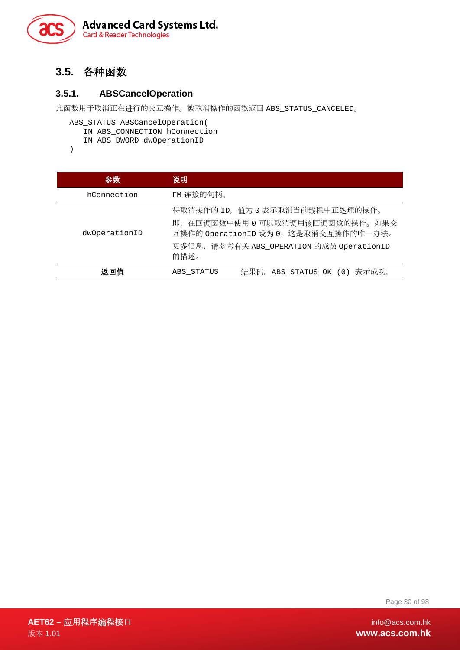

#### <span id="page-29-0"></span>**3.5.** 各种函数

#### <span id="page-29-1"></span>**3.5.1. ABSCancelOperation**

此函数用于取消正在进行的交互操作。被取消操作的函数返回 ABS\_STATUS\_CANCELED。

```
ABS_STATUS ABSCancelOperation( 
  IN ABS CONNECTION hConnection
  IN ABS_DWORD dwOperationID
```
)

| 参数            | 说明                                                                                                                                                                 |  |
|---------------|--------------------------------------------------------------------------------------------------------------------------------------------------------------------|--|
| hConnection   | FM 连接的句柄。                                                                                                                                                          |  |
| dwOperationID | 待取消操作的 ID, 值为 0 表示取消当前线程中正处理的操作。<br>即, 在回调函数中使用 0 可以取消调用该回调函数的操作。如果交<br>互操作的 OperationID 设为 0, 这是取消交互操作的唯一办法。<br>更多信息, 请参考有关 ABS_OPERATION 的成员 OperationID<br>的描述。 |  |
| 返回值           | 结果码。ABS_STATUS_OK (0) 表示成功。<br>ABS STATUS                                                                                                                          |  |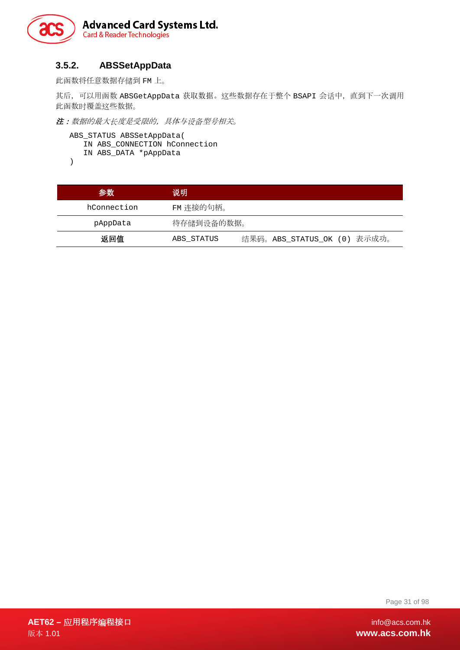

#### <span id="page-30-0"></span>**3.5.2. ABSSetAppData**

此函数将任意数据存储到 FM 上。

其后,可以用函数 ABSGetAppData 获取数据。这些数据存在于整个 BSAPI 会话中, 直到下一次调用 此函数时覆盖这些数据。

注:数据的最大长度是受限的,具体与设备型号相关。

```
ABS_STATUS ABSSetAppData( 
   IN ABS_CONNECTION hConnection 
   IN ABS_DATA *pAppData
)
```
参数 说明 hConnection FM 连接的句柄。 pAppData 待存储到设备的数据。 返回值 ABS\_STATUS 结果码。ABS\_STATUS\_OK (0) 表示成功。

Page 31 of 98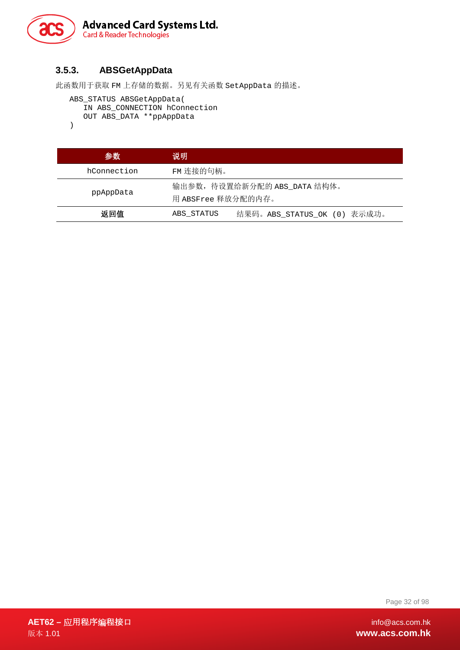

#### <span id="page-31-0"></span>**3.5.3. ABSGetAppData**

此函数用于获取 FM 上存储的数据。另见有关函数 SetAppData 的描述。

```
ABS_STATUS ABSGetAppData( 
   IN ABS CONNECTION hConnection
   OUT ABS_DATA **ppAppData
```
)

| 参数          | 说明                 |                              |
|-------------|--------------------|------------------------------|
| hConnection | FM 连接的句柄。          |                              |
| ppAppData   | 用 ABSFree 释放分配的内存。 | 输出参数, 待设置给新分配的 ABS_DATA 结构体。 |
| 返回值         | ABS STATUS         | 结果码。ABS_STATUS_OK (0) 表示成功。  |

Page 32 of 98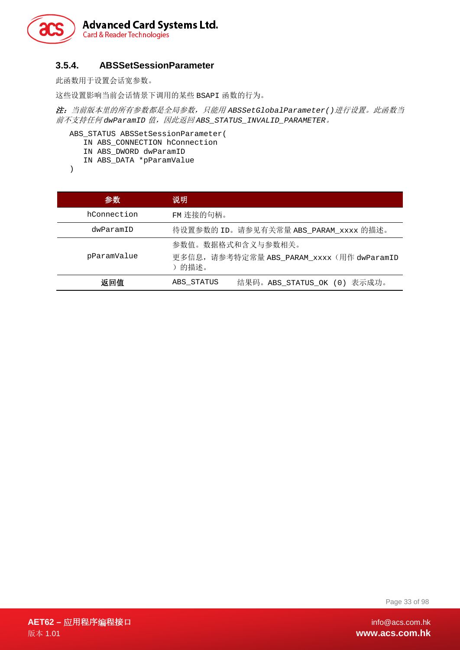

#### <span id="page-32-0"></span>**3.5.4. ABSSetSessionParameter**

此函数用于设置会话宽参数。

这些设置影响当前会话情景下调用的某些 BSAPI 函数的行为。

注:当前版本里的所有参数都是全局参数,只能用 *ABSSetGlobalParameter()*进行设置。此函数当 前不支持任何 *dwParamID* 值,因此返回 *ABS\_STATUS\_INVALID\_PARAMETER*。

ABS\_STATUS ABSSetSessionParameter( IN ABS\_CONNECTION hConnection IN ABS\_DWORD dwParamID IN ABS\_DATA \*pParamValue

)

| 参数          | 说明                                                                      |
|-------------|-------------------------------------------------------------------------|
| hConnection | FM 连接的句柄。                                                               |
| dwParamID   | 待设置参数的 ID。请参见有关常量 ABS_PARAM_xxxx 的描述。                                   |
| pParamValue | 参数值。数据格式和含义与参数相关。<br>更多信息, 请参考特定常量 ABS_PARAM_xxxx(用作 dwParamID<br>)的描述。 |
| 返回值         | 结果码。ABS_STATUS_OK (0) 表示成功。<br>ABS STATUS                               |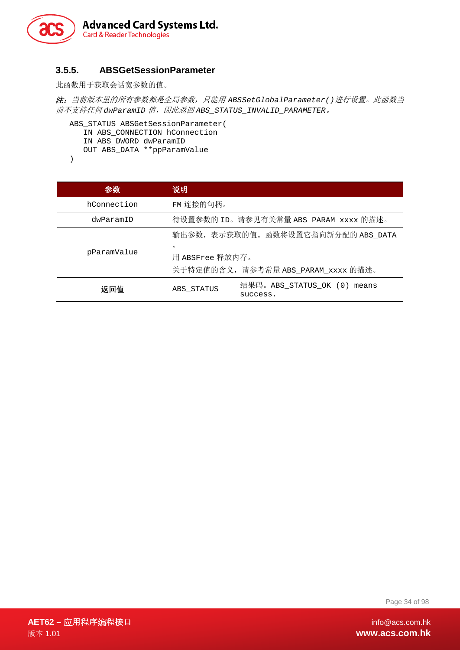

#### <span id="page-33-0"></span>**3.5.5. ABSGetSessionParameter**

此函数用于获取会话宽参数的值。

注:当前版本里的所有参数都是全局参数,只能用 *ABSSetGlobalParameter()*进行设置。此函数当 前不支持任何 *dwParamID* 值,因此返回 *ABS\_STATUS\_INVALID\_PARAMETER*。

```
ABS_STATUS ABSGetSessionParameter( 
   IN ABS_CONNECTION hConnection 
   IN ABS_DWORD dwParamID 
   OUT ABS_DATA **ppParamValue
```
)

| 参数          | 说明                                                               |
|-------------|------------------------------------------------------------------|
| hConnection | FM 连接的句柄。                                                        |
| dwParamID   | 待设置参数的 ID。请参见有关常量 ABS_PARAM_xxxx 的描述。                            |
| pParamValue | 输出参数, 表示获取的值。函数将设置它指向新分配的 ABS_DATA<br>$\circ$<br>用 ABSFree 释放内存。 |
|             | 关于特定值的含义, 请参考常量 ABS_PARAM_xxxx 的描述。                              |
| 返回值         | 结果码。ABS_STATUS_OK (0)<br>means<br>ABS STATUS<br>success.         |

Page 34 of 98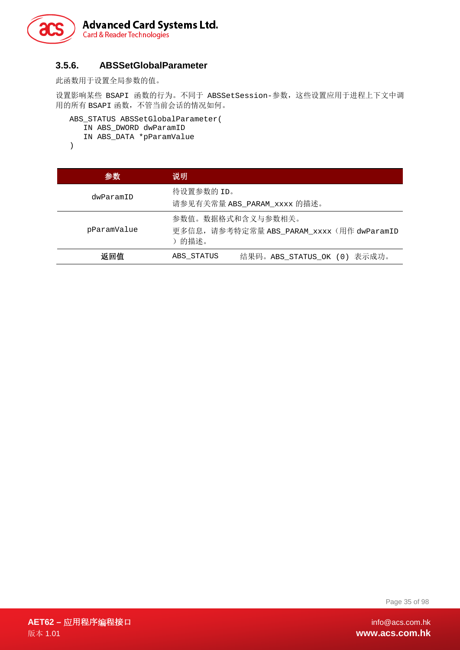

#### <span id="page-34-0"></span>**3.5.6. ABSSetGlobalParameter**

此函数用于设置全局参数的值。

设置影响某些 BSAPI 函数的行为。不同于 ABSSetSession-参数,这些设置应用于进程上下文中调 用的所有 BSAPI 函数,不管当前会话的情况如何。

```
ABS_STATUS ABSSetGlobalParameter( 
   IN ABS_DWORD dwParamID 
   IN ABS_DATA *pParamValue 
)
```

```
参数 说明
```

| dwParamID   | 待设置参数的 ID。<br>请参见有关常量 ABS_PARAM_xxxx 的描述。                                |
|-------------|--------------------------------------------------------------------------|
| pParamValue | 参数值。数据格式和含义与参数相关。<br>更多信息, 请参考特定常量 ABS PARAM xxxx (用作 dwParamID<br>)的描述。 |
| 返回值         | 结果码。ABS_STATUS_OK (0) 表示成功。<br>ABS STATUS                                |

Page 35 of 98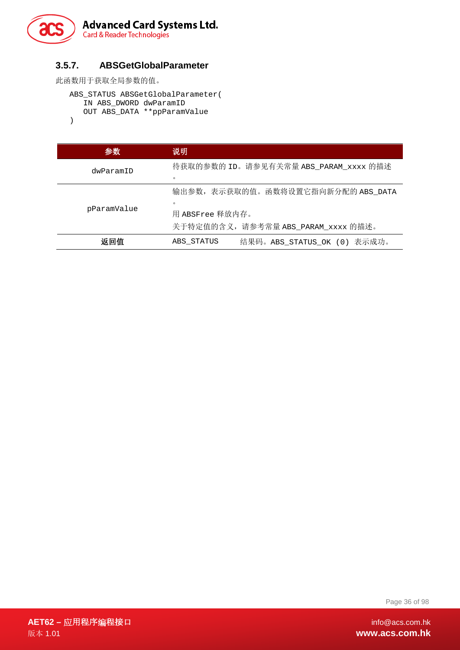

#### <span id="page-35-0"></span>**3.5.7. ABSGetGlobalParameter**

此函数用于获取全局参数的值。

```
ABS_STATUS ABSGetGlobalParameter( 
   IN ABS_DWORD dwParamID 
   OUT ABS_DATA **ppParamValue 
)
```

| 参数          | 说明                                        |
|-------------|-------------------------------------------|
| dwParamID   | 待获取的参数的 ID。请参见有关常量 ABS_PARAM_xxxx 的描述     |
|             | $\circ$                                   |
| pParamValue | 输出参数,表示获取的值。函数将设置它指向新分配的 ABS_DATA         |
|             | $\Omega$                                  |
|             | 用 ABSFree 释放内存。                           |
|             | 关于特定值的含义, 请参考常量 ABS_PARAM_xxxx 的描述。       |
| 返回值         | 结果码。ABS STATUS OK (0) 表示成功。<br>ABS STATUS |

Page 36 of 98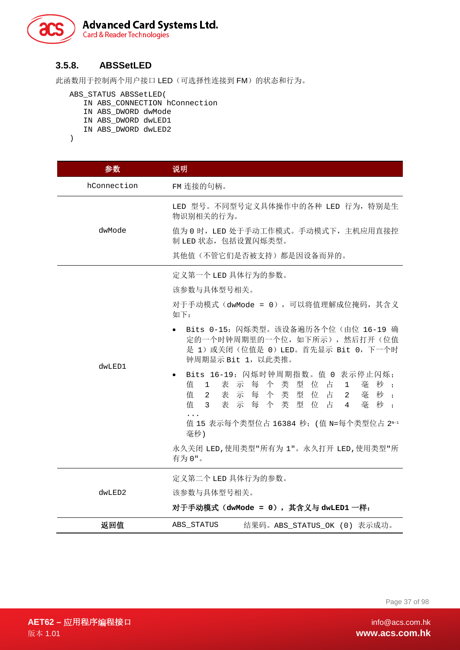

#### **3.5.8. ABSSetLED**

此函数用于控制两个用户接口 LED(可选择性连接到 FM)的状态和行为。

ABS\_STATUS ABSSetLED(

- IN ABS\_CONNECTION hConnection
- IN ABS\_DWORD dwMode
- IN ABS\_DWORD dwLED1

```
IN ABS_DWORD dwLED2
```
)

| 参数          | 说明                                                                                                                                                                                                                                                                                                                                                                                                                                                                                                                                            |
|-------------|-----------------------------------------------------------------------------------------------------------------------------------------------------------------------------------------------------------------------------------------------------------------------------------------------------------------------------------------------------------------------------------------------------------------------------------------------------------------------------------------------------------------------------------------------|
| hConnection | FM 连接的句柄。                                                                                                                                                                                                                                                                                                                                                                                                                                                                                                                                     |
| dwMode      | LED 型号。不同型号定义具体操作中的各种 LED 行为, 特别是生<br>物识别相关的行为。                                                                                                                                                                                                                                                                                                                                                                                                                                                                                               |
|             | 值为 0 时, LED 处于手动工作模式。手动模式下, 主机应用直接控<br>制 LED 状态, 包括设置闪烁类型。                                                                                                                                                                                                                                                                                                                                                                                                                                                                                    |
|             | 其他值(不管它们是否被支持)都是因设备而异的。                                                                                                                                                                                                                                                                                                                                                                                                                                                                                                                       |
| dwLED1      | 定义第一个 LED 具体行为的参数。<br>该参数与具体型号相关。<br>对于手动模式 (dwMode = 0), 可以将值理解成位掩码, 其含义<br>如下:<br>Bits 0-15: 闪烁类型。该设备遍历各个位(由位 16-19 确<br>定的一个时钟周期里的一个位,如下所示),然后打开(位值<br>是 1) 或关闭(位值是 0) LED。首先显示 Bit 0, 下一个时<br>钟周期显示 Bit 1, 以此类推。<br>Bits 16-19: 闪烁时钟周期指数。值 0 表示停止闪烁;<br>值<br>表示每个<br>类<br>型<br>位 占<br>毫秒;<br>$\mathbf{1}$<br>1<br>表示每个类型位占<br>值<br>毫秒;<br>$\overline{2}$<br>$2^{\circ}$<br>表示每个类型位占<br>值<br>毫秒:<br>3 <sup>7</sup><br>$\overline{4}$<br>值 15 表示每个类型位占 16384 秒; (值 N=每个类型位占 2N-1<br>毫秒)<br>永久关闭 LED, 使用类型"所有为 1"。永久打开 LED, 使用类型"所<br>有为 0"。 |
| dwLED2      | 定义第二个 LED 具体行为的参数。<br>该参数与具体型号相关。<br>对于手动模式(dwMode = 0),其含义与 dwLED1 一样:                                                                                                                                                                                                                                                                                                                                                                                                                                                                       |
| 返回值         | ABS_STATUS<br>结果码。ABS STATUS OK (0) 表示成功。                                                                                                                                                                                                                                                                                                                                                                                                                                                                                                     |

Page 37 of 98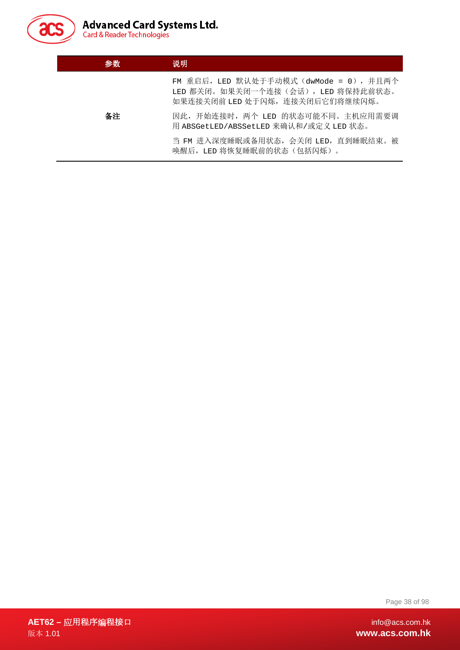

| 参数 | 说明                                                                                                            |
|----|---------------------------------------------------------------------------------------------------------------|
|    | FM 重启后,LED 默认处于手动模式(dwMode = 0),并且两个<br>LED 都关闭。如果关闭一个连接(会话), LED 将保持此前状态。<br>如果连接关闭前 LED 处于闪烁, 连接关闭后它们将继续闪烁。 |
| 备注 | 因此, 开始连接时, 两个 LED 的状态可能不同。主机应用需要调<br>用 ABSGetLED/ABSSetLED 来确认和/或定义 LED 状态。                                   |
|    | 当 FM 进入深度睡眠或备用状态, 会关闭 LED, 直到睡眠结束。被<br>唤醒后, LED 将恢复睡眠前的状态(包括闪烁)。                                              |

Page 38 of 98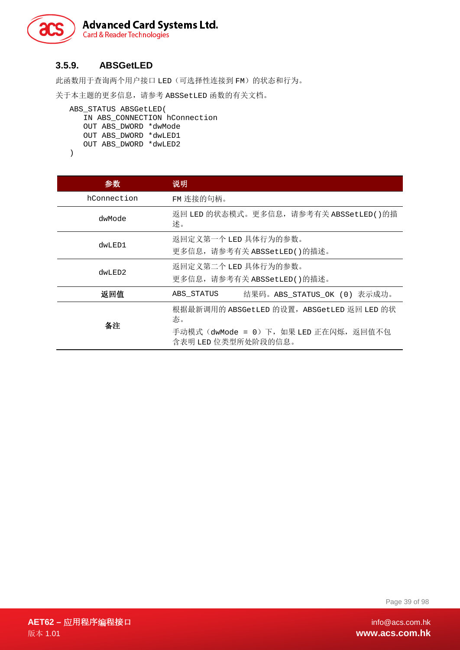

## **3.5.9. ABSGetLED**

此函数用于查询两个用户接口 LED(可选择性连接到 FM)的状态和行为。

关于本主题的更多信息,请参考 ABSSetLED 函数的有关文档。

```
ABS_STATUS ABSGetLED( 
   IN ABS_CONNECTION hConnection 
   OUT ABS_DWORD *dwMode 
   OUT ABS_DWORD *dwLED1 
  OUT ABS_DWORD *dwLED2
```
)

| 参数          | 说明                                                                                                               |
|-------------|------------------------------------------------------------------------------------------------------------------|
| hConnection | FM 连接的句柄。                                                                                                        |
| dwMode      | 返回 LED 的状态模式。更多信息,请参考有关 ABSSetLED()的描<br>述。                                                                      |
| dwLED1      | 返回定义第一个 LED 具体行为的参数。<br>更多信息, 请参考有关 ABSSetLED()的描述。                                                              |
| dwLED2      | 返回定义第二个 LED 具体行为的参数。<br>更多信息, 请参考有关 ABSSetLED()的描述。                                                              |
| 返回值         | 结果码。ABS STATUS OK (0) 表示成功。<br>ABS STATUS                                                                        |
| 备注          | 根据最新调用的 ABSGetLED 的设置, ABSGetLED 返回 LED 的状<br>态。<br>手动模式 (dwMode = 0) 下,如果 LED 正在闪烁,返回值不包<br>含表明 LED 位类型所处阶段的信息。 |

Page 39 of 98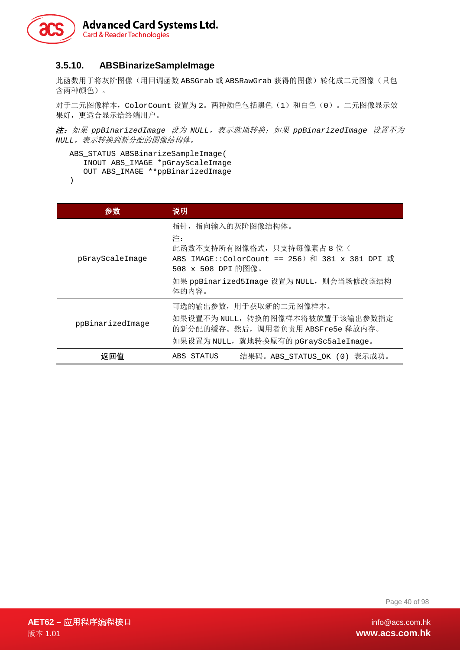

#### **3.5.10. ABSBinarizeSampleImage**

此函数用于将灰阶图像(用回调函数 ABSGrab 或 ABSRawGrab 获得的图像)转化成二元图像(只包 含两种颜色)。

对于二元图像样本,ColorCount 设置为 2。两种颜色包括黑色(1)和白色(0)。二元图像显示效 果好,更适合显示给终端用户。

注:如果 *ppBinarizedImage* 设为 *NULL*,表示就地转换;如果 *ppBinarizedImage* 设置不为 *NULL*,表示转换到新分配的图像结构体。

```
ABS_STATUS ABSBinarizeSampleImage( 
   INOUT ABS_IMAGE *pGrayScaleImage 
   OUT ABS_IMAGE **ppBinarizedImage 
)
```

|                  | 说明                                                                                                                                                                                  |
|------------------|-------------------------------------------------------------------------------------------------------------------------------------------------------------------------------------|
| pGrayScaleImage  | 指针, 指向输入的灰阶图像结构体。<br>注:<br>此函数不支持所有图像格式, 只支持每像素占 8 位(<br>ABS IMAGE::ColorCount == 256) 和 381 x 381 DPI 或<br>508 x 508 DPI 的图像。<br>如果 ppBinarized5Image 设置为 NULL, 则会当场修改该结构<br>体的内容。 |
| ppBinarizedImage | 可选的输出参数, 用于获取新的二元图像样本。<br>如果设置不为 NULL, 转换的图像样本将被放置于该输出参数指定<br>的新分配的缓存。然后, 调用者负责用 ABSFre5e 释放内存。<br>如果设置为 NULL, 就地转换原有的 pGraySc5aleImage。                                            |
| 返回值              | 结果码。ABS STATUS OK (0) 表示成功。<br>ABS STATUS                                                                                                                                           |

Page 40 of 98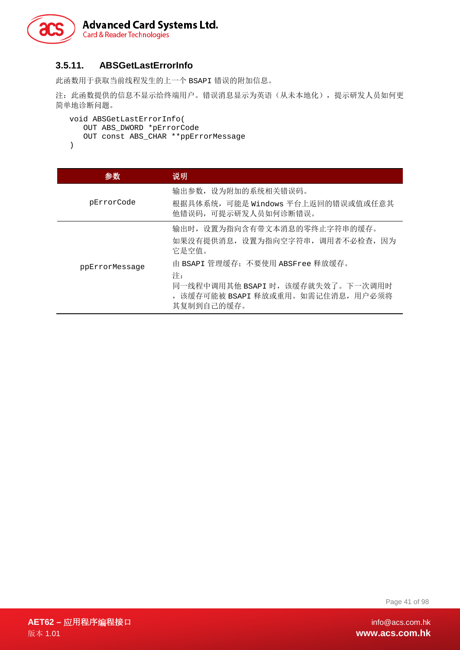

#### **3.5.11. ABSGetLastErrorInfo**

此函数用于获取当前线程发生的上一个 BSAPI 错误的附加信息。

注: 此函数提供的信息不显示给终端用户。错误消息显示为英语(从未本地化),提示研发人员如何更 简单地诊断问题。

```
void ABSGetLastErrorInfo( 
  OUT ABS DWORD *pErrorCode
  OUT const ABS_CHAR **ppErrorMessage
)
```

```
参数 说明
 pErrorCode
             输出参数,设为附加的系统相关错误码。
             根据具体系统,可能是 Windows 平台上返回的错误或值或任意其
             他错误码,可提示研发人员如何诊断错误。
ppErrorMessage
             输出时,设置为指向含有带文本消息的零终止字符串的缓存。
             如果没有提供消息,设置为指向空字符串,调用者不必检查,因为
             它是空值。
             由 BSAPI 管理缓存;不要使用 ABSFree 释放缓存。
             注:
             同一线程中调用其他 BSAPI 时, 该缓存就失效了。下一次调用时
             ,该缓存可能被 BSAPI 释放或重用。如需记住消息,用户必须将
             其复制到自己的缓存。
```
Page 41 of 98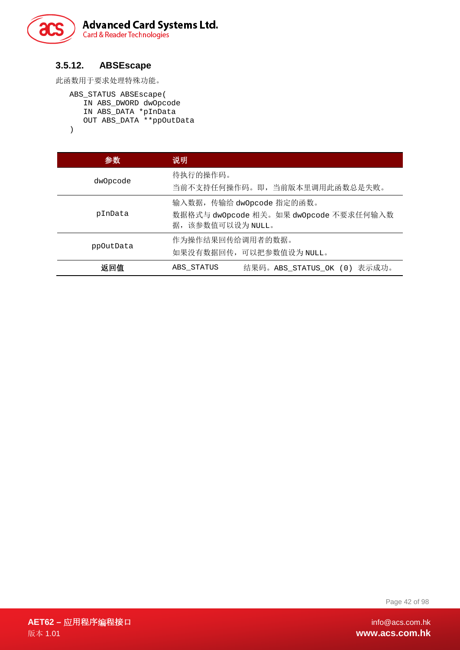

#### **3.5.12. ABSEscape**

此函数用于要求处理特殊功能。

```
ABS_STATUS ABSEscape( 
   IN ABS_DWORD dwOpcode 
   IN ABS_DATA *pInData 
   OUT ABS_DATA **ppOutData 
)
```

| 参数        | 说明                                                                                       |
|-----------|------------------------------------------------------------------------------------------|
| dwOpcode  | 待执行的操作码。<br>当前不支持任何操作码。即, 当前版本里调用此函数总是失败。                                                |
| pInData   | 输入数据, 传输给 dwOpcode 指定的函数。<br>数据格式与 dwOpcode 相关。如果 dwOpcode 不要求任何输入数<br>据, 该参数值可以设为 NULL。 |
| ppOutData | 作为操作结果回传给调用者的数据。<br>如果没有数据回传,可以把参数值设为 NULL。                                              |
| 返回值       | 结果码。ABS_STATUS_OK (0) 表示成功。<br>ABS STATUS                                                |

Page 42 of 98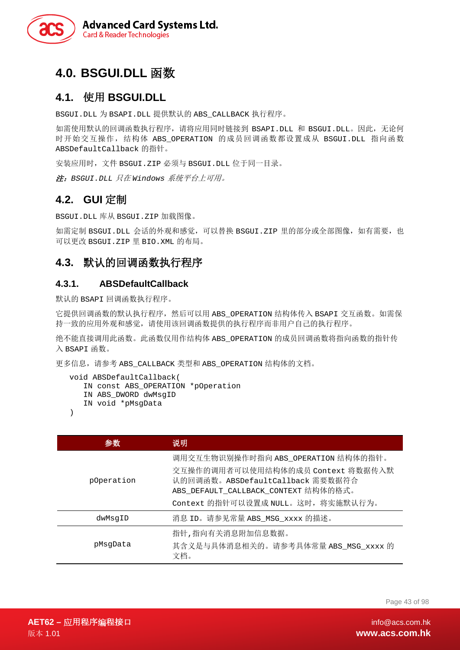

# **4.0. BSGUI.DLL** 函数

## **4.1.** 使用 **BSGUI.DLL**

BSGUI.DLL 为 BSAPI.DLL 提供默认的 ABS\_CALLBACK 执行程序。

如需使用默认的回调函数执行程序,请将应用同时链接到 BSAPI.DLL 和 BSGUI.DLL。因此,无论何 时开始交互操作,结构体 ABS OPERATION 的成员回调函数都设置成从 BSGUI.DLL 指向函数 ABSDefaultCallback 的指针。

安装应用时,文件 BSGUI.ZIP 必须与 BSGUI.DLL 位于同一目录。

注:*BSGUI.DLL* 只在 *Windows* 系统平台上可用。

## **4.2. GUI** 定制

BSGUI.DLL 库从 BSGUI.ZIP 加载图像。

如需定制 BSGUI.DLL 会话的外观和感觉,可以替换 BSGUI.ZIP 里的部分或全部图像,如有需要, 也 可以更改 BSGUI.ZIP 里 BIO.XML 的布局。

## **4.3.** 默认的回调函数执行程序

#### **4.3.1. ABSDefaultCallback**

默认的 BSAPI 回调函数执行程序。

它提供回调函数的默认执行程序,然后可以用 ABS\_OPERATION 结构体传入 BSAPI 交互函数。如需保 持一致的应用外观和感觉,请使用该回调函数提供的执行程序而非用户自己的执行程序。

绝不能直接调用此函数。此函数仅用作结构体 ABS\_OPERATION 的成员回调函数将指向函数的指针传 入 BSAPI 函数。

更多信息,请参考 ABS\_CALLBACK 类型和 ABS\_OPERATION 结构体的文档。

```
void ABSDefaultCallback( 
   IN const ABS_OPERATION *pOperation 
   IN ABS_DWORD dwMsgID 
   IN void *pMsgData
```
)

| 参觀         | 说明                                                                                                                                                   |
|------------|------------------------------------------------------------------------------------------------------------------------------------------------------|
| pOperation | 调用交互生物识别操作时指向 ABS_OPERATION 结构体的指针。<br>交互操作的调用者可以使用结构体的成员 Context 将数据传入默<br>认的回调函数。ABSDefaultCallback 需要数据符合<br>ABS_DEFAULT_CALLBACK_CONTEXT 结构体的格式。 |
|            | Context 的指针可以设置成 NULL。这时, 将实施默认行为。                                                                                                                   |
| dwMsqID    | 消息 ID。请参见常量 ABS_MSG_xxxx 的描述。                                                                                                                        |
| pMsqData   | 指针,指向有关消息附加信息数据。<br>其含义是与具体消息相关的。请参考具体常量 ABS_MSG_xxxx 的<br>文档。                                                                                       |

Page 43 of 98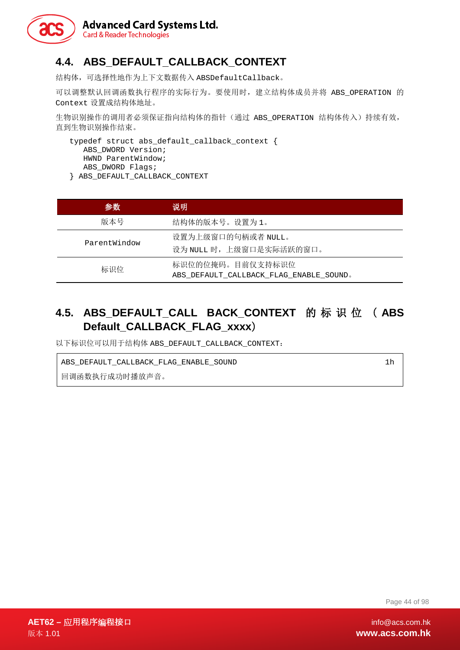

# **4.4. ABS\_DEFAULT\_CALLBACK\_CONTEXT**

结构体,可选择性地作为上下文数据传入 ABSDefaultCallback。

可以调整默认回调函数执行程序的实际行为。要使用时,建立结构体成员并将 ABS OPERATION 的 Context 设置成结构体地址。

生物识别操作的调用者必须保证指向结构体的指针(通过 ABS\_OPERATION 结构体传入)持续有效, 直到生物识别操作结束。

typedef struct abs\_default\_callback\_context { ABS\_DWORD Version; HWND ParentWindow; ABS DWORD Flags; } ABS\_DEFAULT\_CALLBACK\_CONTEXT

| 参数           | 说明                                                          |
|--------------|-------------------------------------------------------------|
| 版本号          | 结构体的版本号。设置为1。                                               |
| ParentWindow | 设置为上级窗口的句柄或者 NULL。<br>设为 NULL 时, 上级窗口是实际活跃的窗口。              |
| 标识位          | 标识位的位掩码。目前仅支持标识位<br>ABS DEFAULT CALLBACK FLAG ENABLE SOUND. |

# **4.5. ABS\_DEFAULT\_CALL BACK\_CONTEXT** 的标识位 ( **ABS Default\_CALLBACK\_FLAG\_xxxx**)

以下标识位可以用于结构体 ABS\_DEFAULT\_CALLBACK\_CONTEXT:

ABS\_DEFAULT\_CALLBACK\_FLAG\_ENABLE\_SOUND 1h

回调函数执行成功时播放声音。

Page 44 of 98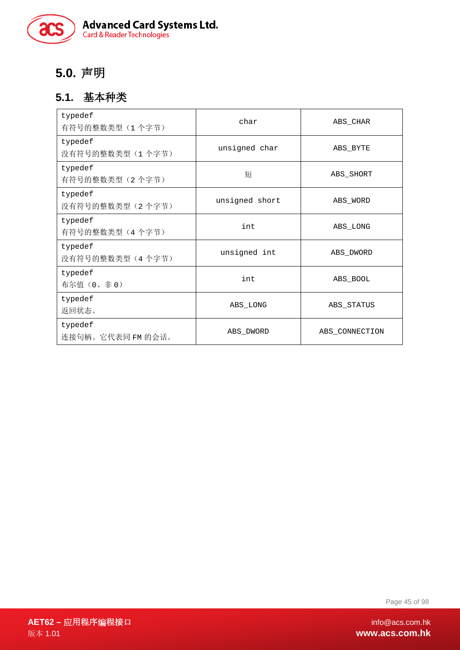

# **5.0.** 声明

## **5.1.** 基本种类

| typedef<br>有符号的整数类型(1个字节)    | char           | ABS_CHAR       |
|------------------------------|----------------|----------------|
| typedef<br>没有符号的整数类型(1个字节)   | unsigned char  | ABS BYTE       |
| typedef<br>有符号的整数类型 (2个字节)   | 短              | ABS SHORT      |
| typedef<br>没有符号的整数类型(2个字节)   | unsigned short | ABS WORD       |
| typedef<br>有符号的整数类型(4个字节)    | int            | ABS LONG       |
| typedef<br>没有符号的整数类型(4个字节)   | unsigned int   | ABS_DWORD      |
| typedef<br>布尔值(0、非0)         | int            | ABS BOOL       |
| typedef<br>返回状态。             | ABS LONG       | ABS STATUS     |
| typedef<br>连接句柄。它代表同 FM 的会话。 | ABS DWORD      | ABS CONNECTION |

Page 45 of 98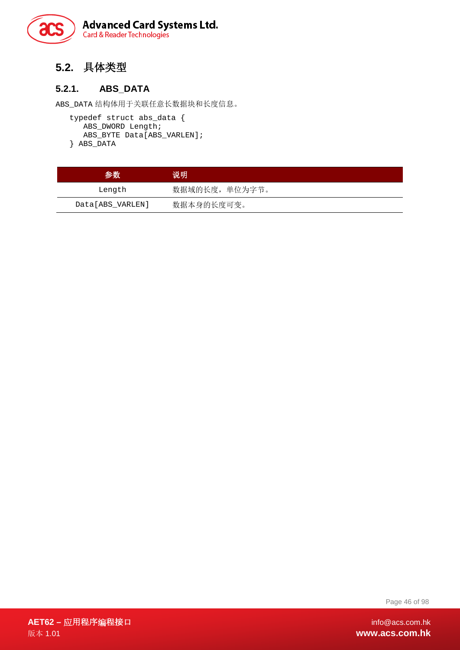

# **5.2.** 具体类型

#### **5.2.1. ABS\_DATA**

ABS\_DATA 结构体用于关联任意长数据块和长度信息。

```
typedef struct abs_data { 
   ABS_DWORD Length; 
   ABS_BYTE Data[ABS_VARLEN]; 
} ABS_DATA
```

| 参数               | 说明             |
|------------------|----------------|
| Length           | 数据域的长度, 单位为字节。 |
| Data[ABS VARLEN] | 数据本身的长度可变。     |

Page 46 of 98

**AET62 –** 应用程序编程接口 info@acs.com.hk 版本 1.01 **www.acs.com.hk**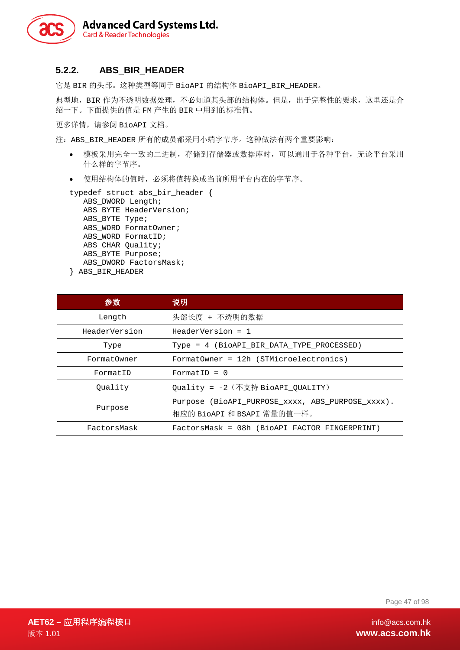

#### **5.2.2. ABS\_BIR\_HEADER**

它是 BIR 的头部。这种类型等同于 BioAPI 的结构体 BioAPI\_BIR\_HEADER。

典型地,BIR 作为不透明数据处理,不必知道其头部的结构体。但是,出于完整性的要求,这里还是介 绍一下。下面提供的值是 FM 产生的 BIR 中用到的标准值。

更多详情,请参阅 BioAPI 文档。

注: ABS BIR HEADER 所有的成员都采用小端字节序。这种做法有两个重要影响:

- 模板采用完全一致的二进制,存储到存储器或数据库时,可以通用于各种平台,无论平台采用 什么样的字节序。
- 使用结构体的值时,必须将值转换成当前所用平台内在的字节序。

```
typedef struct abs_bir_header { 
  ABS DWORD Length;
  ABS BYTE HeaderVersion;
  ABS_BYTE Type; 
  ABS_WORD FormatOwner; 
  ABS_WORD FormatID;
```

```
ABS_CHAR Quality; 
ABS_BYTE Purpose;
```
- ABS\_DWORD FactorsMask;
- } ABS\_BIR\_HEADER

| 参数            | 说明                                                                             |
|---------------|--------------------------------------------------------------------------------|
| Length        | 头部长度 + 不透明的数据                                                                  |
| HeaderVersion | $HeaderVersion = 1$                                                            |
| Type          | Type = 4 (BioAPI_BIR_DATA_TYPE_PROCESSED)                                      |
| FormatOwner   | FormatOwner = 12h (STMicroelectronics)                                         |
| FormatID      | FormatID = $0$                                                                 |
| Ouality       | Quality = -2 (不支持 BioAPI QUALITY)                                              |
| Purpose       | Purpose (BioAPI PURPOSE xxxx, ABS PURPOSE xxxx).<br>相应的 BioAPI 和 BSAPI 常量的值一样。 |
| FactorsMask   | FactorsMask = 08h (BioAPI FACTOR FINGERPRINT)                                  |

Page 47 of 98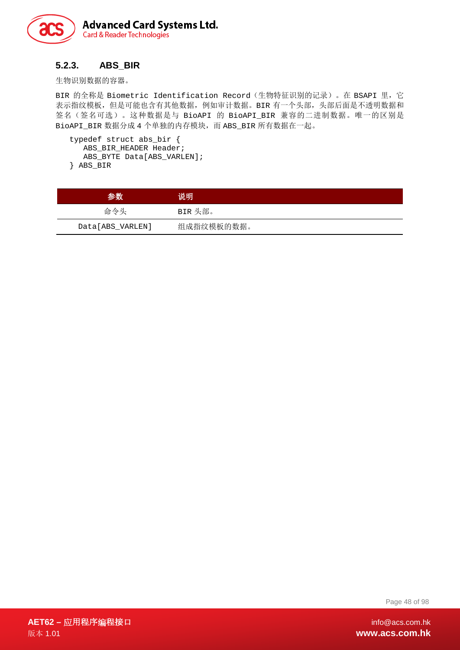

#### **5.2.3. ABS\_BIR**

生物识别数据的容器。

BIR 的全称是 Biometric Identification Record (生物特征识别的记录)。在 BSAPI 里, 它 表示指纹模板,但是可能也含有其他数据,例如审计数据。BIR 有一个头部,头部后面是不透明数据和 签名(签名可选)。这种数据是与 BioAPI 的 BioAPI\_BIR 兼容的二进制数据。唯一的区别是 BioAPI\_BIR 数据分成 4 个单独的内存模块, 而 ABS\_BIR 所有数据在一起。

```
typedef struct abs_bir { 
  ABS_BIR_HEADER Header; 
  ABS_BYTE Data[ABS_VARLEN]; 
} ABS_BIR
```

| 参数               | 说明         |
|------------------|------------|
| 命令头              | BIR 头部。    |
| Data[ABS_VARLEN] | 组成指纹模板的数据。 |

Page 48 of 98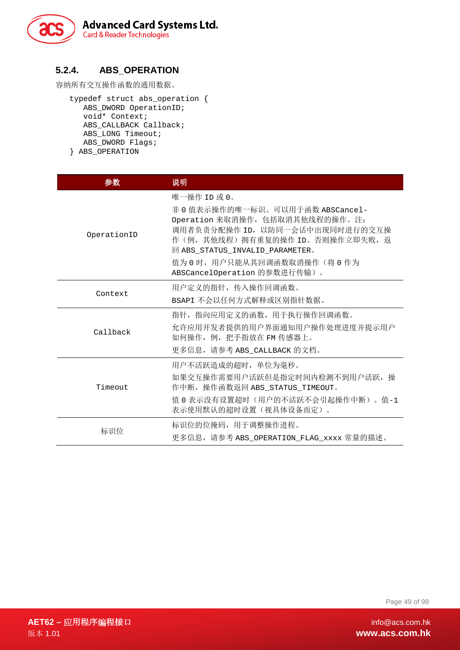

#### **5.2.4. ABS\_OPERATION**

容纳所有交互操作函数的通用数据。

typedef struct abs\_operation { ABS\_DWORD OperationID; void\* Context; ABS CALLBACK Callback; ABS\_LONG Timeout; ABS\_DWORD Flags; } ABS\_OPERATION

| 参数          | 说明                                                                                                                                                                                                                                                              |
|-------------|-----------------------------------------------------------------------------------------------------------------------------------------------------------------------------------------------------------------------------------------------------------------|
| OperationID | 唯一操作 ID 或 0。<br>非 0 值表示操作的唯一标识。可以用于函数 ABSCancel-<br>Operation 来取消操作, 包括取消其他线程的操作。注:<br>调用者负责分配操作 ID, 以防同一会话中出现同时进行的交互操<br>作(例, 其他线程) 拥有重复的操作 ID。否则操作立即失败, 返<br>回 ABS_STATUS_INVALID_PARAMETER。<br>值为 0 时, 用户只能从其回调函数取消操作(将 0 作为<br>ABSCancelOperation 的参数进行传输)。 |
| Context     | 用户定义的指针, 传入操作回调函数。<br>BSAPI 不会以任何方式解释或区别指针数据。                                                                                                                                                                                                                   |
| Callback    | 指针, 指向应用定义的函数, 用于执行操作回调函数。<br>允许应用开发者提供的用户界面通知用户操作处理进度并提示用户<br>如何操作, 例, 把手指放在 FM 传感器上。<br>更多信息, 请参考 ABS_CALLBACK 的文档。                                                                                                                                           |
| Timeout     | 用户不活跃造成的超时, 单位为毫秒。<br>如果交互操作需要用户活跃但是指定时间内检测不到用户活跃, 操<br>作中断,操作函数返回 ABS_STATUS_TIMEOUT。<br>值 0 表示没有设置超时(用户的不活跃不会引起操作中断)。值-1<br>表示使用默认的超时设置(视具体设备而定)。                                                                                                             |
| 标识位         | 标识位的位掩码, 用于调整操作进程。<br>更多信息,请参考 ABS OPERATION FLAG xxxx 常量的描述。                                                                                                                                                                                                   |

Page 49 of 98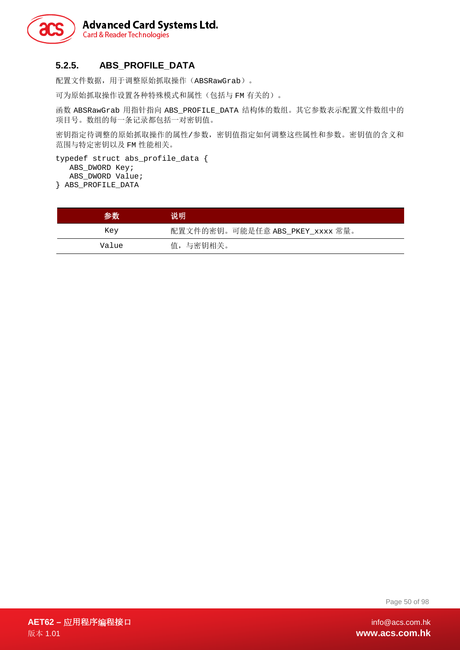

## **5.2.5. ABS\_PROFILE\_DATA**

配置文件数据,用于调整原始抓取操作(ABSRawGrab)。

可为原始抓取操作设置各种特殊模式和属性(包括与 FM 有关的)。

函数 ABSRawGrab 用指针指向 ABS\_PROFILE\_DATA 结构体的数组。其它参数表示配置文件数组中的 项目号。数组的每一条记录都包括一对密钥值。

密钥指定待调整的原始抓取操作的属性/参数,密钥值指定如何调整这些属性和参数。密钥值的含义和 范围与特定密钥以及 FM 性能相关。

typedef struct abs\_profile\_data { ABS\_DWORD Key; ABS\_DWORD Value; } ABS\_PROFILE\_DATA

参数 说明 Key 配置文件的密钥。可能是任意 ABS\_PKEY\_xxxx 常量。 Value 值,与密钥相关。

Page 50 of 98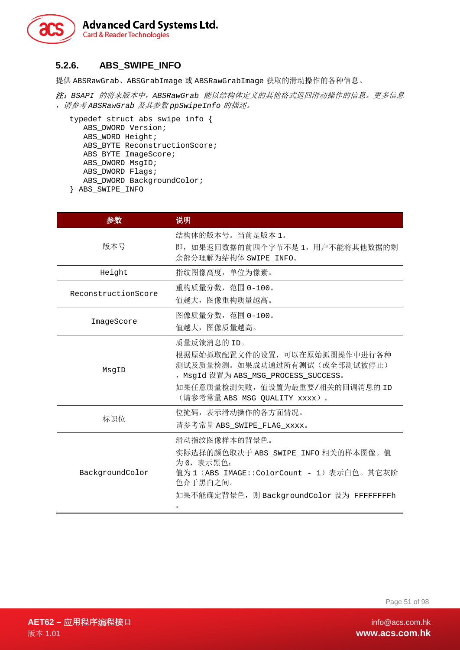

#### **5.2.6. ABS\_SWIPE\_INFO**

提供 ABSRawGrab、ABSGrabImage 或 ABSRawGrabImage 获取的滑动操作的各种信息。

注:*BSAPI* 的将来版本中,*ABSRawGrab* 能以结构体定义的其他格式返回滑动操作的信息。更多信息 ,请参考 *ABSRawGrab* 及其参数 *ppSwipeInfo* 的描述。

```
typedef struct abs_swipe_info { 
  ABS_DWORD Version; 
  ABS WORD Height;
  ABS_BYTE ReconstructionScore; 
  ABS_BYTE ImageScore; 
  ABS_DWORD MsgID; 
  ABS_DWORD Flags; 
  ABS_DWORD BackgroundColor; 
} ABS_SWIPE_INFO
```

| 参数                  | 说明                                                                                                                                                                                       |
|---------------------|------------------------------------------------------------------------------------------------------------------------------------------------------------------------------------------|
| 版本号                 | 结构体的版本号。当前是版本 1。<br>即, 如果返回数据的前四个字节不是 1, 用户不能将其他数据的剩<br>余部分理解为结构体 SWIPE_INFO。                                                                                                            |
| Height              | 指纹图像高度, 单位为像素。                                                                                                                                                                           |
| ReconstructionScore | 重构质量分数, 范围 0-100。<br>值越大, 图像重构质量越高。                                                                                                                                                      |
| ImageScore          | 图像质量分数,范围 0-100。<br>值越大, 图像质量越高。                                                                                                                                                         |
| MsgID               | 质量反馈消息的 ID。<br>根据原始抓取配置文件的设置, 可以在原始抓图操作中进行各种<br>测试及质量检测。如果成功通过所有测试(或全部测试被停止)<br>, MsgId 设置为 ABS_MSG_PROCESS_SUCCESS。<br>如果任意质量检测失败, 值设置为最重要/相关的回调消息的 ID<br>(请参考常量 ABS_MSG_QUALITY_xxxx)。 |
| 标识位                 | 位掩码,表示滑动操作的各方面情况。<br>请参考常量 ABS_SWIPE_FLAG_xxxx。                                                                                                                                          |
| BackgroundColor     | 滑动指纹图像样本的背景色。<br>实际选择的颜色取决于 ABS_SWIPE_INFO 相关的样本图像。值<br>为 0, 表示黑色:<br>值为1 (ABS_IMAGE::ColorCount - 1) 表示白色。其它灰阶<br>色介于黑白之间。<br>如果不能确定背景色, 则 BackgroundColor 设为 FFFFFFFFh                 |

Page 51 of 98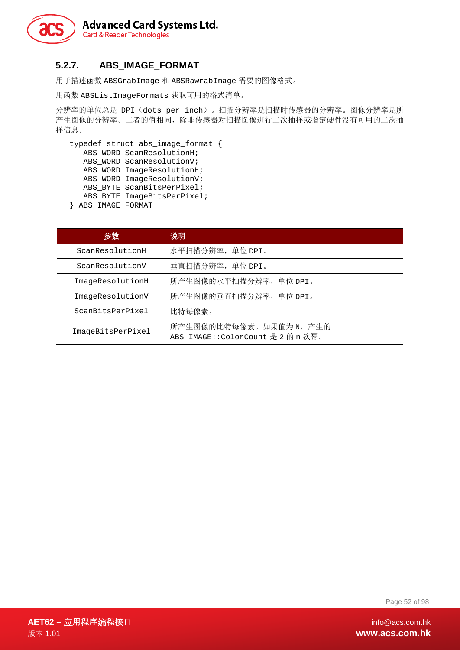

## **5.2.7. ABS\_IMAGE\_FORMAT**

用于描述函数 ABSGrabImage 和 ABSRawrabImage 需要的图像格式。

用函数 ABSListImageFormats 获取可用的格式清单。

分辨率的单位总是 DPI(dots per inch)。扫描分辨率是扫描时传感器的分辨率。图像分辨率是所 产生图像的分辨率。二者的值相同,除非传感器对扫描图像进行二次抽样或指定硬件没有可用的二次抽 样信息。

```
typedef struct abs_image_format { 
   ABS_WORD ScanResolutionH; 
   ABS_WORD ScanResolutionV; 
   ABS_WORD ImageResolutionH; 
   ABS_WORD ImageResolutionV; 
   ABS_BYTE ScanBitsPerPixel; 
   ABS_BYTE ImageBitsPerPixel; 
} ABS_IMAGE_FORMAT
```
参数 说明 ScanResolutionH 水平扫描分辨率,单位 DPI。 ScanResolutionV 垂直扫描分辨率,单位 DPI。 ImageResolutionH 所产生图像的水平扫描分辨率, 单位 DPI。 ImageResolutionV 所产生图像的垂直扫描分辨率,单位 DPI。 ScanBitsPerPixel 比特每像素。 ImageBitsPerPixel 所产生图像的比特每像素。如果值为 N, 产生的 ABS\_IMAGE::ColorCount 是 2 的 n 次幂。

Page 52 of 98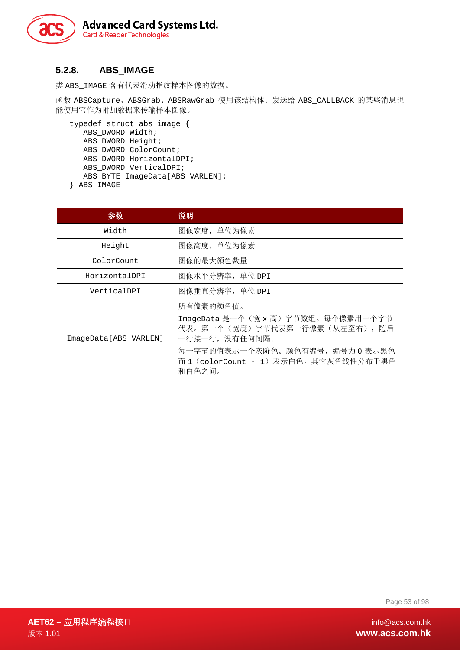

#### **5.2.8. ABS\_IMAGE**

类 ABS\_IMAGE 含有代表滑动指纹样本图像的数据。

函数 ABSCapture、ABSGrab、ABSRawGrab 使用该结构体。发送给 ABS\_CALLBACK 的某些消息也 能使用它作为附加数据来传输样本图像。

```
typedef struct abs_image { 
  ABS DWORD Width;
  ABS_DWORD Height; 
  ABS DWORD ColorCount;
  ABS_DWORD HorizontalDPI; 
  ABS_DWORD VerticalDPI; 
  ABS_BYTE ImageData[ABS_VARLEN]; 
} ABS_IMAGE
```

| 参数                    | 说明                                                                                  |
|-----------------------|-------------------------------------------------------------------------------------|
| Width                 | 图像宽度, 单位为像素                                                                         |
| Height                | 图像高度,单位为像素                                                                          |
| ColorCount            | 图像的最大颜色数量                                                                           |
| HorizontalDPI         | 图像水平分辨率, 单位 DPI                                                                     |
| VerticalDPI           | 图像垂直分辨率, 单位 DPI                                                                     |
| ImageData[ABS VARLEN] | 所有像素的颜色值。                                                                           |
|                       | ImageData 是一个(宽x高)字节数组。每个像素用一个字节<br>代表。第一个(宽度)字节代表第一行像素(从左至右), 随后<br>一行接一行, 没有任何间隔。 |
|                       | 每一字节的值表示一个灰阶色。颜色有编号, 编号为 0 表示黑色<br>而 1 (colorCount - 1) 表示白色。其它灰色线性分布于黑色<br>和白色之间。  |

Page 53 of 98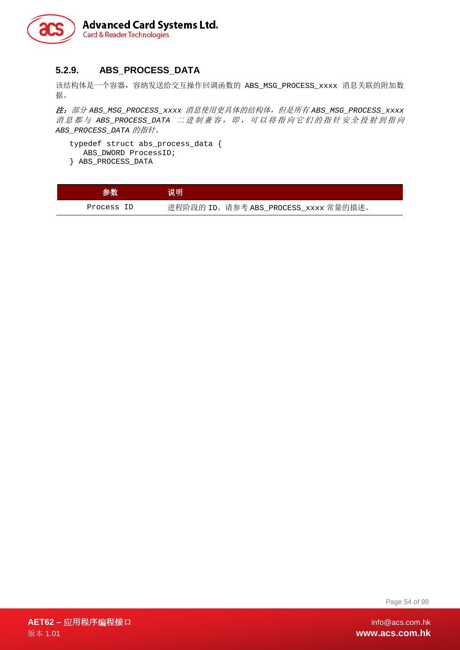

#### **5.2.9. ABS\_PROCESS\_DATA**

该结构体是一个容器,容纳发送给交互操作回调函数的 ABS\_MSG\_PROCESS\_xxxx 消息关联的附加数 据。

注:部分 *ABS\_MSG\_PROCESS\_xxxx* 消息使用更具体的结构体,但是所有 *ABS\_MSG\_PROCESS\_xxxx* 消息都与 *ABS\_PROCESS\_DATA* 二进制兼容,即,可以将指向它们的指针安全投射到指向 *ABS\_PROCESS\_DATA* 的指针。

```
typedef struct abs_process_data { 
   ABS_DWORD ProcessID; 
} ABS_PROCESS_DATA
```

| 参数         | 说明                                   |
|------------|--------------------------------------|
| Process ID | 进程阶段的 ID。请参考 ABS_PROCESS_xxxx 常量的描述。 |

Page 54 of 98

**AET62 –** 应用程序编程接口 info@acs.com.hk 版本 1.01 **www.acs.com.hk**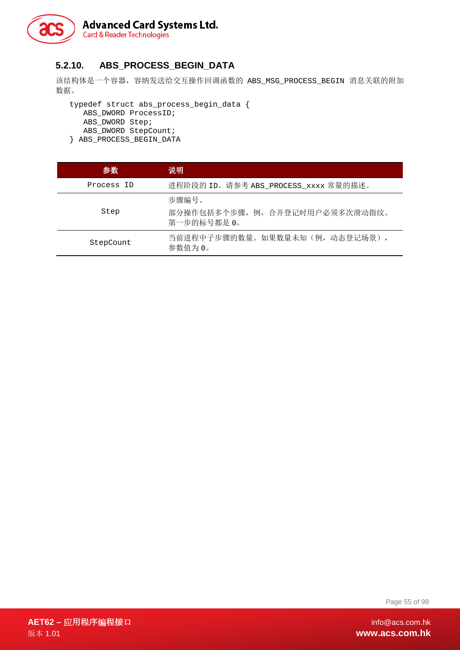

#### **5.2.10. ABS\_PROCESS\_BEGIN\_DATA**

该结构体是一个容器,容纳发送给交互操作回调函数的 ABS\_MSG\_PROCESS\_BEGIN 消息关联的附加 数据。

typedef struct abs\_process\_begin\_data { ABS\_DWORD ProcessID; ABS\_DWORD Step; ABS\_DWORD StepCount; } ABS\_PROCESS\_BEGIN\_DATA

| 参数         | 说明                                                      |
|------------|---------------------------------------------------------|
| Process ID | 进程阶段的 ID。请参考 ABS_PROCESS_xxxx 常量的描述。                    |
| Step       | 步骤编号。<br>部分操作包括多个步骤, 例, 合并登记时用户必须多次滑动指纹。<br>第一步的标号都是 0。 |
| StepCount  | 当前进程中子步骤的数量。如果数量未知(例,动态登记场景),<br>参数值为 0。                |

Page 55 of 98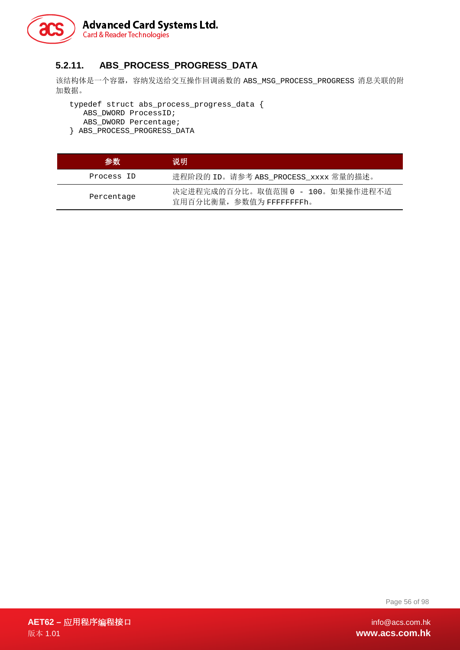

## **5.2.11. ABS\_PROCESS\_PROGRESS\_DATA**

该结构体是一个容器,容纳发送给交互操作回调函数的 ABS\_MSG\_PROCESS\_PROGRESS 消息关联的附 加数据。

typedef struct abs\_process\_progress\_data { ABS\_DWORD ProcessID; ABS\_DWORD Percentage; } ABS\_PROCESS\_PROGRESS\_DATA

| 参数         | 说明                                                           |
|------------|--------------------------------------------------------------|
| Process ID | 进程阶段的 ID。请参考 ABS_PROCESS_xxxx 常量的描述。                         |
| Percentage | 决定进程完成的百分比。取值范围 0 - 100。如果操作进程不适<br>宜用百分比衡量, 参数值为 FFFFFFFFh。 |

Page 56 of 98

**AET62 –** 应用程序编程接口 info@acs.com.hk 版本 1.01 **www.acs.com.hk**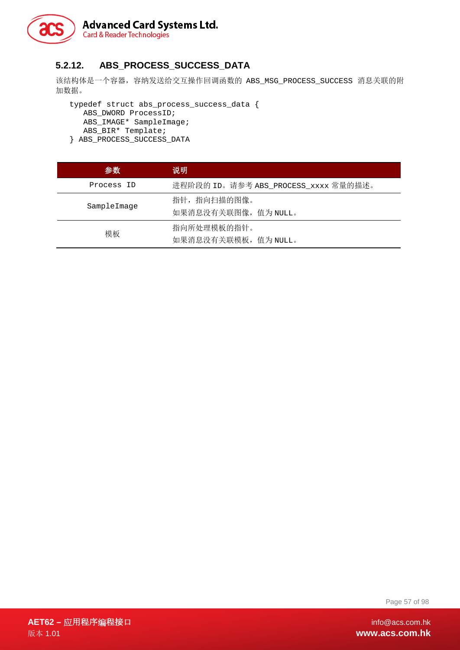

## **5.2.12. ABS\_PROCESS\_SUCCESS\_DATA**

该结构体是一个容器, 容纳发送给交互操作回调函数的 ABS\_MSG\_PROCESS\_SUCCESS 消息关联的附 加数据。

typedef struct abs\_process\_success\_data { ABS\_DWORD ProcessID; ABS\_IMAGE\* SampleImage; ABS\_BIR\* Template; } ABS\_PROCESS\_SUCCESS\_DATA

| 参数          | 说明                                   |
|-------------|--------------------------------------|
| Process ID  | 进程阶段的 ID。请参考 ABS_PROCESS_xxxx 常量的描述。 |
| SampleImage | 指针,指向扫描的图像。<br>如果消息没有关联图像, 值为 NULL。  |
| 模板          | 指向所处理模板的指针。<br>如果消息没有关联模板, 值为 NULL。  |

Page 57 of 98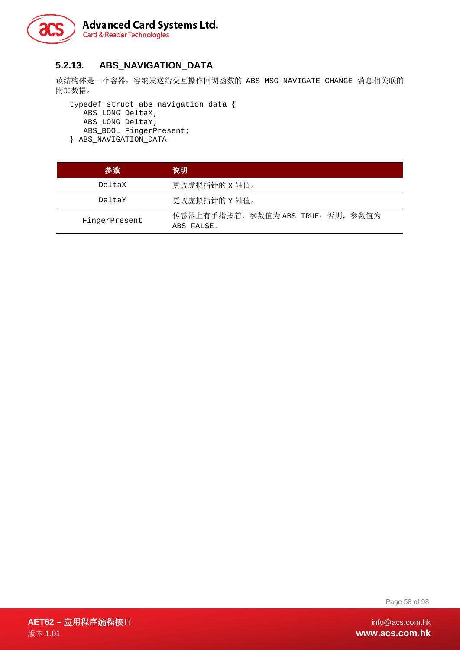

#### **5.2.13. ABS\_NAVIGATION\_DATA**

该结构体是一个容器, 容纳发送给交互操作回调函数的 ABS\_MSG\_NAVIGATE\_CHANGE 消息相关联的 附加数据。

typedef struct abs\_navigation\_data { ABS\_LONG DeltaX; ABS\_LONG DeltaY; ABS\_BOOL FingerPresent; } ABS\_NAVIGATION\_DATA

| 参数            | 说明                                               |
|---------------|--------------------------------------------------|
| DeltaX        | 更改虚拟指针的 x 轴值。                                    |
| DeltaY        | 更改虚拟指针的 Y 轴值。                                    |
| FingerPresent | 传感器上有手指按着, 参数值为 ABS_TRUE; 否则, 参数值为<br>ABS FALSE. |

Page 58 of 98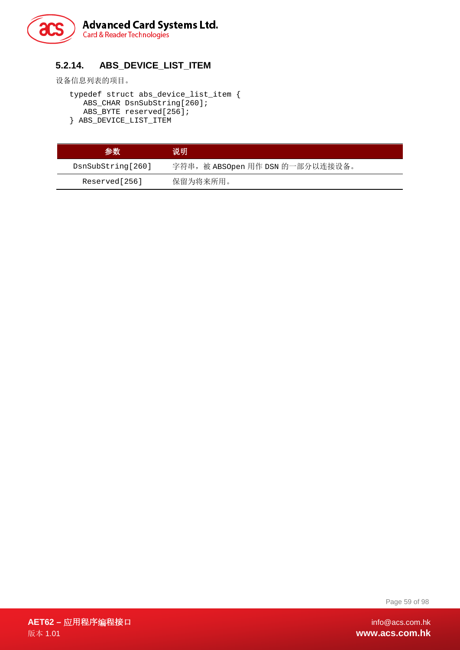

## **5.2.14. ABS\_DEVICE\_LIST\_ITEM**

设备信息列表的项目。

typedef struct abs\_device\_list\_item { ABS\_CHAR DsnSubString[260]; ABS\_BYTE reserved[256]; } ABS\_DEVICE\_LIST\_ITEM

| 参数                | 说明                               |
|-------------------|----------------------------------|
| DsnSubString[260] | 字符串, 被 ABSOpen 用作 DSN 的一部分以连接设备。 |
| Reserved[256]     | 保留为将来所用。                         |

Page 59 of 98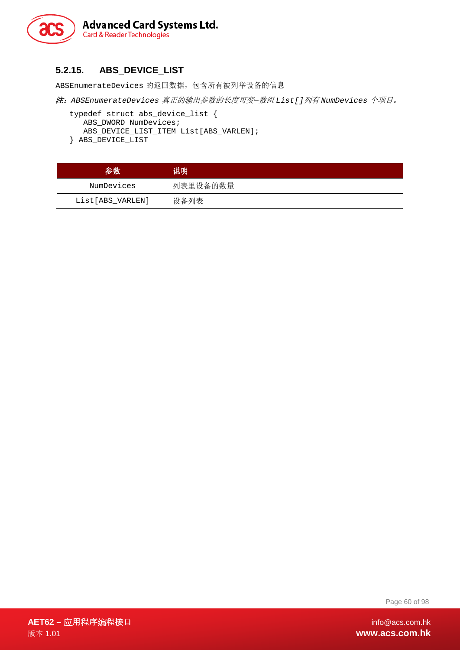

#### **5.2.15. ABS\_DEVICE\_LIST**

ABSEnumerateDevices 的返回数据,包含所有被列举设备的信息

注:*ABSEnumerateDevices* 真正的输出参数的长度可变*—*数组 *List[]*列有 *NumDevices* 个项目。

```
typedef struct abs_device_list { 
  ABS_DWORD NumDevices; 
  ABS_DEVICE_LIST_ITEM List[ABS_VARLEN]; 
} ABS_DEVICE_LIST
```

| 参数               | 说明       |
|------------------|----------|
| NumDevices       | 列表里设备的数量 |
| List[ABS VARLEN] | 设备列表     |

Page 60 of 98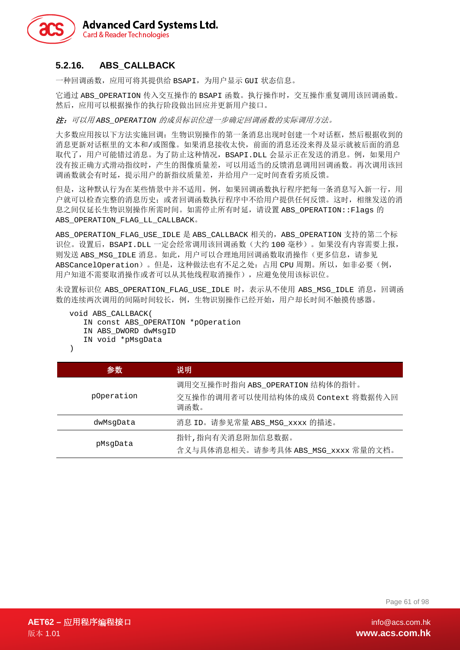

#### **5.2.16. ABS\_CALLBACK**

一种回调函数,应用可将其提供给 BSAPI,为用户显示 GUI 状态信息。

它通过 ABS\_OPERATION 传入交互操作的 BSAPI 函数。执行操作时, 交互操作重复调用该回调函数。 然后,应用可以根据操作的执行阶段做出回应并更新用户接口。

注:可以用 *ABS\_OPERATION* 的成员标识位进一步确定回调函数的实际调用方法。

大多数应用按以下方法实施回调:生物识别操作的第一条消息出现时创建一个对话框,然后根据收到的 消息更新对话框里的文本和/或图像。如果消息接收太快,前面的消息还没来得及显示就被后面的消息 取代了,用户可能错过消息。为了防止这种情况, BSAPI.DLL 会显示正在发送的消息。例, 如果用户 没有按正确方式滑动指纹时,产生的图像质量差,可以用适当的反馈消息调用回调函数。再次调用该回 调函数就会有时延,提示用户的新指纹质量差,并给用户一定时间查看劣质反馈。

但是,这种默认行为在某些情景中并不适用。例,如果回调函数执行程序把每一条消息写入新一行,用 户就可以检查完整的消息历史;或者回调函数执行程序中不给用户提供任何反馈。这时,相继发送的消 息之间仅延长生物识别操作所需时间。如需停止所有时延,请设置 ABS\_OPERATION::Flags 的 ABS OPERATION FLAG LL CALLBACK.

ABS\_OPERATION\_FLAG\_USE\_IDLE 是 ABS\_CALLBACK 相关的,ABS\_OPERATION 支持的第二个标 识位。设置后, BSAPI.DLL 一定会经常调用该回调函数(大约 100 毫秒)。如果没有内容需要上报, 则发送 ABS\_MSG\_IDLE 消息。如此,用户可以合理地用回调函数取消操作(更多信息,请参见 ABSCancelOperation)。但是,这种做法也有不足之处: 占用 CPU 周期。所以, 如非必要(例, 用户知道不需要取消操作或者可以从其他线程取消操作),应避免使用该标识位。

未设置标识位 ABS\_OPERATION\_FLAG\_USE\_IDLE 时,表示从不使用 ABS\_MSG\_IDLE 消息,回调函 数的连续两次调用的间隔时间较长,例,生物识别操作已经开始,用户却长时间不触摸传感器。

void ABS\_CALLBACK( IN const ABS\_OPERATION \*pOperation IN ABS\_DWORD dwMsgID IN void \*pMsgData )

| 参数         | 说明                                                                           |
|------------|------------------------------------------------------------------------------|
| pOperation | 调用交互操作时指向 ABS_OPERATION 结构体的指针。<br>交互操作的调用者可以使用结构体的成员 Context 将数据传入回<br>调函数。 |
| dwMsqData  | 消息 ID。请参见常量 ABS_MSG_xxxx 的描述。                                                |
| pMsqData   | 指针,指向有关消息附加信息数据。<br>含义与具体消息相关。请参考具体 ABS_MSG_xxxx 常量的文档。                      |

Page 61 of 98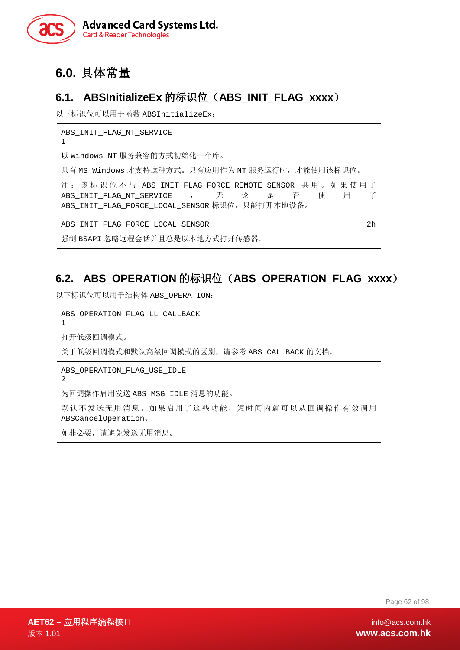

# **6.0.** 具体常量

# **6.1. ABSInitializeEx** 的标识位(**ABS\_INIT\_FLAG\_xxxx**)

以下标识位可以用于函数 ABSInitializeEx:

ABS\_INIT\_FLAG\_NT\_SERVICE 1 以 Windows NT 服务兼容的方式初始化一个库。 只有 MS Windows 才支持这种方式。只有应用作为 NT 服务运行时,才能使用该标识位。 注: 该标识位不与 ABS\_INIT\_FLAG\_FORCE\_REMOTE\_SENSOR 共用。如果使用了<br>ABS INIT FLAG NT SERVICE , 无 论 是 否 使 用 了 ABS\_INIT\_FLAG\_NT\_SERVICE , 无论 是 否 使 用 了 ABS INIT FLAG FORCE LOCAL SENSOR 标识位, 只能打开本地设备。 ABS\_INIT\_FLAG\_FORCE\_LOCAL\_SENSOR  $2h$ 

强制 BSAPI 忽略远程会话并且总是以本地方式打开传感器。

# **6.2. ABS\_OPERATION** 的标识位(**ABS\_OPERATION\_FLAG\_xxxx**)

以下标识位可以用于结构体 ABS\_OPERATION:

ABS OPERATION FLAG LL CALLBACK 1 打开低级回调模式。 关于低级回调模式和默认高级回调模式的区别,请参考 ABS\_CALLBACK 的文档。 ABS OPERATION FLAG USE IDLE 2 为回调操作启用发送 ABS\_MSG\_IDLE 消息的功能。 默认不发送无用消息。如果启用了这些功能,短时间内就可以从回调操作有效调用 ABSCancelOperation。 如非必要,请避免发送无用消息。

Page 62 of 98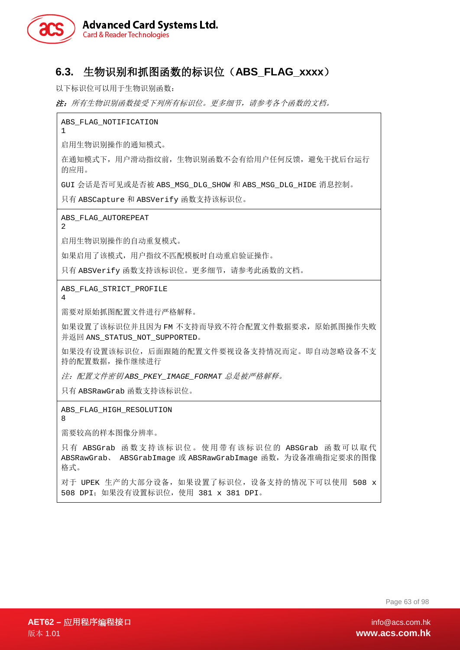

## **6.3.** 生物识别和抓图函数的标识位(**ABS\_FLAG\_xxxx**)

以下标识位可以用于生物识别函数:

注:所有生物识别函数接受下列所有标识位。更多细节,请参考各个函数的文档。

ABS\_FLAG\_NOTIFICATION

启用生物识别操作的通知模式。

在通知模式下,用户滑动指纹前,生物识别函数不会有给用户任何反馈,避免干扰后台运行 的应用。

GUI 会话是否可见或是否被 ABS\_MSG\_DLG\_SHOW 和 ABS\_MSG\_DLG\_HIDE 消息控制。

只有 ABSCapture 和 ABSVerify 函数支持该标识位。

ABS\_FLAG\_AUTOREPEAT

启用生物识别操作的自动重复模式。

如果启用了该模式,用户指纹不匹配模板时自动重启验证操作。

只有 ABSVerify 函数支持该标识位。更多细节,请参考此函数的文档。

ABS\_FLAG\_STRICT\_PROFILE

4

2

1

需要对原始抓图配置文件进行严格解释。

如果设置了该标识位并且因为 FM 不支持而导致不符合配置文件数据要求,原始抓图操作失败 并返回 ANS STATUS NOT SUPPORTED。

如果没有设置该标识位,后面跟随的配置文件要视设备支持情况而定。即自动忽略设备不支 持的配置数据,操作继续进行

注:配置文件密钥 *ABS\_PKEY\_IMAGE\_FORMAT* 总是被严格解释。

只有 ABSRawGrab 函数支持该标识位。

ABS FLAG HIGH RESOLUTION

8

需要较高的样本图像分辨率。

只有 ABSGrab 函数支持该标识位。使用带有该标识位的 ABSGrab 函数可以取代 ABSRawGrab、 ABSGrabImage 或 ABSRawGrabImage 函数,为设备准确指定要求的图像 格式。

对于 UPEK 生产的大部分设备, 如果设置了标识位, 设备支持的情况下可以使用 508 x 508 DPI;如果没有设置标识位,使用 381 x 381 DPI。

Page 63 of 98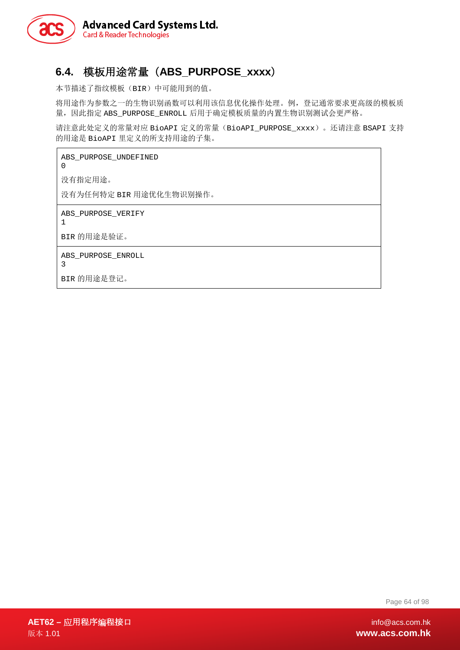

# **6.4.** 模板用途常量(**ABS\_PURPOSE\_xxxx**)

本节描述了指纹模板(BIR)中可能用到的值。

将用途作为参数之一的生物识别函数可以利用该信息优化操作处理。例,登记通常要求更高级的模板质 量,因此指定 ABS\_PURPOSE\_ENROLL 后用于确定模板质量的内置生物识别测试会更严格。

请注意此处定义的常量对应 BioAPI 定义的常量(BioAPI\_PURPOSE\_xxxx)。还请注意 BSAPI 支持 的用途是 BioAPI 里定义的所支持用途的子集。

ABS PURPOSE UNDEFINED 0 没有指定用途。 没有为任何特定 BIR 用途优化生物识别操作。 ABS\_PURPOSE\_VERIFY 1 BIR 的用途是验证。 ABS\_PURPOSE\_ENROLL 3 BIR 的用途是登记。

Page 64 of 98

**AET62 –** 应用程序编程接口 info@acs.com.hk 版本 1.01 **www.acs.com.hk**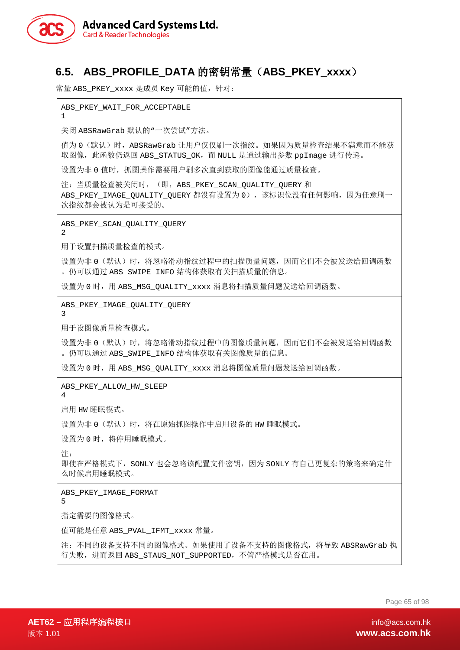

# **6.5. ABS\_PROFILE\_DATA** 的密钥常量(**ABS\_PKEY\_xxxx**)

常量 ABS\_PKEY\_xxxx 是成员 Key 可能的值, 针对:

ABS\_PKEY\_WAIT\_FOR\_ACCEPTABLE

关闭 ABSRawGrab 默认的"一次尝试"方法。

值为 0 (默认)时, ABSRawGrab 让用户仅仅刷一次指纹。如果因为质量检查结果不满意而不能获 取图像, 此函数仍返回 ABS\_STATUS\_OK, 而 NULL 是通过输出参数 ppImage 进行传递。

设置为非 0 值时, 抓图操作需要用户刷多次直到获取的图像能通过质量检查。

注: 当质量检查被关闭时, (即, ABS\_PKEY\_SCAN\_QUALITY\_QUERY 和 ABS\_PKEY\_IMAGE\_QUALITY\_QUERY 都没有设置为 0), 该标识位没有任何影响, 因为任意刷一 次指纹都会被认为是可接受的。

ABS\_PKEY\_SCAN\_QUALITY\_QUERY

2

1

用于设置扫描质量检查的模式。

设置为非 0(默认)时,将忽略滑动指纹过程中的扫描质量问题,因而它们不会被发送给回调函数 。仍可以通过 ABS\_SWIPE\_INFO 结构体获取有关扫描质量的信息。

设置为 0 时, 用 ABS\_MSG\_OUALITY\_xxxx 消息将扫描质量问题发送给回调函数。

ABS\_PKEY\_IMAGE\_QUALITY\_QUERY

3

用于设图像质量检查模式。

设置为非 0(默认)时,将忽略滑动指纹过程中的图像质量问题,因而它们不会被发送给回调函数 。仍可以通过 ABS\_SWIPE\_INFO 结构体获取有关图像质量的信息。

设置为 0 时, 用 ABS\_MSG\_OUALITY\_xxxx 消息将图像质量问题发送给回调函数。

ABS\_PKEY\_ALLOW\_HW\_SLEEP

4

启用 HW 睡眠模式。

设置为非 0 (默认)时, 将在原始抓图操作中启用设备的 HW 睡眠模式。

设置为 0 时, 将停用睡眠模式。

注:

即使在严格模式下, SONLY 也会忽略该配置文件密钥, 因为 SONLY 有自己更复杂的策略来确定什 么时候启用睡眠模式。

ABS\_PKEY\_IMAGE\_FORMAT

5

指定需要的图像格式。

值可能是任意 ABS\_PVAL\_IFMT\_xxxx 常量。

注:不同的设备支持不同的图像格式。如果使用了设备不支持的图像格式,将导致 ABSRawGrab 执 行失败,进而返回 ABS\_STAUS\_NOT\_SUPPORTED,不管严格模式是否在用。

Page 65 of 98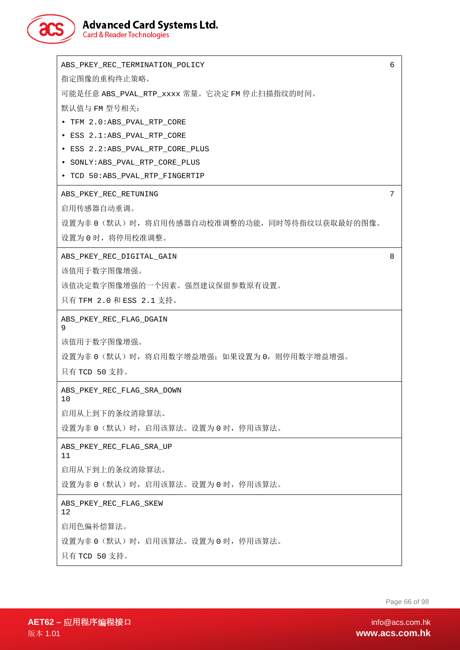

# **Advanced Card Systems Ltd.**<br>Card & Reader Technologies

| ABS_PKEY_REC_TERMINATION_POLICY                 | 6 |
|-------------------------------------------------|---|
| 指定图像的重构终止策略。                                    |   |
| 可能是任意 ABS_PVAL_RTP_xxxx 常量。它决定 FM 停止扫描指纹的时间。    |   |
| 默认值与 FM 型号相关:                                   |   |
| TFM 2.0:ABS_PVAL_RTP_CORE                       |   |
| · ESS 2.1:ABS_PVAL_RTP_CORE                     |   |
| • ESS 2.2:ABS_PVAL_RTP_CORE_PLUS                |   |
| • SONLY: ABS_PVAL_RTP_CORE_PLUS                 |   |
| • TCD 50:ABS_PVAL_RTP_FINGERTIP                 |   |
| ABS_PKEY_REC_RETUNING                           | 7 |
| 启用传感器自动重调。                                      |   |
| 设置为非 0 (默认) 时, 将启用传感器自动校准调整的功能, 同时等待指纹以获取最好的图像。 |   |
| 设置为 0 时, 将停用校准调整。                               |   |
| ABS_PKEY_REC_DIGITAL_GAIN                       | 8 |
| 该值用于数字图像增强。                                     |   |
| 该值决定数字图像增强的一个因素。强烈建议保留参数原有设置。                   |   |
| 只有 TFM 2.0 和 ESS 2.1 支持。                        |   |
|                                                 |   |
| ABS_PKEY_REC_FLAG_DGAIN<br>9                    |   |
| 该值用于数字图像增强。                                     |   |
| 设置为非 0 (默认) 时,将启用数字增益增强; 如果设置为 0,则停用数字增益增强。     |   |
| 只有 TCD 50 支持。                                   |   |
| ABS PKEY REC FLAG SRA DOWN                      |   |
| 10                                              |   |
| 启用从上到下的条纹消除算法。                                  |   |
| 设置为非 0 (默认) 时,启用该算法。设置为 0 时,停用该算法。              |   |
| ABS PKEY REC FLAG SRA UP<br>11                  |   |
| 启用从下到上的条纹消除算法。                                  |   |
| 设置为非 0 (默认) 时, 启用该算法。设置为 0 时, 停用该算法。            |   |
| ABS_PKEY_REC_FLAG_SKEW<br>12                    |   |
| 启用色偏补偿算法。                                       |   |
| 设置为非 0 (默认) 时,启用该算法。设置为 0 时,停用该算法。              |   |
| 只有 TCD 50 支持。                                   |   |
|                                                 |   |

Page 66 of 98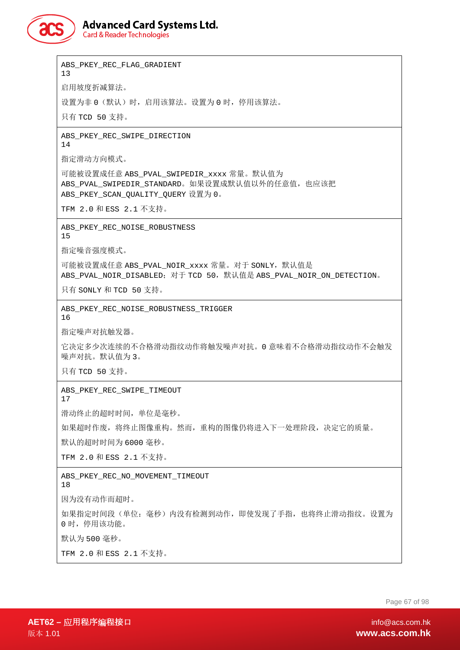

**Advanced Card Systems Ltd.** 

**Card & Reader Technologies** 

ABS PKEY REC FLAG GRADIENT 13 启用坡度折减算法。 设置为非 0(默认)时,启用该算法。设置为 0 时,停用该算法。 只有 TCD 50 支持。 ABS\_PKEY\_REC\_SWIPE\_DIRECTION 14 指定滑动方向模式。 可能被设置成任意 ABS\_PVAL\_SWIPEDIR\_xxxx 常量。默认值为 ABS PVAL SWIPEDIR STANDARD。如果设置成默认值以外的任意值,也应该把 ABS\_PKEY\_SCAN\_QUALITY\_QUERY 设置为 0。 TFM 2.0 和 ESS 2.1 不支持。 ABS PKEY REC NOISE ROBUSTNESS 15 指定噪音强度模式。 可能被设置成任意 ABS\_PVAL\_NOIR\_xxxx 常量。对于 SONLY, 默认值是 ABS\_PVAL\_NOIR\_DISABLED: 对于 TCD 50, 默认值是 ABS\_PVAL\_NOIR\_ON\_DETECTION。 只有 SONLY 和 TCD 50 支持。 ABS PKEY REC NOISE ROBUSTNESS TRIGGER 16 指定噪声对抗触发器。 它决定多少次连续的不合格滑动指纹动作将触发噪声对抗。0 意味着不合格滑动指纹动作不会触发 噪声对抗。默认值为 3。 只有 TCD 50 支持。 ABS\_PKEY\_REC\_SWIPE\_TIMEOUT 17 滑动终止的超时时间,单位是毫秒。 如果超时作废,将终止图像重构。然而,重构的图像仍将进入下一处理阶段,决定它的质量。 默认的超时时间为 6000 毫秒。 TFM 2.0 和 ESS 2.1 不支持。 ABS\_PKEY\_REC\_NO\_MOVEMENT\_TIMEOUT 18 因为没有动作而超时。 如果指定时间段(单位:毫秒)内没有检测到动作,即使发现了手指,也将终止滑动指纹。设置为 0 时,停用该功能。 默认为 500 毫秒。 TFM 2.0 和 ESS 2.1 不支持。

Page 67 of 98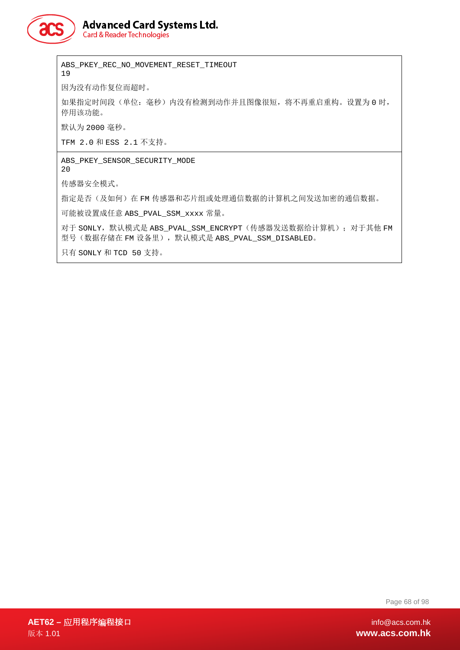

**Advanced Card Systems Ltd.** 

**Card & Reader Technologies** 

ABS PKEY REC NO MOVEMENT RESET TIMEOUT 19

因为没有动作复位而超时。

如果指定时间段(单位:毫秒)内没有检测到动作并且图像很短,将不再重启重构。设置为 0 时, 停用该功能。

默认为 2000 毫秒。

TFM 2.0 和 ESS 2.1 不支持。

ABS\_PKEY\_SENSOR\_SECURITY\_MODE 20

传感器安全模式。

指定是否(及如何)在 FM 传感器和芯片组或处理通信数据的计算机之间发送加密的通信数据。

可能被设置成任意 ABS\_PVAL\_SSM\_xxxx 常量。

对于 SONLY, 默认模式是 ABS\_PVAL\_SSM\_ENCRYPT (传感器发送数据给计算机); 对于其他 FM 型号(数据存储在 FM 设备里), 默认模式是 ABS\_PVAL\_SSM\_DISABLED。

只有 SONLY 和 TCD 50 支持。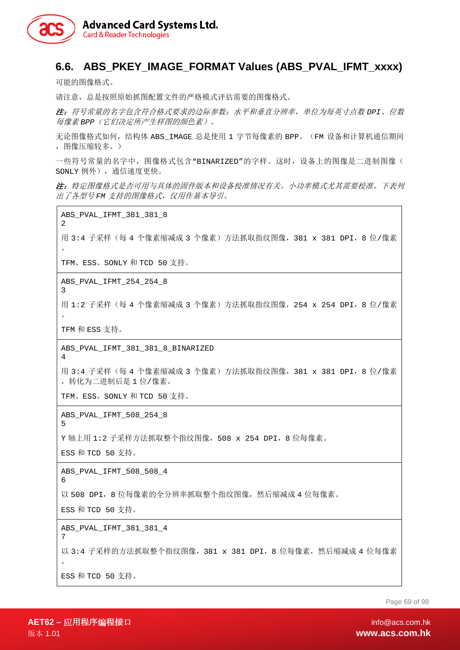

## **6.6. ABS\_PKEY\_IMAGE\_FORMAT Values (ABS\_PVAL\_IFMT\_xxxx)**

可能的图像格式。

请注意,总是按照原始抓图配置文件的严格模式评估需要的图像格式。

注:符号常量的名字包含符合格式要求的边际参数:水平和垂直分辨率,单位为每英寸点数 *DPI*、位数 每像素 *BPP*(它们决定所产生样图的颜色素)。

无论图像格式如何,结构体 ABS\_IMAGE 总是使用 1 字节每像素的 BPP。(FM 设备和计算机通信期间 ,图像压缩较多。)

一些符号常量的名字中,图像格式包含"BINARIZED"的字样。这时,设备上的图像是二进制图像( SONLY 例外),通信速度更快。

注:特定图像格式是否可用与具体的固件版本和设备校准情况有关。小功率模式尤其需要校准。下表列 出了各型号 *FM* 支持的图像格式,仅用作基本导引。

ABS\_PVAL\_IFMT\_381\_381\_8

用 3:4 子采样(每 4 个像素缩减成 3 个像素)方法抓取指纹图像,381 x 381 DPI,8 位/像素 。

TFM、ESS、SONLY 和 TCD 50 支持。

ABS\_PVAL\_IFMT\_254\_254\_8

用 1:2 子采样(每 4 个像素缩减成 3 个像素)方法抓取指纹图像,254 x 254 DPI,8 位/像素  $\ddot{\circ}$ 

TFM 和 ESS 支持。

ABS\_PVAL\_IFMT\_381\_381\_8\_BINARIZED 4

用 3:4 子采样(每 4 个像素缩减成 3 个像素)方法抓取指纹图像,381 x 381 DPI,8 位/像素 ,转化为二进制后是 1 位/像素。

TFM、ESS、SONLY 和 TCD 50 支持。

ABS\_PVAL\_IFMT\_508\_254\_8

5

6

7

2

3

Y 轴上用 1:2 子采样方法抓取整个指纹图像,508 x 254 DPI,8 位每像素。

ESS 和 TCD 50 支持。

ABS\_PVAL\_IFMT\_508\_508\_4

以 508 DPI, 8 位每像素的全分辨率抓取整个指纹图像, 然后缩减成 4 位每像素。

ESS 和 TCD 50 支持。

ABS\_PVAL\_IFMT\_381\_381\_4

以 3:4 子采样的方法抓取整个指纹图像, 381 x 381 DPI, 8 位每像素, 然后缩减成 4 位每像素 。 ESS 和 TCD 50 支持。

Page 69 of 98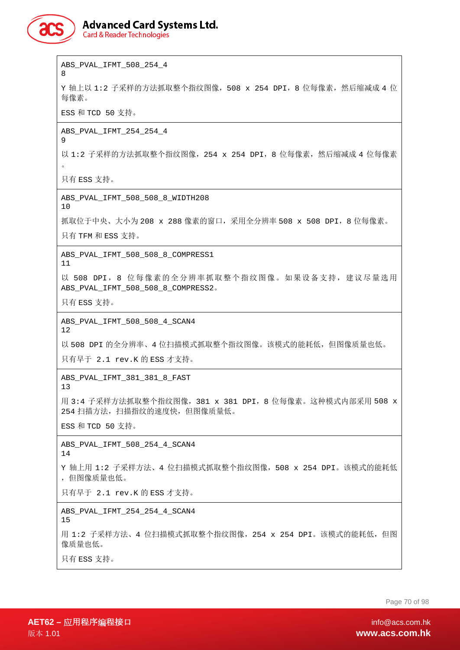

# **Advanced Card Systems Ltd.**

**Card & Reader Technologies** 

ABS\_PVAL\_IFMT\_508\_254\_4

8

Y 轴上以 1:2 子采样的方法抓取整个指纹图像,508 x 254 DPI,8 位每像素,然后缩减成 4 位 每像素。

ESS 和 TCD 50 支持。

ABS\_PVAL\_IFMT\_254\_254\_4  $\alpha$ 

以 1:2 子采样的方法抓取整个指纹图像, 254 x 254 DPI, 8 位每像素, 然后缩减成 4 位每像素 。

只有 ESS 支持。

ABS\_PVAL\_IFMT\_508\_508\_8\_WIDTH208

10

抓取位于中央、大小为 208 x 288 像素的窗口, 采用全分辨率 508 x 508 DPI, 8 位每像素。

只有 TFM 和 ESS 支持。

ABS\_PVAL\_IFMT\_508\_508\_8\_COMPRESS1 11

以 508 DPI, 8 位每像素的全分辨率抓取整个指纹图像。如果设备支持, 建议尽量选用 ABS\_PVAL\_IFMT\_508\_508\_8\_COMPRESS2。

只有 ESS 支持。

ABS\_PVAL\_IFMT\_508\_508\_4\_SCAN4 12

以 508 DPI 的全分辨率、4 位扫描模式抓取整个指纹图像。该模式的能耗低, 但图像质量也低。 只有早于 2.1 rev.K 的 ESS 才支持。

ABS\_PVAL\_IFMT\_381\_381\_8\_FAST

13

用 3:4 子采样方法抓取整个指纹图像,381 x 381 DPI,8 位每像素。这种模式内部采用 508 x 254 扫描方法,扫描指纹的速度快,但图像质量低。

ESS 和 TCD 50 支持。

ABS\_PVAL\_IFMT\_508\_254\_4\_SCAN4 14

Y 轴上用 1:2 子采样方法、4 位扫描模式抓取整个指纹图像,508 x 254 DPI。该模式的能耗低 ,但图像质量也低。

只有早于 2.1 rev.K 的 ESS 才支持。

ABS\_PVAL\_IFMT\_254\_254\_4\_SCAN4

15 用 1:2 子采样方法、4 位扫描模式抓取整个指纹图像, 254 x 254 DPI。该模式的能耗低, 但图 像质量也低。

只有 ESS 支持。

Page 70 of 98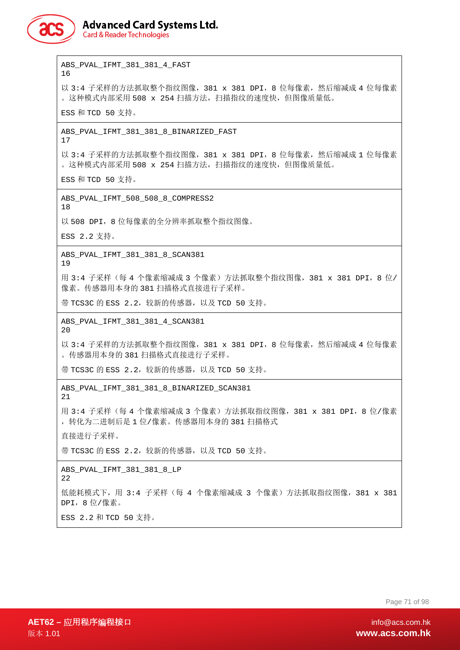

**Card & Reader Technologies** 

ABS\_PVAL\_IFMT\_381\_381\_4\_FAST 16

以 3:4 子采样的方法抓取整个指纹图像, 381 x 381 DPI, 8 位每像素, 然后缩减成 4 位每像素 。这种模式内部采用 508 x 254 扫描方法,扫描指纹的速度快,但图像质量低。

ESS 和 TCD 50 支持。

ABS\_PVAL\_IFMT\_381\_381\_8\_BINARIZED\_FAST 17

以 3:4 子采样的方法抓取整个指纹图像, 381 x 381 DPI, 8 位每像素, 然后缩减成 1 位每像素 。这种模式内部采用 508 x 254 扫描方法,扫描指纹的速度快,但图像质量低。

ESS 和 TCD 50 支持。

ABS\_PVAL\_IFMT\_508\_508\_8\_COMPRESS2 18

以 508 DPI, 8 位每像素的全分辨率抓取整个指纹图像。

ESS 2.2 支持。

ABS\_PVAL\_IFMT\_381\_381\_8\_SCAN381 19

用 3:4 子采样(每 4 个像素缩减成 3 个像素)方法抓取整个指纹图像,381 x 381 DPI,8 位/ 像素。传感器用本身的 381 扫描格式直接进行子采样。

带 TCS3C 的 ESS 2.2,较新的传感器, 以及 TCD 50 支持。

ABS\_PVAL\_IFMT\_381\_381\_4\_SCAN381 20

以 3:4 子采样的方法抓取整个指纹图像, 381 x 381 DPI, 8 位每像素, 然后缩减成 4 位每像素 。传感器用本身的 381 扫描格式直接进行子采样。

带 TCS3C 的 ESS 2.2,较新的传感器, 以及 TCD 50 支持。

ABS\_PVAL\_IFMT\_381\_381\_8\_BINARIZED\_SCAN381 21

用 3:4 子采样(每 4 个像素缩减成 3 个像素)方法抓取指纹图像,381 x 381 DPI,8 位/像素 ,转化为二进制后是 1 位/像素。传感器用本身的 381 扫描格式

直接进行子采样。

带 TCS3C 的 ESS 2.2,较新的传感器, 以及 TCD 50 支持。

ABS\_PVAL\_IFMT\_381\_381\_8\_LP 22

低能耗模式下,用 3:4 子采样(每 4 个像素缩减成 3 个像素)方法抓取指纹图像,381 x 381 DPI,8 位/像素。

ESS 2.2 和 TCD 50 支持。

Page 71 of 98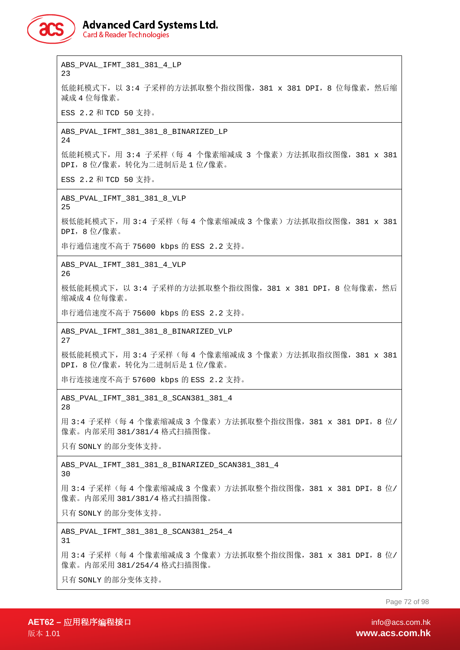

23

# **Advanced Card Systems Ltd.**

**Card & Reader Technologies** 

ABS\_PVAL\_IFMT\_381\_381\_4\_LP

**AET62 –** 应用程序编程接口 info@acs.com.hk Page 72 of 98 低能耗模式下, 以 3:4 子采样的方法抓取整个指纹图像, 381 x 381 DPI, 8 位每像素, 然后缩 减成 4 位每像素。 ESS 2.2 和 TCD 50 支持。 ABS\_PVAL\_IFMT\_381\_381\_8\_BINARIZED\_LP 24 低能耗模式下,用 3:4 子采样(每 4 个像素缩减成 3 个像素)方法抓取指纹图像,381 x 381 DPI,8 位/像素,转化为二进制后是 1 位/像素。 ESS 2.2 和 TCD 50 支持。 ABS\_PVAL\_IFMT\_381\_381\_8\_VLP 25 极低能耗模式下,用 3:4 子采样(每 4 个像素缩减成 3 个像素)方法抓取指纹图像, 381 x 381 DPI,8 位/像素。 串行通信速度不高于 75600 kbps 的 ESS 2.2 支持。 ABS\_PVAL\_IFMT\_381\_381\_4\_VLP 26 极低能耗模式下,以 3:4 子采样的方法抓取整个指纹图像,381 x 381 DPI,8 位每像素,然后 缩减成 4 位每像素。 串行通信速度不高于 75600 kbps 的 ESS 2.2 支持。 ABS\_PVAL\_IFMT\_381\_381\_8\_BINARIZED\_VLP 27 极低能耗模式下,用 3:4 子采样 (每 4 个像素缩减成 3 个像素) 方法抓取指纹图像,381 x 381 DPI,8 位/像素,转化为二进制后是 1 位/像素。 串行连接速度不高于 57600 kbps 的 ESS 2.2 支持。 ABS\_PVAL\_IFMT\_381\_381\_8\_SCAN381\_381\_4 28 用 3:4 子采样(每 4 个像素缩减成 3 个像素)方法抓取整个指纹图像, 381 x 381 DPI, 8 位/ 像素。内部采用 381/381/4 格式扫描图像。 只有 SONLY 的部分变体支持。 ABS\_PVAL\_IFMT\_381\_381\_8\_BINARIZED\_SCAN381\_381\_4 30 用 3:4 子采样(每 4 个像素缩减成 3 个像素)方法抓取整个指纹图像,381 x 381 DPI,8 位/ 像素。内部采用 381/381/4 格式扫描图像。 只有 SONLY 的部分变体支持。 ABS\_PVAL\_IFMT\_381\_381\_8\_SCAN381\_254\_4 31 用 3:4 子采样(每 4 个像素缩减成 3 个像素)方法抓取整个指纹图像,381 x 381 DPI,8 位/ 像素。内部采用 381/254/4 格式扫描图像。 只有 SONLY 的部分变体支持。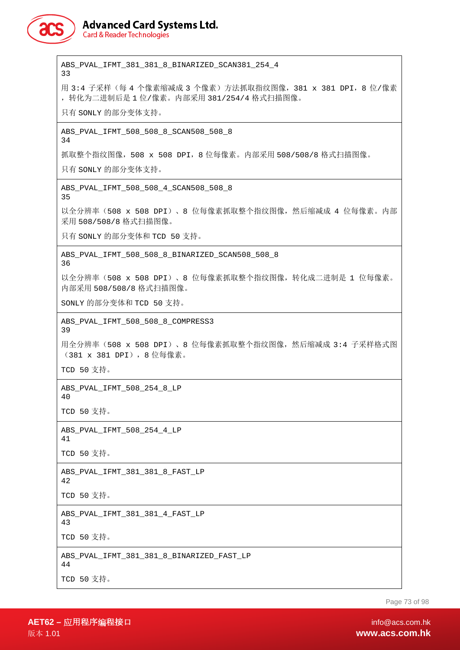

## **Advanced Card Systems Ltd.**

**Card & Reader Technologies** 

ABS\_PVAL\_IFMT\_381\_381\_8\_BINARIZED\_SCAN381\_254\_4 33 用 3:4 子采样 (每 4 个像素缩减成 3 个像素) 方法抓取指纹图像, 381 x 381 DPI, 8 位/像素 ,转化为二进制后是 1 位/像素。内部采用 381/254/4 格式扫描图像。 只有 SONLY 的部分变体支持。 ABS\_PVAL\_IFMT\_508\_508\_8\_SCAN508\_508\_8 34 抓取整个指纹图像,508 x 508 DPI,8 位每像素。内部采用 508/508/8 格式扫描图像。 只有 SONLY 的部分变体支持。 ABS\_PVAL\_IFMT\_508\_508\_4\_SCAN508\_508\_8 35 以全分辨率 (508 x 508 DPI)、8 位每像素抓取整个指纹图像,然后缩减成 4 位每像素。内部 采用 508/508/8 格式扫描图像。 只有 SONLY 的部分变体和 TCD 50 支持。 ABS\_PVAL\_IFMT\_508\_508\_8\_BINARIZED\_SCAN508\_508\_8 36 以全分辨率(508 x 508 DPI)、8 位每像素抓取整个指纹图像,转化成二进制是 1 位每像素。 内部采用 508/508/8 格式扫描图像。 SONLY 的部分变体和 TCD 50 支持。 ABS\_PVAL\_IFMT\_508\_508\_8\_COMPRESS3 39 用全分辨率 (508 x 508 DPI)、8 位每像素抓取整个指纹图像, 然后缩减成 3:4 子采样格式图 (381 x 381 DPI),8 位每像素。 TCD 50 支持。 ABS\_PVAL\_IFMT\_508\_254\_8\_LP  $40$ TCD 50 支持。 ABS\_PVAL\_IFMT\_508\_254\_4\_LP 41 TCD 50 支持。 ABS\_PVAL\_IFMT\_381\_381\_8\_FAST\_LP 42 TCD 50 支持。 ABS\_PVAL\_IFMT\_381\_381\_4\_FAST\_LP 43 TCD 50 支持。 ABS\_PVAL\_IFMT\_381\_381\_8\_BINARIZED\_FAST\_LP 44 TCD 50 支持。

Page 73 of 98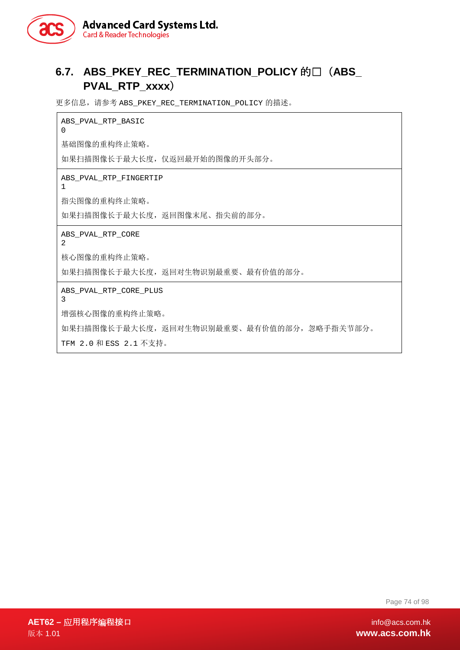

# **6.7. ABS\_PKEY\_REC\_TERMINATION\_POLICY** 的值(**ABS\_ PVAL\_RTP\_xxxx**)

更多信息, 请参考 ABS\_PKEY\_REC\_TERMINATION\_POLICY 的描述。

ABS\_PVAL\_RTP\_BASIC  $\Omega$ 

基础图像的重构终止策略。

如果扫描图像长于最大长度,仅返回最开始的图像的开头部分。

ABS\_PVAL\_RTP\_FINGERTIP

1

指尖图像的重构终止策略。

如果扫描图像长于最大长度,返回图像末尾、指尖前的部分。

ABS\_PVAL\_RTP\_CORE

2

核心图像的重构终止策略。

如果扫描图像长于最大长度,返回对生物识别最重要、最有价值的部分。

ABS\_PVAL\_RTP\_CORE\_PLUS

3

增强核心图像的重构终止策略。

如果扫描图像长于最大长度,返回对生物识别最重要、最有价值的部分,忽略手指关节部分。

TFM 2.0 和 ESS 2.1 不支持。

Page 74 of 98

**AET62 –** 应用程序编程接口 info@acs.com.hk 版本 1.01 **www.acs.com.hk**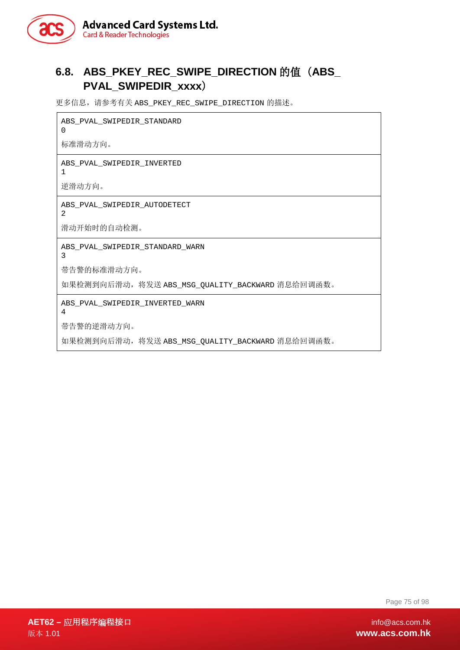

# **6.8. ABS\_PKEY\_REC\_SWIPE\_DIRECTION** 的值(**ABS\_ PVAL\_SWIPEDIR\_xxxx**)

更多信息,请参考有关 ABS\_PKEY\_REC\_SWIPE\_DIRECTION 的描述。

ABS\_PVAL\_SWIPEDIR\_STANDARD

标准滑动方向。

0

ABS\_PVAL\_SWIPEDIR\_INVERTED 1

逆滑动方向。

ABS\_PVAL\_SWIPEDIR\_AUTODETECT

滑动开始时的自动检测。

ABS\_PVAL\_SWIPEDIR\_STANDARD\_WARN

3

2

带告警的标准滑动方向。

如果检测到向后滑动,将发送 ABS\_MSG\_QUALITY\_BACKWARD 消息给回调函数。

ABS\_PVAL\_SWIPEDIR\_INVERTED\_WARN

4

带告警的逆滑动方向。

如果检测到向后滑动,将发送 ABS\_MSG\_QUALITY\_BACKWARD 消息给回调函数。

Page 75 of 98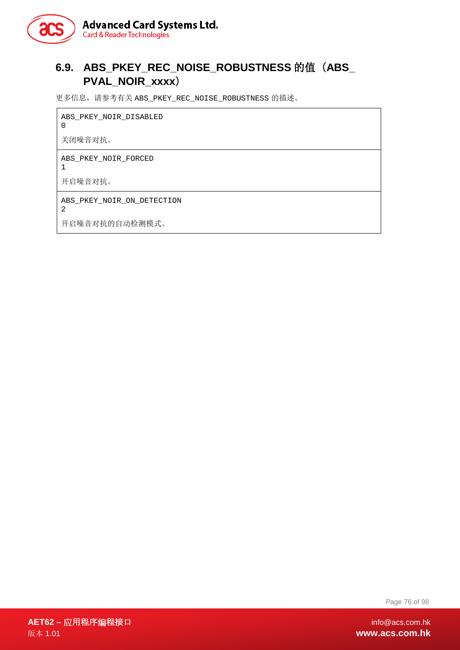

# **6.9. ABS\_PKEY\_REC\_NOISE\_ROBUSTNESS** 的值(**ABS\_ PVAL\_NOIR\_xxxx**)

更多信息,请参考有关 ABS\_PKEY\_REC\_NOISE\_ROBUSTNESS 的描述。

ABS\_PKEY\_NOIR\_DISABLED 0 关闭噪音对抗。 ABS\_PKEY\_NOIR\_FORCED 1 开启噪音对抗。 ABS\_PKEY\_NOIR\_ON\_DETECTION 2 开启噪音对抗的自动检测模式。

Page 76 of 98

**AET62 –** 应用程序编程接口 info@acs.com.hk 版本 1.01 **www.acs.com.hk**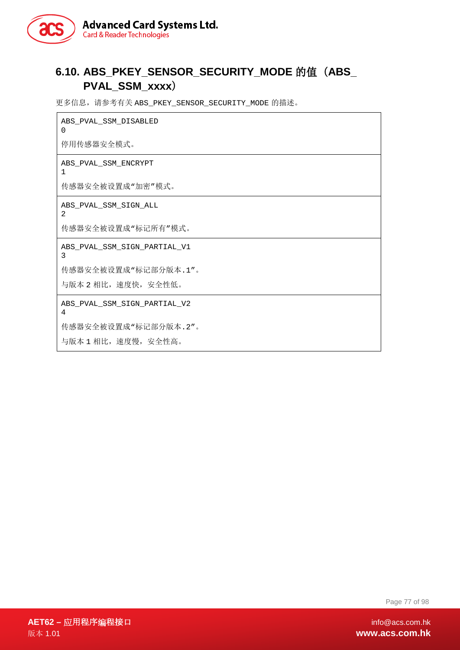

# **6.10. ABS\_PKEY\_SENSOR\_SECURITY\_MODE** 的值(**ABS\_ PVAL\_SSM\_xxxx**)

更多信息,请参考有关 ABS\_PKEY\_SENSOR\_SECURITY\_MODE 的描述。

ABS\_PVAL\_SSM\_DISABLED 0

停用传感器安全模式。

1

ABS\_PVAL\_SSM\_ENCRYPT

传感器安全被设置成"加密"模式。

ABS\_PVAL\_SSM\_SIGN\_ALL 2

传感器安全被设置成"标记所有"模式。

ABS\_PVAL\_SSM\_SIGN\_PARTIAL\_V1 3

传感器安全被设置成"标记部分版本.1"。

与版本 2 相比,速度快,安全性低。

ABS\_PVAL\_SSM\_SIGN\_PARTIAL\_V2 4

传感器安全被设置成"标记部分版本.2"。

与版本 1 相比,速度慢,安全性高。

Page 77 of 98

**AET62 –** 应用程序编程接口 info@acs.com.hk 版本 1.01 **www.acs.com.hk**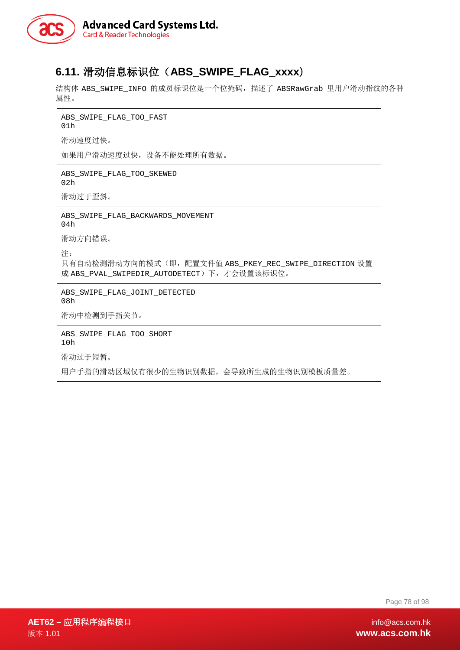

# **6.11.** 滑动信息标识位(**ABS\_SWIPE\_FLAG\_xxxx**)

结构体 ABS\_SWIPE\_INFO 的成员标识位是一个位掩码, 描述了 ABSRawGrab 里用户滑动指纹的各种 属性。

ABS\_SWIPE\_FLAG\_TOO\_FAST

01h

滑动速度过快。

如果用户滑动速度过快,设备不能处理所有数据。

ABS\_SWIPE\_FLAG\_TOO\_SKEWED 02h

滑动过于歪斜。

ABS\_SWIPE\_FLAG\_BACKWARDS\_MOVEMENT 04h

滑动方向错误。

注:

只有自动检测滑动方向的模式(即,配置文件值 ABS\_PKEY\_REC\_SWIPE\_DIRECTION 设置 成 ABS\_PVAL\_SWIPEDIR\_AUTODETECT)下,才会设置该标识位。

ABS\_SWIPE\_FLAG\_JOINT\_DETECTED 08h

滑动中检测到手指关节。

ABS\_SWIPE\_FLAG\_TOO\_SHORT 10h

滑动过于短暂。

用户手指的滑动区域仅有很少的生物识别数据,会导致所生成的生物识别模板质量差。

Page 78 of 98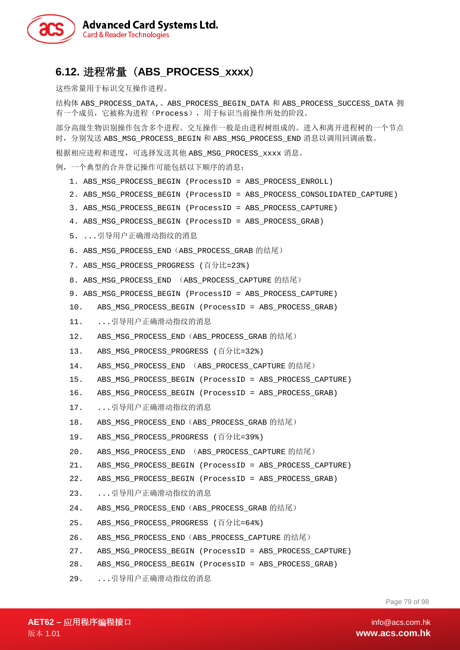

## **6.12.** 进程常量(**ABS\_PROCESS\_xxxx**)

这些常量用于标识交互操作进程。

结构体 ABS\_PROCESS\_DATA,、ABS\_PROCESS\_BEGIN\_DATA 和 ABS\_PROCESS\_SUCCESS\_DATA 拥 有一个成员,它被称为进程(Process),用于标识当前操作所处的阶段。

部分高级生物识别操作包含多个进程。交互操作一般是由进程树组成的。进入和离开进程树的一个节点 时, 分别发送 ABS\_MSG\_PROCESS\_BEGIN 和 ABS\_MSG\_PROCESS\_END 消息以调用回调函数。

根据相应进程和进度,可选择发送其他 ABS\_MSG\_PROCESS\_xxxx 消息。

例,一个典型的合并登记操作可能包括以下顺序的消息:

- 1. ABS\_MSG\_PROCESS\_BEGIN (ProcessID = ABS\_PROCESS\_ENROLL)
- 2. ABS\_MSG\_PROCESS\_BEGIN (ProcessID = ABS\_PROCESS\_CONSOLIDATED\_CAPTURE)
- 3. ABS\_MSG\_PROCESS\_BEGIN (ProcessID = ABS\_PROCESS\_CAPTURE)
- 4. ABS\_MSG\_PROCESS\_BEGIN (ProcessID = ABS\_PROCESS\_GRAB)
- 5. ...引导用户正确滑动指纹的消息
- 6. ABS\_MSG\_PROCESS\_END(ABS\_PROCESS\_GRAB 的结尾)
- 7. ABS\_MSG\_PROCESS\_PROGRESS (百分比=23%)
- 8. ABS\_MSG\_PROCESS\_END (ABS\_PROCESS\_CAPTURE 的结尾)
- 9. ABS MSG\_PROCESS\_BEGIN (ProcessID = ABS\_PROCESS\_CAPTURE)
- 10. ABS\_MSG\_PROCESS\_BEGIN (ProcessID = ABS\_PROCESS\_GRAB)
- 11. ...引导用户正确滑动指纹的消息
- 12. ABS\_MSG\_PROCESS\_END(ABS\_PROCESS\_GRAB 的结尾)
- 13. ABS MSG PROCESS PROGRESS (百分比=32%)
- 14. ABS MSG PROCESS END (ABS PROCESS CAPTURE 的结尾)
- 15. ABS\_MSG\_PROCESS\_BEGIN (ProcessID = ABS\_PROCESS\_CAPTURE)
- 16. ABS\_MSG\_PROCESS\_BEGIN (ProcessID = ABS\_PROCESS\_GRAB)
- 17. ...引导用户正确滑动指纹的消息
- 18. ABS MSG PROCESS END (ABS PROCESS GRAB 的结尾)
- 19. ABS MSG PROCESS PROGRESS (百分比=39%)
- 20. ABS\_MSG\_PROCESS\_END (ABS\_PROCESS\_CAPTURE 的结尾)
- 21. ABS\_MSG\_PROCESS\_BEGIN (ProcessID = ABS\_PROCESS\_CAPTURE)
- 22. ABS\_MSG\_PROCESS\_BEGIN (ProcessID = ABS\_PROCESS\_GRAB)
- 23. ...引导用户正确滑动指纹的消息
- 24. ABS\_MSG\_PROCESS\_END (ABS\_PROCESS\_GRAB 的结尾)
- 25. ABS MSG PROCESS PROGRESS (百分比=64%)
- 26. ABS MSG PROCESS END (ABS PROCESS CAPTURE 的结尾)
- 27. ABS\_MSG\_PROCESS\_BEGIN (ProcessID = ABS\_PROCESS\_CAPTURE)
- 28. ABS\_MSG\_PROCESS\_BEGIN (ProcessID = ABS\_PROCESS\_GRAB)
- 29. ...引导用户正确滑动指纹的消息

Page 79 of 98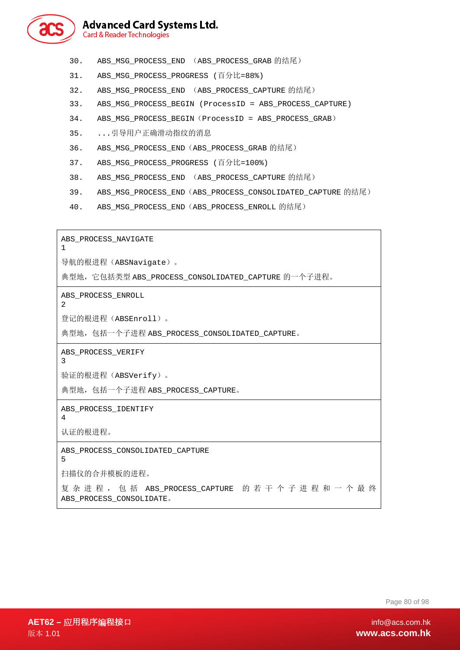

- 30. ABS\_MSG\_PROCESS\_END (ABS\_PROCESS\_GRAB 的结尾)
- 31. ABS MSG PROCESS PROGRESS (百分比=88%)
- 32. ABS MSG PROCESS END (ABS PROCESS CAPTURE 的结尾)
- 33. ABS\_MSG\_PROCESS\_BEGIN (ProcessID = ABS\_PROCESS\_CAPTURE)
- 34. ABS\_MSG\_PROCESS\_BEGIN(ProcessID = ABS\_PROCESS\_GRAB)
- 35. ...引导用户正确滑动指纹的消息
- 36. ABS\_MSG\_PROCESS\_END(ABS\_PROCESS\_GRAB 的结尾)
- 37. ABS\_MSG\_PROCESS\_PROGRESS (百分比=100%)
- 38. ABS MSG PROCESS END (ABS PROCESS CAPTURE 的结尾)
- 39. ABS MSG\_PROCESS\_END(ABS\_PROCESS\_CONSOLIDATED\_CAPTURE 的结尾)
- 40. ABS\_MSG\_PROCESS\_END(ABS\_PROCESS\_ENROLL 的结尾)

ABS\_PROCESS\_NAVIGATE 1

导航的根进程(ABSNavigate)。

典型地, 它包括类型 ABS\_PROCESS\_CONSOLIDATED\_CAPTURE 的一个子进程。

ABS\_PROCESS\_ENROLL

登记的根进程(ABSEnroll)。

典型地,包括一个子进程 ABS\_PROCESS\_CONSOLIDATED\_CAPTURE。

ABS\_PROCESS\_VERIFY

3

2

验证的根进程(ABSVerify)。

典型地,包括一个子进程 ABS\_PROCESS\_CAPTURE。

ABS\_PROCESS\_IDENTIFY 4

认证的根进程。

ABS\_PROCESS\_CONSOLIDATED\_CAPTURE 5

扫描仪的合并模板的进程。

复杂进程,包括 ABS\_PROCESS\_CAPTURE 的若干个子进程和一个最终 ABS\_PROCESS\_CONSOLIDATE。

Page 80 of 98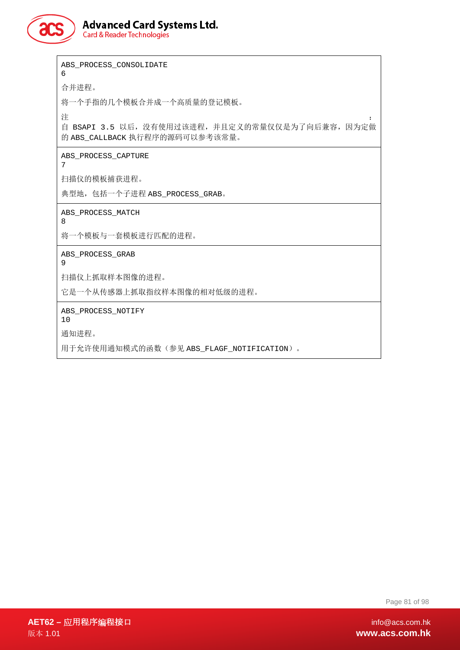

# **Advanced Card Systems Ltd.**

**Card & Reader Technologies** 

ABS\_PROCESS\_CONSOLIDATE 6 合并进程。 将一个手指的几个模板合并成一个高质量的登记模板。 注 the contract of the contract of the contract of the contract of the contract of the contract of the contract of the contract of the contract of the contract of the contract of the contract of the contract of the contra 自 BSAPI 3.5 以后,没有使用过该进程,并且定义的常量仅仅是为了向后兼容,因为定做 的 ABS\_CALLBACK 执行程序的源码可以参考该常量。 ABS\_PROCESS\_CAPTURE 7 扫描仪的模板捕获进程。 典型地,包括一个子进程 ABS\_PROCESS\_GRAB。 ABS\_PROCESS\_MATCH 8 将一个模板与一套模板进行匹配的进程。 ABS\_PROCESS\_GRAB 9 扫描仪上抓取样本图像的进程。 它是一个从传感器上抓取指纹样本图像的相对低级的进程。 ABS\_PROCESS\_NOTIFY 10 通知进程。 用于允许使用通知模式的函数(参见 ABS\_FLAGF\_NOTIFICATION)。

Page 81 of 98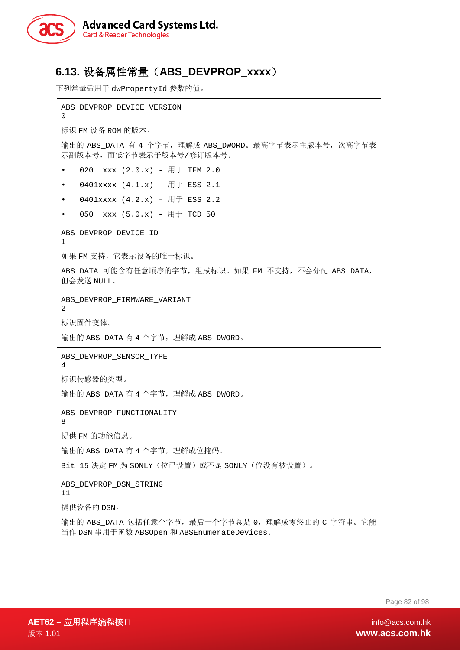

# **6.13.** 设备属性常量(**ABS\_DEVPROP\_xxxx**)

下列常量适用于 dwPropertyId 参数的值。

ABS DEVPROP DEVICE VERSION  $\Omega$ 标识 FM 设备 ROM 的版本。 输出的 ABS DATA 有 4 个字节, 理解成 ABS DWORD。最高字节表示主版本号, 次高字节表 示副版本号,而低字节表示子版本号/修订版本号。 • 020  $xxx$  (2.0. $x$ ) - 用于 TFM 2.0 •  $0401xxxx$   $(4.1.x) - \overline{H}$  ESS 2.1 •  $0401xxxx$   $(4.2.x) - \overline{H}$  ESS 2.2 050 xxx  $(5.0.x)$  - 用于 TCD 50 ABS\_DEVPROP\_DEVICE\_ID 1 如果 FM 支持,它表示设备的唯一标识。 ABS DATA 可能含有任意顺序的字节,组成标识。如果 FM 不支持,不会分配 ABS DATA, 但会发送 NULL。 ABS\_DEVPROP\_FIRMWARE\_VARIANT 2 标识固件变体。 输出的 ABS\_DATA 有 4 个字节,理解成 ABS\_DWORD。 ABS\_DEVPROP\_SENSOR\_TYPE 4 标识传感器的类型。 输出的 ABS\_DATA 有 4 个字节,理解成 ABS\_DWORD。 ABS\_DEVPROP\_FUNCTIONALITY 8 提供 FM 的功能信息。 输出的 ABS\_DATA 有 4 个字节,理解成位掩码。 Bit 15 决定 FM 为 SONLY(位已设置)或不是 SONLY(位没有被设置)。 ABS\_DEVPROP\_DSN\_STRING 11 提供设备的 DSN。 输出的 ABS DATA 包括任意个字节,最后一个字节总是 0,理解成零终止的 C 字符串。它能 当作 DSN 串用于函数 ABSOpen 和 ABSEnumerateDevices。

Page 82 of 98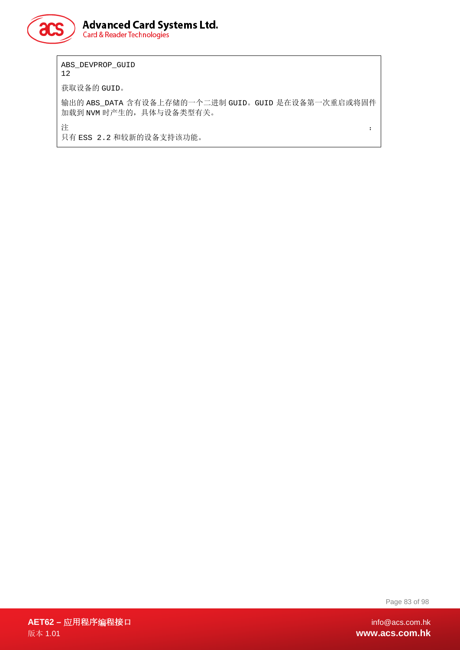

ABS\_DEVPROP\_GUID 12 获取设备的 GUID。 输出的 ABS\_DATA 含有设备上存储的一个二进制 GUID。GUID 是在设备第一次重启或将固件 加载到 NVM 时产生的,具体与设备类型有关。

注 the contract of the contract of the contract of the contract of the contract of the contract of the contract of the contract of the contract of the contract of the contract of the contract of the contract of the contra

只有 ESS 2.2 和较新的设备支持该功能。

Page 83 of 98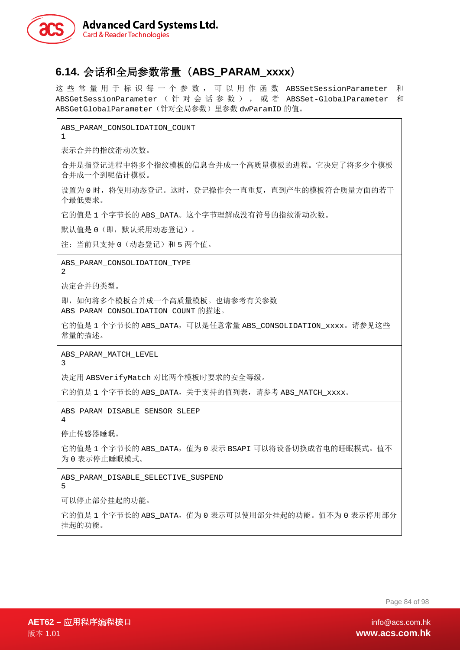

## **6.14.** 会话和全局参数常量(**ABS\_PARAM\_xxxx**)

这些常量用于标识每一个参数,可以用作函数 ABSSetSessionParameter 和 ABSGetSessionParameter (针对会话参数),或者 ABSSet-GlobalParameter 和 ABSGetGlobalParameter(针对全局参数)里参数 dwParamID 的值。

ABS\_PARAM\_CONSOLIDATION\_COUNT

1

表示合并的指纹滑动次数。

合并是指登记进程中将多个指纹模板的信息合并成一个高质量模板的进程。它决定了将多少个模板 合并成一个到呢估计模板。

设置为 0 时,将使用动态登记。这时,登记操作会一直重复,直到产生的模板符合质量方面的若干 个最低要求。

它的值是 1 个字节长的 ABS\_DATA。这个字节理解成没有符号的指纹滑动次数。

默认值是 0(即, 默认采用动态登记)。

注: 当前只支持 0 (动态登记) 和 5 两个值。

ABS\_PARAM\_CONSOLIDATION\_TYPE

 $\mathcal{D}$ 

决定合并的类型。

即,如何将多个模板合并成一个高质量模板。也请参考有关参数 ABS PARAM CONSOLIDATION COUNT 的描述。

它的值是 1 个字节长的 ABS\_DATA, 可以是任意常量 ABS\_CONSOLIDATION\_xxxx。请参见这些 常量的描述。

ABS\_PARAM\_MATCH\_LEVEL

3

决定用 ABSVerifyMatch 对比两个模板时要求的安全等级。

它的值是 1 个字节长的 ABS\_DATA, 关于支持的值列表, 请参考 ABS\_MATCH\_xxxx。

ABS\_PARAM\_DISABLE\_SENSOR\_SLEEP

4

停止传感器睡眠。

它的值是 1 个字节长的 ABS\_DATA, 值为 0 表示 BSAPI 可以将设备切换成省电的睡眠模式。值不 为 0 表示停止睡眠模式。

ABS\_PARAM\_DISABLE\_SELECTIVE\_SUSPEND

5

可以停止部分挂起的功能。

它的值是 1 个字节长的 ABS\_DATA,值为 0 表示可以使用部分挂起的功能。值不为 0 表示停用部分 挂起的功能。

Page 84 of 98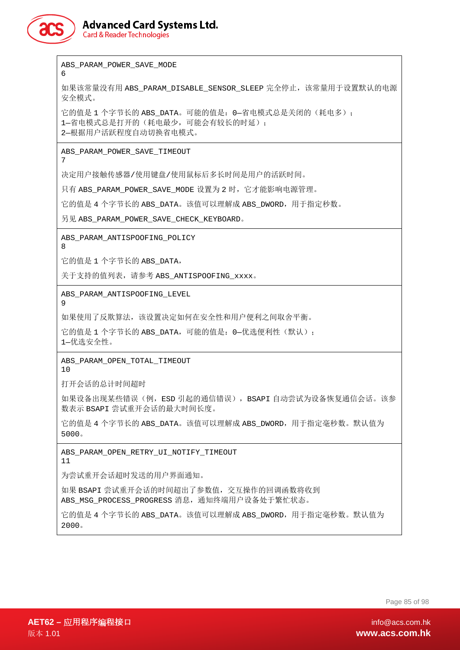

**Advanced Card Systems Ltd. Card & Reader Technologies** 

ABS\_PARAM\_POWER\_SAVE\_MODE 6 如果该常量没有用 ABS\_PARAM\_DISABLE\_SENSOR\_SLEEP 完全停止, 该常量用于设置默认的电源 安全模式。 它的值是 1 个字节长的 ABS\_DATA。可能的值是: 0-省电模式总是关闭的(耗电多); 1-省电模式总是打开的(耗电最少,可能会有较长的时延); 2—根据用户活跃程度自动切换省电模式。 ABS\_PARAM\_POWER\_SAVE\_TIMEOUT 7 决定用户接触传感器/使用键盘/使用鼠标后多长时间是用户的活跃时间。 只有 ABS\_PARAM\_POWER\_SAVE\_MODE 设置为 2 时, 它才能影响电源管理。 它的值是 4 个字节长的 ABS\_DATA。该值可以理解成 ABS\_DWORD,用于指定秒数。 另见 ABS\_PARAM\_POWER\_SAVE\_CHECK\_KEYBOARD。 ABS\_PARAM\_ANTISPOOFING\_POLICY 8 它的值是 1 个字节长的 ABS\_DATA, 关于支持的值列表, 请参考 ABS\_ANTISPOOFING\_xxxx。 ABS\_PARAM\_ANTISPOOFING\_LEVEL 9 如果使用了反欺算法,该设置决定如何在安全性和用户便利之间取舍平衡。 它的值是 1 个字节长的 ABS\_DATA, 可能的值是: 0-优选便利性(默认); 1—优选安全性。 ABS\_PARAM\_OPEN\_TOTAL\_TIMEOUT 10 打开会话的总计时间超时 如果设备出现某些错误(例,ESD 引起的通信错误),BSAPI 自动尝试为设备恢复通信会话。该参 数表示 BSAPI 尝试重开会话的最大时间长度。 它的值是 4 个字节长的 ABS\_DATA。该值可以理解成 ABS\_DWORD, 用于指定毫秒数。默认值为 5000。 ABS PARAM OPEN RETRY UI NOTIFY TIMEOUT 11 为尝试重开会话超时发送的用户界面通知。 如果 BSAPI 尝试重开会话的时间超出了参数值, 交互操作的回调函数将收到 ABS MSG PROCESS PROGRESS 消息,通知终端用户设备处于繁忙状态。

它的值是 4 个字节长的 ABS\_DATA。该值可以理解成 ABS\_DWORD,用于指定毫秒数。默认值为 2000。

Page 85 of 98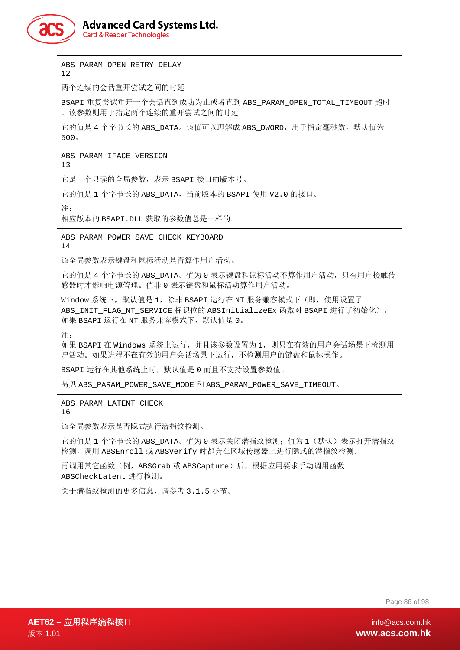

ABS\_PARAM\_OPEN\_RETRY\_DELAY

12

两个连续的会话重开尝试之间的时延

BSAPI 重复尝试重开一个会话直到成功为止或者直到 ABS\_PARAM\_OPEN\_TOTAL\_TIMEOUT 超时 。该参数则用于指定两个连续的重开尝试之间的时延。

它的值是 4 个字节长的 ABS\_DATA。该值可以理解成 ABS\_DWORD,用于指定毫秒数。默认值为 500。

ABS PARAM IFACE VERSION

13

它是一个只读的全局参数,表示 BSAPI 接口的版本号。

它的值是 1 个字节长的 ABS\_DATA,当前版本的 BSAPI 使用 V2.0 的接口。

注:

相应版本的 BSAPI.DLL 获取的参数值总是一样的。

ABS\_PARAM\_POWER\_SAVE\_CHECK\_KEYBOARD 14

该全局参数表示键盘和鼠标活动是否算作用户活动。

它的值是 4 个字节长的 ABS\_DATA。值为 0 表示键盘和鼠标活动不算作用户活动,只有用户接触传 感器时才影响电源管理。值非 0 表示键盘和鼠标活动算作用户活动。

Window 系统下, 默认值是 1, 除非 BSAPI 运行在 NT 服务兼容模式下(即, 使用设置了 ABS INIT FLAG NT SERVICE 标识位的 ABSInitializeEx 函数对 BSAPI 进行了初始化)。 如果 BSAPI 运行在 NT 服务兼容模式下,默认值是 0。

注:

如果 BSAPI 在 Windows 系统上运行, 并且该参数设置为 1, 则只在有效的用户会话场景下检测用 户活动。如果进程不在有效的用户会话场景下运行,不检测用户的键盘和鼠标操作。

BSAPI 运行在其他系统上时,默认值是 0 而且不支持设置参数值。

另见 ABS PARAM\_POWER\_SAVE\_MODE 和 ABS\_PARAM\_POWER\_SAVE\_TIMEOUT。

ABS\_PARAM\_LATENT\_CHECK

16

该全局参数表示是否隐式执行潜指纹检测。

它的值是 1 个字节长的 ABS\_DATA。值为 0 表示关闭潜指纹检测;值为 1 (默认)表示打开潜指纹 检测,调用 ABSEnroll 或 ABSVerify 时都会在区域传感器上进行隐式的潜指纹检测。

再调用其它函数(例, ABSGrab 或 ABSCapture)后, 根据应用要求手动调用函数 ABSCheckLatent 进行检测。

关于潜指纹检测的更多信息,请参考 3.1.5 小节。

Page 86 of 98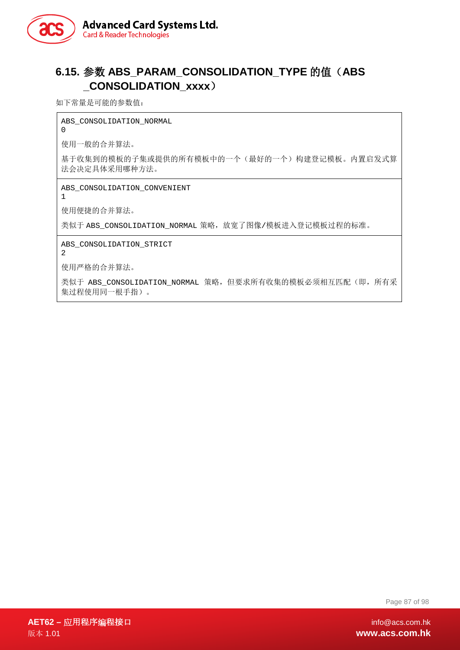

# **6.15.** 参数 **ABS\_PARAM\_CONSOLIDATION\_TYPE** 的值(**ABS \_CONSOLIDATION\_xxxx**)

如下常量是可能的参数值:

ABS CONSOLIDATION NORMAL

使用一般的合并算法。

基于收集到的模板的子集或提供的所有模板中的一个(最好的一个)构建登记模板。内置启发式算 法会决定具体采用哪种方法。

ABS\_CONSOLIDATION\_CONVENIENT

1

 $\Omega$ 

使用便捷的合并算法。

类似于 ABS\_CONSOLIDATION\_NORMAL 策略, 放宽了图像/模板进入登记模板过程的标准。

ABS\_CONSOLIDATION\_STRICT

2

使用严格的合并算法。

类似于 ABS\_CONSOLIDATION\_NORMAL 策略, 但要求所有收集的模板必须相互匹配(即, 所有采 集过程使用同一根手指)。

Page 87 of 98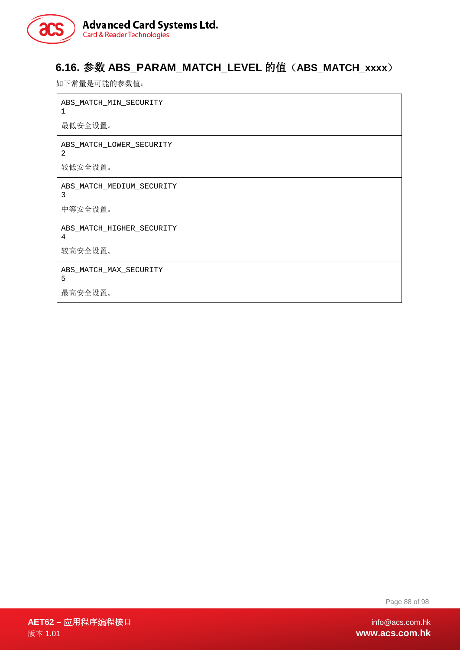

# **6.16.** 参数 **ABS\_PARAM\_MATCH\_LEVEL** 的值(**ABS\_MATCH\_xxxx**)

如下常量是可能的参数值:

 $\mathbf{r}$ 

| ABS_MATCH_MIN_SECURITY<br>$\mathbf{1}$ |
|----------------------------------------|
| 最低安全设置。                                |
| ABS_MATCH_LOWER_SECURITY<br>2          |
| 较低安全设置。                                |
| ABS_MATCH_MEDIUM_SECURITY<br>3         |
| 中等安全设置。                                |
| ABS_MATCH_HIGHER_SECURITY<br>4         |
| 较高安全设置。                                |
| ABS_MATCH_MAX_SECURITY<br>5            |
| 最高安全设置。                                |

Page 88 of 98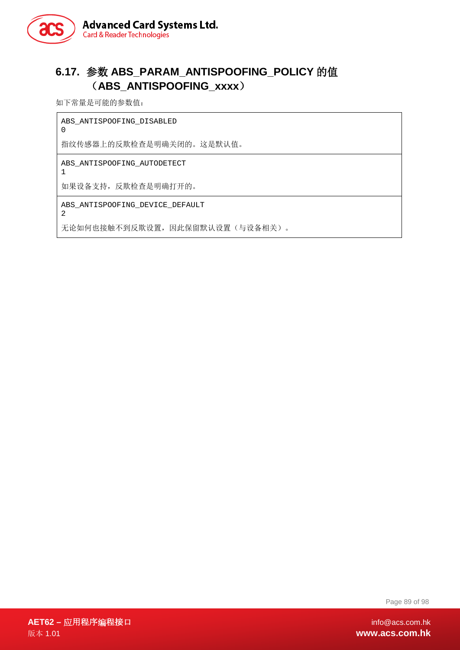

# **6.17.** 参数 **ABS\_PARAM\_ANTISPOOFING\_POLICY** 的值 (**ABS\_ANTISPOOFING\_xxxx**)

如下常量是可能的参数值:

0

2

ABS\_ANTISPOOFING\_DISABLED

指纹传感器上的反欺检查是明确关闭的。这是默认值。

ABS\_ANTISPOOFING\_AUTODETECT 1

如果设备支持,反欺检查是明确打开的。

ABS\_ANTISPOOFING\_DEVICE\_DEFAULT

无论如何也接触不到反欺设置,因此保留默认设置(与设备相关)。

Page 89 of 98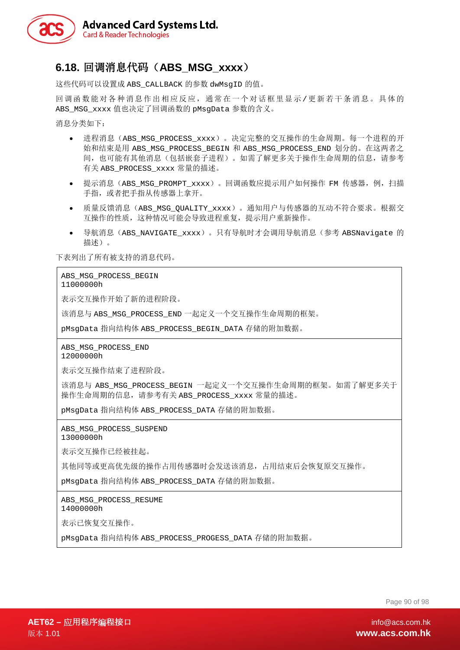

# **6.18.** 回调消息代码(**ABS\_MSG\_xxxx**)

这些代码可以设置成 ABS\_CALLBACK 的参数 dwMsqID 的值。

回调函数能对各种消息作出相应反应,通常在一个对话框里显示/更新若干条消息。具体的 ABS\_MSG\_xxxx 值也决定了回调函数的 pMsgData 参数的含义。

消息分类如下:

- 进程消息(ABS\_MSG\_PROCESS\_xxxx)。决定完整的交互操作的生命周期。每一个进程的开 始和结束是用 ABS\_MSG\_PROCESS\_BEGIN 和 ABS\_MSG\_PROCESS\_END 划分的。在这两者之 间,也可能有其他消息(包括嵌套子进程)。如需了解更多关于操作生命周期的信息,请参考 有关 ABS\_PROCESS\_xxxx 常量的描述。
- 提示消息(ABS\_MSG\_PROMPT\_xxxx)。回调函数应提示用户如何操作 FM 传感器,例,扫描 手指,或者把手指从传感器上拿开。
- 质量反馈消息(ABS MSG OUALITY xxxx)。通知用户与传感器的互动不符合要求。根据交 互操作的性质,这种情况可能会导致进程重复,提示用户重新操作。
- 导航消息(ABS\_NAVIGATE\_xxxx)。只有导航时才会调用导航消息(参考 ABSNavigate 的 描述)。

下表列出了所有被支持的消息代码。

ABS\_MSG\_PROCESS\_BEGIN

11000000h

表示交互操作开始了新的进程阶段。

该消息与 ABS\_MSG\_PROCESS\_END 一起定义一个交互操作生命周期的框架。

pMsqData 指向结构体 ABS\_PROCESS\_BEGIN\_DATA 存储的附加数据。

ABS\_MSG\_PROCESS\_END 12000000h

表示交互操作结束了进程阶段。

该消息与 ABS\_MSG\_PROCESS\_BEGIN 一起定义一个交互操作生命周期的框架。如需了解更多关于 操作生命周期的信息,请参考有关 ABS\_PROCESS\_xxxx 常量的描述。

pMsgData 指向结构体 ABS\_PROCESS\_DATA 存储的附加数据。

ABS\_MSG\_PROCESS\_SUSPEND

13000000h

表示交互操作已经被挂起。

其他同等或更高优先级的操作占用传感器时会发送该消息,占用结束后会恢复原交互操作。

pMsgData 指向结构体 ABS\_PROCESS\_DATA 存储的附加数据。

ABS\_MSG\_PROCESS\_RESUME 14000000h

表示已恢复交互操作。

pMsqData 指向结构体 ABS\_PROCESS\_PROGESS\_DATA 存储的附加数据。

Page 90 of 98

**AET62 –** 应用程序编程接口 info@acs.com.hk 版本 1.01 **www.acs.com.hk**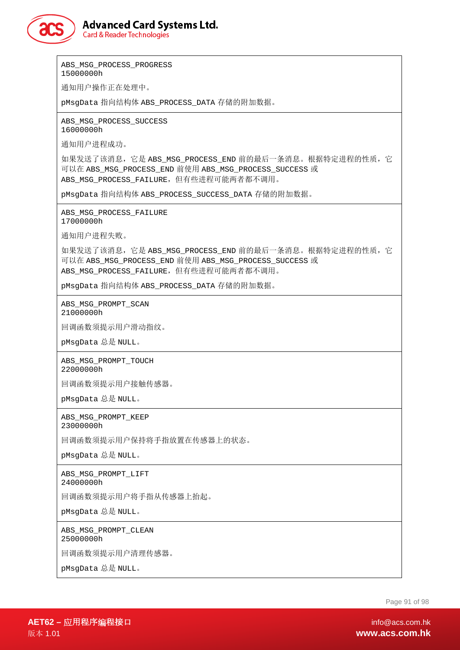

**Card & Reader Technologies** 

ABS MSG PROCESS PROGRESS 15000000h

通知用户操作正在处理中。

pMsgData 指向结构体 ABS\_PROCESS\_DATA 存储的附加数据。

ABS MSG PROCESS SUCCESS 16000000h

通知用户进程成功。

如果发送了该消息,它是 ABS\_MSG\_PROCESS\_END 前的最后一条消息。根据特定进程的性质,它 可以在 ABS\_MSG\_PROCESS\_END 前使用 ABS\_MSG\_PROCESS\_SUCCESS 或 ABS MSG PROCESS FAILURE, 但有些进程可能两者都不调用。

pMsgData 指向结构体 ABS\_PROCESS\_SUCCESS\_DATA 存储的附加数据。

ABS\_MSG\_PROCESS\_FAILURE 17000000h

通知用户进程失败。

如果发送了该消息,它是 ABS\_MSG\_PROCESS\_END 前的最后一条消息。根据特定进程的性质,它 可以在 ABS\_MSG\_PROCESS\_END 前使用 ABS\_MSG\_PROCESS\_SUCCESS 或 ABS\_MSG\_PROCESS\_FAILURE,但有些进程可能两者都不调用。

pMsgData 指向结构体 ABS\_PROCESS\_DATA 存储的附加数据。

ABS\_MSG\_PROMPT\_SCAN 21000000h

回调函数须提示用户滑动指纹。

pMsgData 总是 NULL。

ABS\_MSG\_PROMPT\_TOUCH 22000000h

回调函数须提示用户接触传感器。

pMsgData 总是 NULL。

ABS\_MSG\_PROMPT\_KEEP 23000000h

回调函数须提示用户保持将手指放置在传感器上的状态。

pMsgData 总是 NULL。

ABS\_MSG\_PROMPT\_LIFT 24000000h

回调函数须提示用户将手指从传感器上抬起。

pMsgData 总是 NULL。

ABS\_MSG\_PROMPT\_CLEAN 25000000h

回调函数须提示用户清理传感器。

pMsgData 总是 NULL。

Page 91 of 98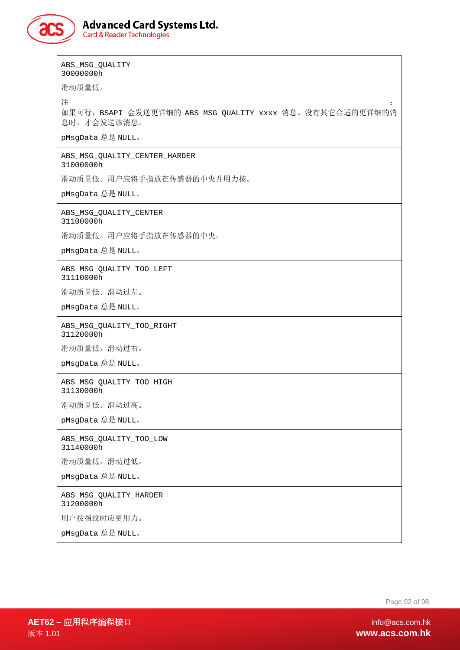

ABS\_MSG\_QUALITY 30000000h

滑动质量低。

注 the contract of the contract of the contract of the contract of the contract of the contract of the contract of the contract of the contract of the contract of the contract of the contract of the contract of the contra

如果可行,BSAPI 会发送更详细的 ABS\_MSG\_QUALITY\_xxxx 消息。没有其它合适的更详细的消 息时,才会发送该消息。

pMsgData 总是 NULL。

ABS\_MSG\_QUALITY\_CENTER\_HARDER 31000000h

滑动质量低。用户应将手指放在传感器的中央并用力按。

pMsgData 总是 NULL。

ABS\_MSG\_QUALITY\_CENTER

31100000h

滑动质量低。用户应将手指放在传感器的中央。

pMsgData 总是 NULL。

ABS\_MSG\_QUALITY\_TOO\_LEFT 31110000h

滑动质量低。滑动过左。

pMsgData 总是 NULL。

ABS\_MSG\_QUALITY\_TOO\_RIGHT 31120000h

滑动质量低。滑动过右。

pMsgData 总是 NULL。

ABS\_MSG\_QUALITY\_TOO\_HIGH 31130000h

滑动质量低。滑动过高。

pMsgData 总是 NULL。

ABS\_MSG\_QUALITY\_TOO\_LOW 31140000h

滑动质量低。滑动过低。

pMsgData 总是 NULL。

ABS\_MSG\_QUALITY\_HARDER 31200000h

用户按指纹时应更用力。

pMsgData 总是 NULL。

Page 92 of 98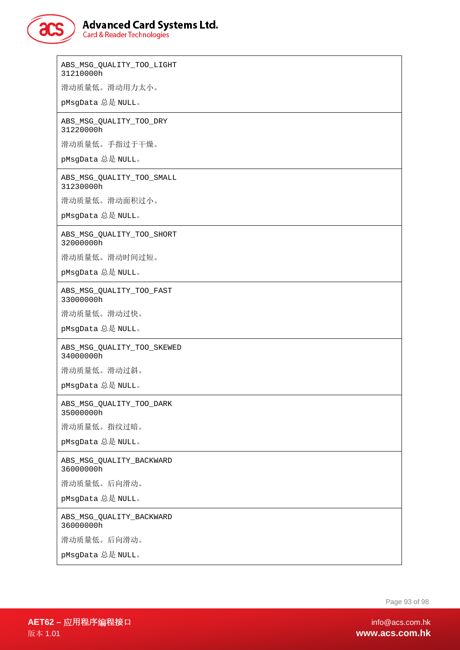### **Advanced Card Systems Ltd. Card & Reader Technologies**

ABS\_MSG\_QUALITY\_TOO\_LIGHT 31210000h 滑动质量低。滑动用力太小。 pMsgData 总是 NULL。 ABS\_MSG\_QUALITY\_TOO\_DRY 31220000h 滑动质量低。手指过于干燥。 pMsgData 总是 NULL。 ABS\_MSG\_QUALITY\_TOO\_SMALL 31230000h 滑动质量低。滑动面积过小。 pMsgData 总是 NULL。 ABS\_MSG\_QUALITY\_TOO\_SHORT 32000000h 滑动质量低。滑动时间过短。 pMsgData 总是 NULL。 ABS\_MSG\_QUALITY\_TOO\_FAST 33000000h 滑动质量低。滑动过快。 pMsgData 总是 NULL。 ABS\_MSG\_QUALITY\_TOO\_SKEWED 34000000h 滑动质量低。滑动过斜。 pMsgData 总是 NULL。 ABS\_MSG\_QUALITY\_TOO\_DARK 35000000h 滑动质量低。指纹过暗。 pMsgData 总是 NULL。 ABS\_MSG\_QUALITY\_BACKWARD 36000000h 滑动质量低。后向滑动。 pMsgData 总是 NULL。 ABS\_MSG\_QUALITY\_BACKWARD 36000000h 滑动质量低。后向滑动。 pMsgData 总是 NULL。

Page 93 of 98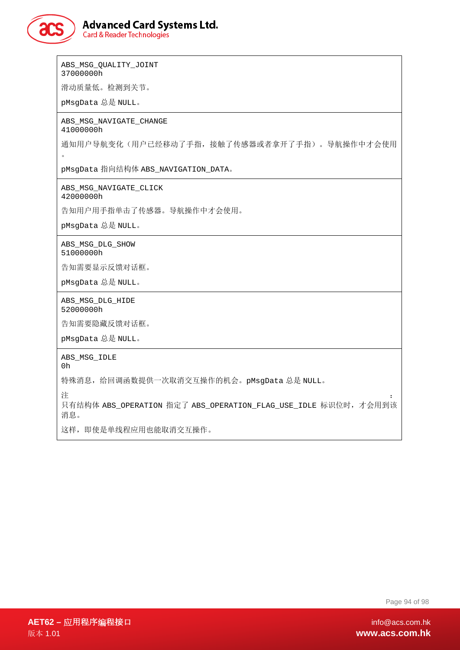

ABS\_MSG\_QUALITY\_JOINT 37000000h

滑动质量低。检测到关节。

pMsgData 总是 NULL。

ABS\_MSG\_NAVIGATE\_CHANGE 41000000h

通知用户导航变化(用户已经移动了手指,接触了传感器或者拿开了手指)。导航操作中才会使用 。

pMsgData 指向结构体 ABS\_NAVIGATION\_DATA。

ABS\_MSG\_NAVIGATE\_CLICK 42000000h

告知用户用手指单击了传感器。导航操作中才会使用。

pMsgData 总是 NULL。

ABS\_MSG\_DLG\_SHOW 51000000h

告知需要显示反馈对话框。

pMsgData 总是 NULL。

ABS\_MSG\_DLG\_HIDE 52000000h

告知需要隐藏反馈对话框。

pMsgData 总是 NULL。

ABS\_MSG\_IDLE

0h

特殊消息,给回调函数提供一次取消交互操作的机会。pMsgData 总是 NULL。

注 the contract of the contract of the contract of the contract of the contract of the contract of the contract of the contract of the contract of the contract of the contract of the contract of the contract of the contra

只有结构体 ABS\_OPERATION 指定了 ABS\_OPERATION\_FLAG\_USE\_IDLE 标识位时,才会用到该 消息。

这样,即使是单线程应用也能取消交互操作。

Page 94 of 98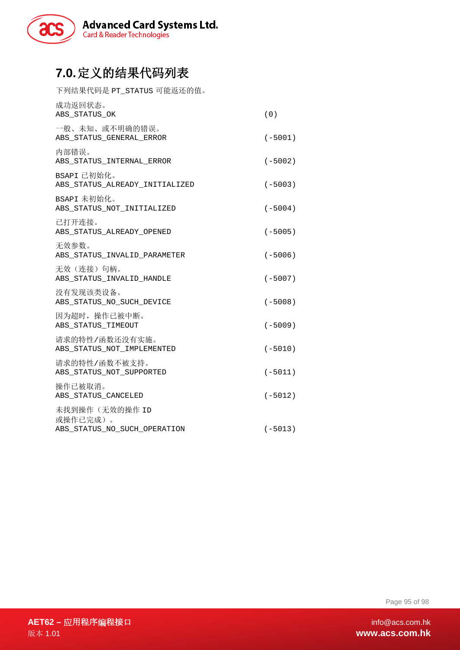

# **7.0.**定义的结果代码列表

下列结果代码是 PT\_STATUS 可能返还的值。

| 成功返回状态。<br>ABS_STATUS_OK                      | (0)       |
|-----------------------------------------------|-----------|
| 一般、未知、或不明确的错误。<br>ABS_STATUS_GENERAL_ERROR    | $(-5001)$ |
| 内部错误。<br>ABS_STATUS_INTERNAL_ERROR            | $(-5002)$ |
| BSAPI 已初始化。<br>ABS_STATUS_ALREADY_INITIALIZED | $(-5003)$ |
| BSAPI 未初始化。<br>ABS_STATUS_NOT_INITIALIZED     | $(-5004)$ |
| 已打开连接。<br>ABS_STATUS_ALREADY_OPENED           | $(-5005)$ |
| 无效参数。<br>ABS_STATUS_INVALID_PARAMETER         | $(-5006)$ |
| 无效(连接)句柄。<br>ABS_STATUS_INVALID_HANDLE        | $(-5007)$ |
| 没有发现该类设备。<br>ABS_STATUS_NO_SUCH_DEVICE        | $(-5008)$ |
| 因为超时, 操作已被中断。<br>ABS_STATUS_TIMEOUT           | $(-5009)$ |
| 请求的特性/函数还没有实施。<br>ABS_STATUS_NOT_IMPLEMENTED  | $(-5010)$ |
| 请求的特性/函数不被支持。<br>ABS_STATUS_NOT_SUPPORTED     | $(-5011)$ |
| 操作已被取消。<br>ABS_STATUS_CANCELED                | $(-5012)$ |
| 未找到操作(无效的操作 ID<br>或操作已完成)。                    |           |
| ABS_STATUS_NO_SUCH_OPERATION                  | $(-5013)$ |

Page 95 of 98

**AET62 –** 应用程序编程接口 info@acs.com.hk 版本 1.01 **www.acs.com.hk**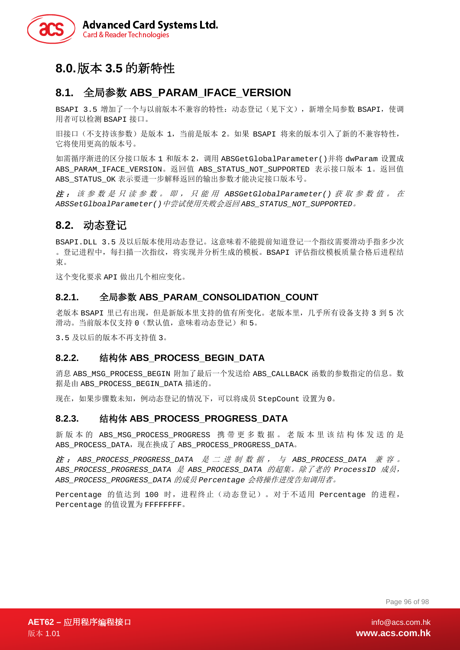

# **8.0.**版本 **3.5** 的新特性

### **8.1.** 全局参数 **ABS\_PARAM\_IFACE\_VERSION**

BSAPI 3.5 增加了一个与以前版本不兼容的特性: 动态登记(见下文), 新增全局参数 BSAPI, 使调 用者可以检测 BSAPI 接口。

旧接口(不支持该参数)是版本 1,当前是版本 2。如果 BSAPI 将来的版本引入了新的不兼容特性, 它将使用更高的版本号。

如需循序渐进的区分接口版本 1 和版本 2,调用 ABSGetGlobalParameter()并将 dwParam 设置成 ABS\_PARAM\_IFACE\_VERSION。返回值 ABS\_STATUS\_NOT\_SUPPORTED 表示接口版本 1。返回值 ABS\_STATUS\_OK 表示要进一步解释返回的输出参数才能决定接口版本号。

注 : 该参数是只读参数。即,只能用 *ABSGetGlobalParameter()* 获取参数值。在 *ABSSetGlboalParameter()*中尝试使用失败会返回 *ABS\_STATUS\_NOT\_SUPPORTED*。

#### **8.2.** 动态登记

BSAPI.DLL 3.5 及以后版本使用动态登记。这意味着不能提前知道登记一个指纹需要滑动手指多少次 。登记进程中,每扫描一次指纹,将实现并分析生成的模板。BSAPI 评估指纹模板质量合格后进程结 束。

这个变化要求 API 做出几个相应变化。

#### **8.2.1.** 全局参数 **ABS\_PARAM\_CONSOLIDATION\_COUNT**

老版本 BSAPI 里已有出现,但是新版本里支持的值有所变化。老版本里,几乎所有设备支持 3 到 5 次 滑动。当前版本仅支持 0(默认值,意味着动态登记)和 5。

3.5 及以后的版本不再支持值 3。

#### **8.2.2.** 结构体 **ABS\_PROCESS\_BEGIN\_DATA**

消息 ABS\_MSG\_PROCESS\_BEGIN 附加了最后一个发送给 ABS\_CALLBACK 函数的参数指定的信息。数 据是由 ABS\_PROCESS\_BEGIN\_DATA 描述的。

现在,如果步骤数未知,例动态登记的情况下,可以将成员 StepCount 设置为 0。

#### **8.2.3.** 结构体 **ABS\_PROCESS\_PROGRESS\_DATA**

新版本的 ABS\_MSG\_PROCESS\_PROGRESS 携带更多数据。老版本里该结构体发送的是 ABS\_PROCESS\_DATA, 现在换成了 ABS\_PROCESS\_PROGRESS\_DATA。

注 : *ABS\_PROCESS\_PROGRESS\_DATA* 是二进制数据,与 *ABS\_PROCESS\_DATA* 兼容。 *ABS\_PROCESS\_PROGRESS\_DATA* 是 *ABS\_PROCESS\_DATA* 的超集。除了老的 *ProcessID* 成员, *ABS\_PROCESS\_PROGRESS\_DATA* 的成员 *Percentage* 会将操作进度告知调用者。

Percentage 的值达到 100 时,进程终止(动态登记)。对于不适用 Percentage 的进程, Percentage 的值设置为 FFFFFFFF。

Page 96 of 98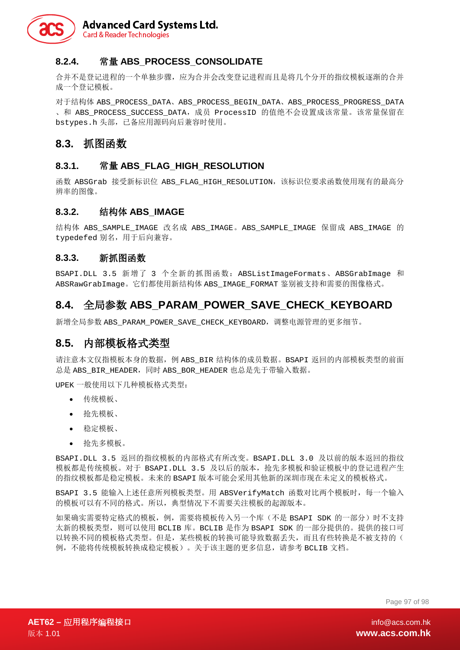

#### **8.2.4.** 常量 **ABS\_PROCESS\_CONSOLIDATE**

合并不是登记进程的一个单独步骤,应为合并会改变登记进程而且是将几个分开的指纹模板逐渐的合并 成一个登记模板。

对于结构体 ABS\_PROCESS\_DATA、ABS\_PROCESS\_BEGIN\_DATA、ABS\_PROCESS\_PROGRESS\_DATA 、和 ABS PROCESS SUCCESS DATA,成员 ProcessID 的值绝不会设置成该常量。该常量保留在 bstypes.h 头部,已备应用源码向后兼容时使用。

#### **8.3.** 抓图函数

#### **8.3.1.** 常量 **ABS\_FLAG\_HIGH\_RESOLUTION**

函数 ABSGrab 接受新标识位 ABS FLAG HIGH RESOLUTION, 该标识位要求函数使用现有的最高分 辨率的图像。

#### **8.3.2.** 结构体 **ABS\_IMAGE**

结构体 ABS\_SAMPLE\_IMAGE 改名成 ABS\_IMAGE。ABS\_SAMPLE\_IMAGE 保留成 ABS\_IMAGE 的 typedefed 别名,用于后向兼容。

#### **8.3.3.** 新抓图函数

BSAPI.DLL 3.5 新增了 3 个全新的抓图函数: ABSListImageFormats、ABSGrabImage 和 ABSRawGrabImage。它们都使用新结构体 ABS\_IMAGE\_FORMAT 鉴别被支持和需要的图像格式。

### **8.4.** 全局参数 **ABS\_PARAM\_POWER\_SAVE\_CHECK\_KEYBOARD**

新增全局参数 ABS\_PARAM\_POWER\_SAVE\_CHECK\_KEYBOARD,调整电源管理的更多细节。

### **8.5.** 内部模板格式类型

请注意本文仅指模板本身的数据,例 ABS\_BIR 结构体的成员数据。BSAPI 返回的内部模板类型的前面 总是 ABS\_BIR\_HEADER, 同时 ABS\_BOR\_HEADER 也总是先于带输入数据。

UPEK 一般使用以下几种模板格式类型:

- 传统模板、
- 抢先模板、
- 稳定模板、
- 抢先多模板。

BSAPI.DLL 3.5 返回的指纹模板的内部格式有所改变。BSAPI.DLL 3.0 及以前的版本返回的指纹 模板都是传统模板。对于 BSAPI.DLL 3.5 及以后的版本,抢先多模板和验证模板中的登记进程产生 的指纹模板都是稳定模板。未来的 BSAPI 版本可能会采用其他新的深圳市现在未定义的模板格式。

BSAPI 3.5 能输入上述任意所列模板类型。用 ABSVerifyMatch 函数对比两个模板时, 每一个输入 的模板可以有不同的格式。所以,典型情况下不需要关注模板的起源版本。

如果确实需要特定格式的模板,例,需要将模板传入另一个库(不是 BSAPI SDK 的一部分)时不支持 太新的模板类型,则可以使用 BCLIB 库。BCLIB 是作为 BSAPI SDK 的一部分提供的。提供的接口可 以转换不同的模板格式类型。但是,某些模板的转换可能导致数据丢失,而且有些转换是不被支持的( 例,不能将传统模板转换成稳定模板)。关于该主题的更多信息,请参考 BCLIB 文档。

Page 97 of 98